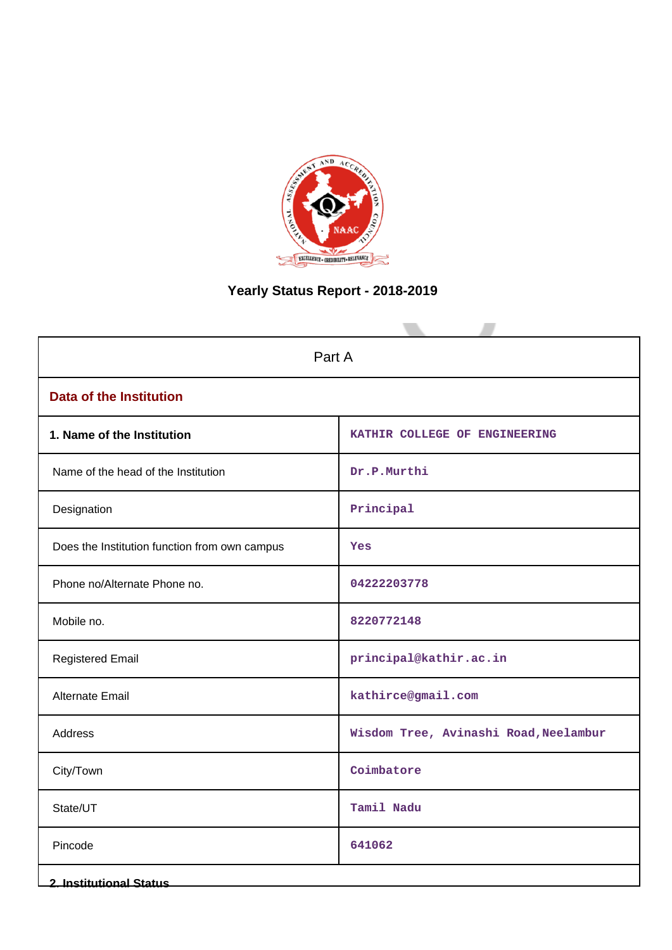

# **Yearly Status Report - 2018-2019**

| Part A                                        |                                       |  |  |  |  |  |
|-----------------------------------------------|---------------------------------------|--|--|--|--|--|
| <b>Data of the Institution</b>                |                                       |  |  |  |  |  |
| 1. Name of the Institution                    | KATHIR COLLEGE OF ENGINEERING         |  |  |  |  |  |
| Name of the head of the Institution           | Dr.P.Murthi                           |  |  |  |  |  |
| Designation                                   | Principal                             |  |  |  |  |  |
| Does the Institution function from own campus | Yes                                   |  |  |  |  |  |
| Phone no/Alternate Phone no.                  | 04222203778                           |  |  |  |  |  |
| Mobile no.                                    | 8220772148                            |  |  |  |  |  |
| <b>Registered Email</b>                       | principal@kathir.ac.in                |  |  |  |  |  |
| <b>Alternate Email</b>                        | kathirce@gmail.com                    |  |  |  |  |  |
| Address                                       | Wisdom Tree, Avinashi Road, Neelambur |  |  |  |  |  |
| City/Town                                     | Coimbatore                            |  |  |  |  |  |
| State/UT                                      | Tamil Nadu                            |  |  |  |  |  |
| Pincode                                       | 641062                                |  |  |  |  |  |
| <b>2. Institutional Status</b>                |                                       |  |  |  |  |  |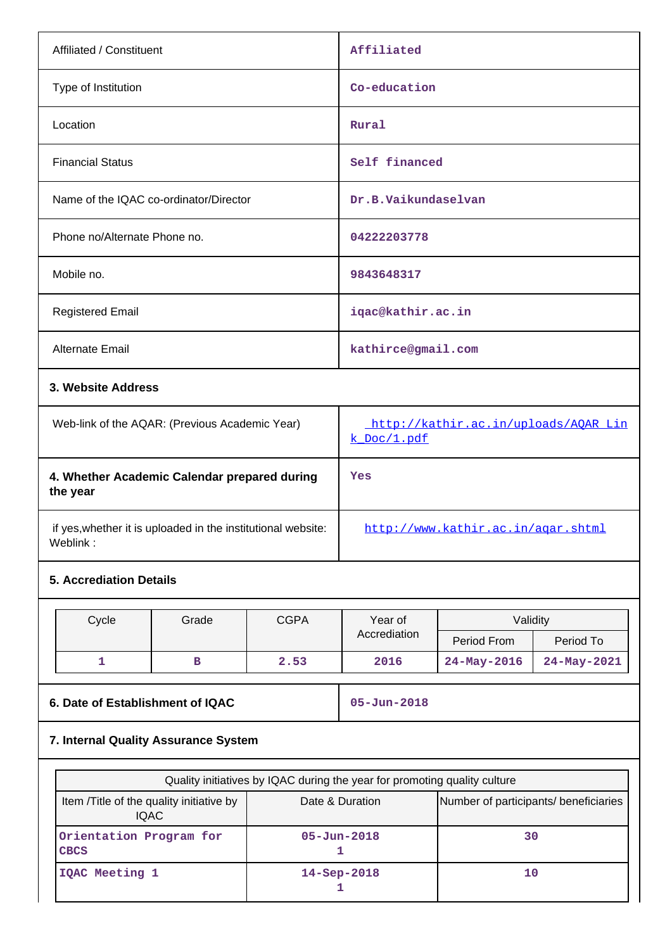| Affiliated / Constituent                                                 | Affiliated                                          |
|--------------------------------------------------------------------------|-----------------------------------------------------|
| Type of Institution                                                      | Co-education                                        |
| Location                                                                 | Rural                                               |
| <b>Financial Status</b>                                                  | Self financed                                       |
| Name of the IQAC co-ordinator/Director                                   | Dr.B.Vaikundaselvan                                 |
| Phone no/Alternate Phone no.                                             | 04222203778                                         |
| Mobile no.                                                               | 9843648317                                          |
| <b>Registered Email</b>                                                  | iqac@kathir.ac.in                                   |
| Alternate Email                                                          | kathirce@gmail.com                                  |
| 3. Website Address                                                       |                                                     |
| Web-link of the AQAR: (Previous Academic Year)                           | http://kathir.ac.in/uploads/AQAR_Lin<br>k Doc/1.pdf |
| 4. Whether Academic Calendar prepared during<br>the year                 | Yes                                                 |
| if yes, whether it is uploaded in the institutional website:<br>Weblink: | http://www.kathir.ac.in/agar.shtml                  |

# **5. Accrediation Details**

| Cycle | Grade | <b>CGPA</b> | Year of      | Validity          |             |
|-------|-------|-------------|--------------|-------------------|-------------|
|       |       |             | Accrediation | Period From       | Period To   |
|       |       | 2.53        | 2016         | $24 - May - 2016$ | 24-May-2021 |

# **6. Date of Establishment of IQAC 05-Jun-2018**

# **7. Internal Quality Assurance System**

| Quality initiatives by IQAC during the year for promoting quality culture |                    |                                       |  |  |
|---------------------------------------------------------------------------|--------------------|---------------------------------------|--|--|
| Item / Title of the quality initiative by<br>IQAC.                        | Date & Duration    | Number of participants/ beneficiaries |  |  |
| Orientation Program for<br><b>CBCS</b>                                    | $05 - Jun - 2018$  | 30                                    |  |  |
| IQAC Meeting 1                                                            | $14 -$ Sep $-2018$ | 10                                    |  |  |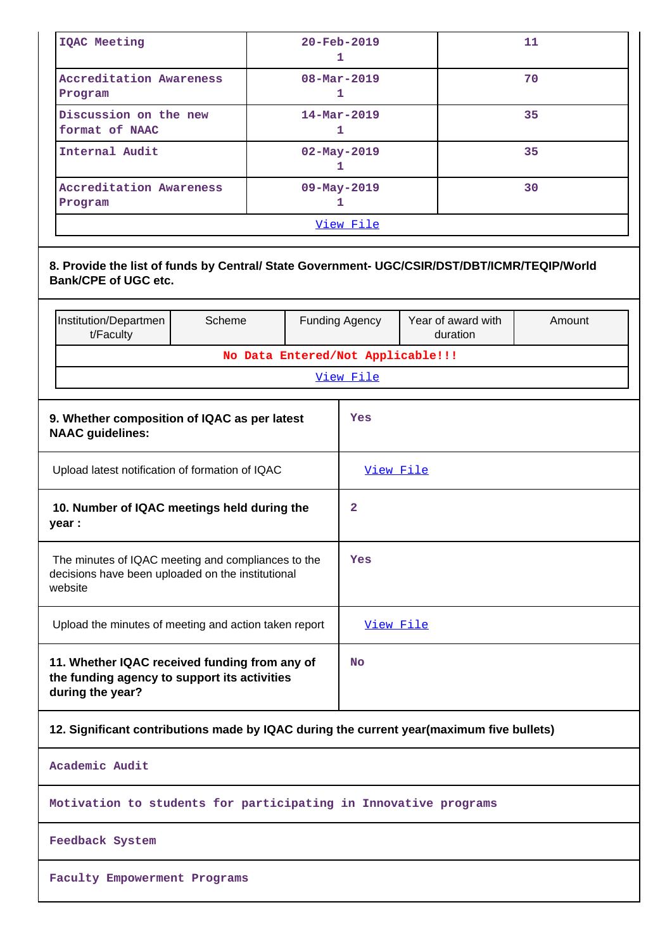| IQAC Meeting                                                                                                                |                                             |  |     | $20 - \text{Feb} - 2019$<br>1                           |  | 11     |
|-----------------------------------------------------------------------------------------------------------------------------|---------------------------------------------|--|-----|---------------------------------------------------------|--|--------|
| <b>Accreditation Awareness</b><br>Program                                                                                   |                                             |  |     | $08 - \text{Mar} - 2019$<br>1                           |  | 70     |
| Discussion on the new<br>format of NAAC                                                                                     |                                             |  |     | $14 - \text{Mar} - 2019$<br>1                           |  | 35     |
| Internal Audit                                                                                                              |                                             |  |     | $02 - May - 2019$<br>1                                  |  | 35     |
| <b>Accreditation Awareness</b><br>Program                                                                                   |                                             |  |     | 09-May-2019<br>1                                        |  | 30     |
|                                                                                                                             |                                             |  |     | <u>View File</u>                                        |  |        |
| 8. Provide the list of funds by Central/ State Government- UGC/CSIR/DST/DBT/ICMR/TEQIP/World<br><b>Bank/CPE of UGC etc.</b> |                                             |  |     |                                                         |  |        |
| Institution/Departmen<br>t/Faculty                                                                                          | Scheme                                      |  |     | Year of award with<br><b>Funding Agency</b><br>duration |  | Amount |
|                                                                                                                             |                                             |  |     | No Data Entered/Not Applicable!!!                       |  |        |
|                                                                                                                             |                                             |  |     | View File                                               |  |        |
| 9. Whether composition of IQAC as per latest<br><b>NAAC guidelines:</b>                                                     |                                             |  |     | Yes                                                     |  |        |
| Upload latest notification of formation of IQAC                                                                             |                                             |  |     | View File                                               |  |        |
| year :                                                                                                                      | 10. Number of IQAC meetings held during the |  |     | 2                                                       |  |        |
| The minutes of IQAC meeting and compliances to the<br>decisions have been uploaded on the institutional<br>website          |                                             |  | Yes |                                                         |  |        |
| Upload the minutes of meeting and action taken report                                                                       |                                             |  |     | View File                                               |  |        |
| 11. Whether IQAC received funding from any of<br>the funding agency to support its activities<br>during the year?           |                                             |  |     | No                                                      |  |        |

**12. Significant contributions made by IQAC during the current year(maximum five bullets)**

**Academic Audit**

**Motivation to students for participating in Innovative programs**

**Feedback System**

**Faculty Empowerment Programs**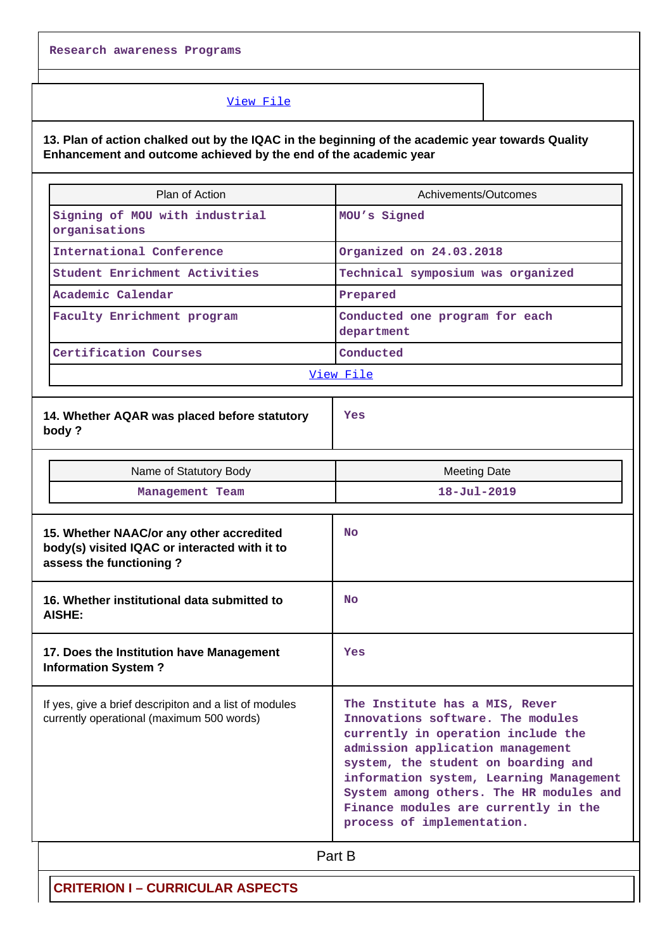### [View File](https://assessmentonline.naac.gov.in/public/Postacc/Contribution/10683_Contribution.xls)

**13. Plan of action chalked out by the IQAC in the beginning of the academic year towards Quality Enhancement and outcome achieved by the end of the academic year**

| Plan of Action                                                                                                       | Achivements/Outcomes                                                                                                                                                                                                                                                                                                                             |
|----------------------------------------------------------------------------------------------------------------------|--------------------------------------------------------------------------------------------------------------------------------------------------------------------------------------------------------------------------------------------------------------------------------------------------------------------------------------------------|
| Signing of MOU with industrial<br>organisations                                                                      | MOU's Signed                                                                                                                                                                                                                                                                                                                                     |
| International Conference                                                                                             | Organized on 24.03.2018                                                                                                                                                                                                                                                                                                                          |
| Student Enrichment Activities                                                                                        | Technical symposium was organized                                                                                                                                                                                                                                                                                                                |
| Academic Calendar                                                                                                    | Prepared                                                                                                                                                                                                                                                                                                                                         |
| Faculty Enrichment program                                                                                           | Conducted one program for each<br>department                                                                                                                                                                                                                                                                                                     |
| Certification Courses                                                                                                | Conducted                                                                                                                                                                                                                                                                                                                                        |
|                                                                                                                      | View File                                                                                                                                                                                                                                                                                                                                        |
| 14. Whether AQAR was placed before statutory<br>body?                                                                | Yes                                                                                                                                                                                                                                                                                                                                              |
| Name of Statutory Body                                                                                               | <b>Meeting Date</b>                                                                                                                                                                                                                                                                                                                              |
| Management Team                                                                                                      | $18 - Jul - 2019$                                                                                                                                                                                                                                                                                                                                |
| 15. Whether NAAC/or any other accredited<br>body(s) visited IQAC or interacted with it to<br>assess the functioning? | <b>No</b>                                                                                                                                                                                                                                                                                                                                        |
| 16. Whether institutional data submitted to<br>AISHE:                                                                | <b>No</b>                                                                                                                                                                                                                                                                                                                                        |
| 17. Does the Institution have Management<br><b>Information System?</b>                                               | Yes                                                                                                                                                                                                                                                                                                                                              |
| If yes, give a brief descripiton and a list of modules<br>currently operational (maximum 500 words)                  | The Institute has a MIS, Rever<br>Innovations software. The modules<br>currently in operation include the<br>admission application management<br>system, the student on boarding and<br>information system, Learning Management<br>System among others. The HR modules and<br>Finance modules are currently in the<br>process of implementation. |
|                                                                                                                      | Part B                                                                                                                                                                                                                                                                                                                                           |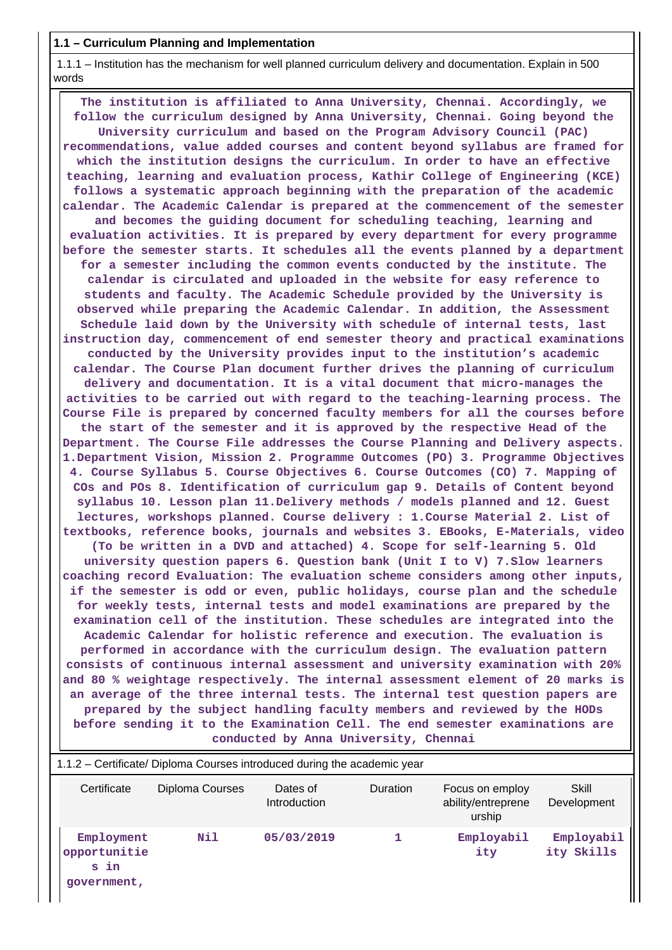#### **1.1 – Curriculum Planning and Implementation**

 $\perp$ 

 1.1.1 – Institution has the mechanism for well planned curriculum delivery and documentation. Explain in 500 words

 **The institution is affiliated to Anna University, Chennai. Accordingly, we follow the curriculum designed by Anna University, Chennai. Going beyond the University curriculum and based on the Program Advisory Council (PAC) recommendations, value added courses and content beyond syllabus are framed for which the institution designs the curriculum. In order to have an effective teaching, learning and evaluation process, Kathir College of Engineering (KCE) follows a systematic approach beginning with the preparation of the academic calendar. The Academic Calendar is prepared at the commencement of the semester and becomes the guiding document for scheduling teaching, learning and evaluation activities. It is prepared by every department for every programme before the semester starts. It schedules all the events planned by a department for a semester including the common events conducted by the institute. The calendar is circulated and uploaded in the website for easy reference to students and faculty. The Academic Schedule provided by the University is observed while preparing the Academic Calendar. In addition, the Assessment Schedule laid down by the University with schedule of internal tests, last instruction day, commencement of end semester theory and practical examinations conducted by the University provides input to the institution's academic calendar. The Course Plan document further drives the planning of curriculum delivery and documentation. It is a vital document that micro-manages the activities to be carried out with regard to the teaching-learning process. The Course File is prepared by concerned faculty members for all the courses before the start of the semester and it is approved by the respective Head of the Department. The Course File addresses the Course Planning and Delivery aspects. 1.Department Vision, Mission 2. Programme Outcomes (PO) 3. Programme Objectives 4. Course Syllabus 5. Course Objectives 6. Course Outcomes (CO) 7. Mapping of COs and POs 8. Identification of curriculum gap 9. Details of Content beyond syllabus 10. Lesson plan 11.Delivery methods / models planned and 12. Guest lectures, workshops planned. Course delivery : 1.Course Material 2. List of textbooks, reference books, journals and websites 3. EBooks, E-Materials, video (To be written in a DVD and attached) 4. Scope for self-learning 5. Old university question papers 6. Question bank (Unit I to V) 7.Slow learners coaching record Evaluation: The evaluation scheme considers among other inputs, if the semester is odd or even, public holidays, course plan and the schedule for weekly tests, internal tests and model examinations are prepared by the examination cell of the institution. These schedules are integrated into the Academic Calendar for holistic reference and execution. The evaluation is performed in accordance with the curriculum design. The evaluation pattern consists of continuous internal assessment and university examination with 20% and 80 % weightage respectively. The internal assessment element of 20 marks is an average of the three internal tests. The internal test question papers are prepared by the subject handling faculty members and reviewed by the HODs before sending it to the Examination Cell. The end semester examinations are conducted by Anna University, Chennai**

| 1.1.2 – Certificate/ Diploma Courses introduced during the academic year |                 |                          |                 |                                                 |                          |  |  |
|--------------------------------------------------------------------------|-----------------|--------------------------|-----------------|-------------------------------------------------|--------------------------|--|--|
| Certificate                                                              | Diploma Courses | Dates of<br>Introduction | <b>Duration</b> | Focus on employ<br>ability/entreprene<br>urship | Skill<br>Development     |  |  |
| Employment<br>opportunitie<br>s in<br>government,                        | Nil             | 05/03/2019               |                 | Employabil<br>ity                               | Employabil<br>ity Skills |  |  |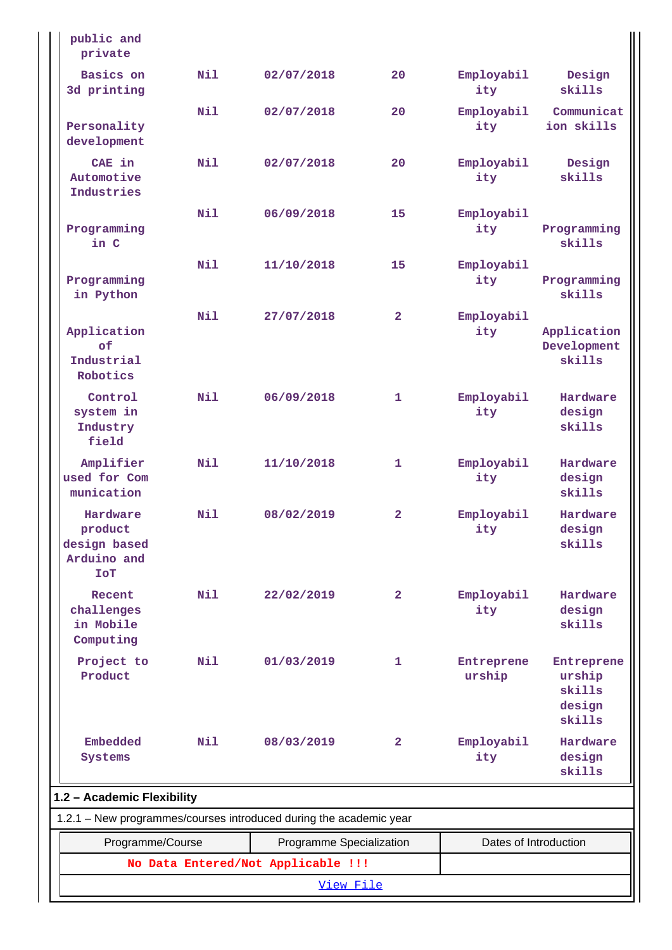| public and<br>private                                            |     |                                                                    |              |                       |                                                    |  |
|------------------------------------------------------------------|-----|--------------------------------------------------------------------|--------------|-----------------------|----------------------------------------------------|--|
| Basics on<br>3d printing                                         | Nil | 02/07/2018                                                         | 20           | Employabil<br>ity     | Design<br>skills                                   |  |
| Personality<br>development                                       | N11 | 02/07/2018                                                         | 20           | Employabil<br>ity     | Communicat<br>ion skills                           |  |
| CAE in<br>Automotive<br>Industries                               | Nil | 02/07/2018                                                         | 20           | Employabil<br>ity     | Design<br>skills                                   |  |
| Programming<br>in C                                              | Nil | 06/09/2018                                                         | 15           | Employabil<br>ity     | Programming<br>skills                              |  |
| Programming<br>in Python                                         | Nil | 11/10/2018                                                         | 15           | Employabil<br>ity     | Programming<br>skills                              |  |
| Application<br>of<br>Industrial<br>Robotics                      | Nil | 27/07/2018                                                         | $\mathbf{2}$ | Employabil<br>ity     | Application<br>Development<br>skills               |  |
| Control<br>system in<br>Industry<br>field                        | Nil | 06/09/2018                                                         | 1            | Employabil<br>ity     | Hardware<br>design<br>skills                       |  |
| Amplifier<br>used for Com<br>munication                          | Nil | 11/10/2018                                                         | 1            | Employabil<br>ity     | Hardware<br>design<br>skills                       |  |
| Hardware<br>product<br>design based<br>Arduino and<br><b>TOT</b> | Nil | 08/02/2019                                                         | $\mathbf{2}$ | Employabil<br>ity     | Hardware<br>design<br>skills                       |  |
| Recent<br>challenges<br>in Mobile<br>Computing                   | Nil | 22/02/2019                                                         | $\mathbf{2}$ | Employabil<br>ity     | Hardware<br>design<br>skills                       |  |
| Project to<br>Product                                            | Nil | 01/03/2019                                                         | 1            | Entreprene<br>urship  | Entreprene<br>urship<br>skills<br>design<br>skills |  |
| <b>Embedded</b><br>Systems                                       | Nil | 08/03/2019                                                         | $\mathbf{2}$ | Employabil<br>ity     | Hardware<br>design<br>skills                       |  |
| 1.2 - Academic Flexibility                                       |     |                                                                    |              |                       |                                                    |  |
|                                                                  |     | 1.2.1 - New programmes/courses introduced during the academic year |              |                       |                                                    |  |
| Programme/Course                                                 |     | Programme Specialization                                           |              | Dates of Introduction |                                                    |  |
|                                                                  |     | No Data Entered/Not Applicable !!!                                 |              |                       |                                                    |  |
| View File                                                        |     |                                                                    |              |                       |                                                    |  |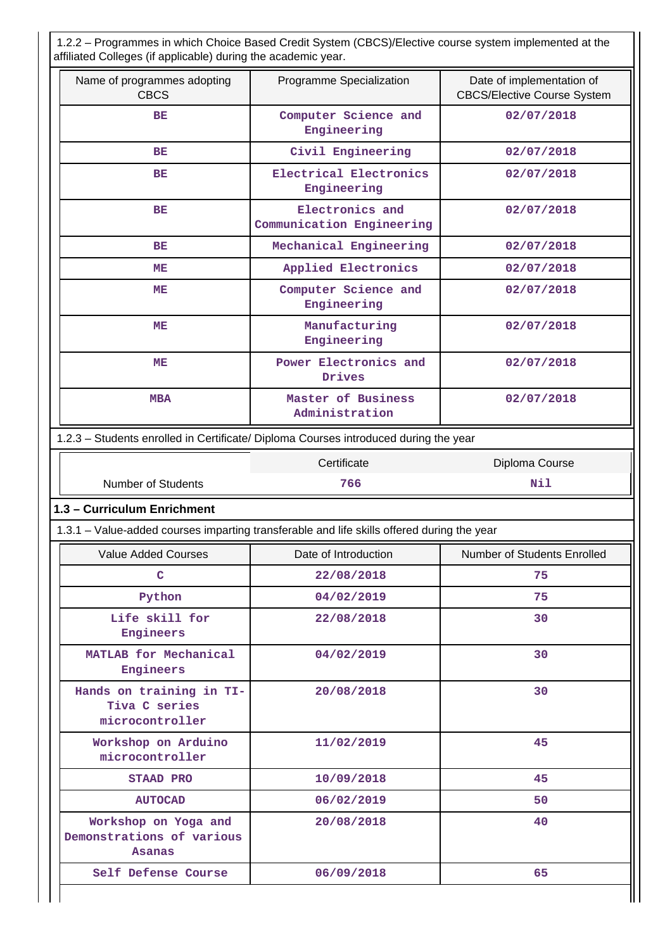1.2.2 – Programmes in which Choice Based Credit System (CBCS)/Elective course system implemented at the affiliated Colleges (if applicable) during the academic year.

| Name of programmes adopting<br><b>CBCS</b>                         | Programme Specialization                                                                   | Date of implementation of<br><b>CBCS/Elective Course System</b> |
|--------------------------------------------------------------------|--------------------------------------------------------------------------------------------|-----------------------------------------------------------------|
| ВE                                                                 | Computer Science and<br>Engineering                                                        | 02/07/2018                                                      |
| BE                                                                 | Civil Engineering                                                                          | 02/07/2018                                                      |
| BE                                                                 | Electrical Electronics<br>Engineering                                                      | 02/07/2018                                                      |
| <b>BE</b>                                                          | Electronics and<br>Communication Engineering                                               | 02/07/2018                                                      |
| BE                                                                 | Mechanical Engineering                                                                     | 02/07/2018                                                      |
| MЕ                                                                 | Applied Electronics                                                                        | 02/07/2018                                                      |
| ME                                                                 | Computer Science and<br>Engineering                                                        | 02/07/2018                                                      |
| ME                                                                 | Manufacturing<br>Engineering                                                               | 02/07/2018                                                      |
| MЕ                                                                 | Power Electronics and<br>Drives                                                            | 02/07/2018                                                      |
| <b>MBA</b>                                                         | Master of Business<br>Administration                                                       | 02/07/2018                                                      |
|                                                                    | 1.2.3 - Students enrolled in Certificate/ Diploma Courses introduced during the year       |                                                                 |
|                                                                    |                                                                                            | Diploma Course                                                  |
| <b>Number of Students</b>                                          | 766                                                                                        | Nil                                                             |
|                                                                    | 1.3.1 - Value-added courses imparting transferable and life skills offered during the year |                                                                 |
| <b>Value Added Courses</b>                                         | Date of Introduction                                                                       | Number of Students Enrolled                                     |
| C                                                                  | 22/08/2018                                                                                 | 75                                                              |
| Python                                                             | 04/02/2019                                                                                 | 75                                                              |
| Life skill for<br>Engineers                                        | 22/08/2018                                                                                 | 30                                                              |
| MATLAB for Mechanical<br>Engineers                                 | 04/02/2019                                                                                 | 30                                                              |
| Hands on training in TI-<br>Tiva C series<br>microcontroller       | 20/08/2018                                                                                 | 30                                                              |
| Workshop on Arduino<br>microcontroller                             | 11/02/2019                                                                                 | 45                                                              |
| <b>STAAD PRO</b>                                                   | 10/09/2018                                                                                 | 45                                                              |
| 1.3 - Curriculum Enrichment<br><b>AUTOCAD</b>                      | 06/02/2019                                                                                 | 50                                                              |
| Workshop on Yoga and<br>Demonstrations of various<br><b>Asanas</b> | 20/08/2018                                                                                 | 40                                                              |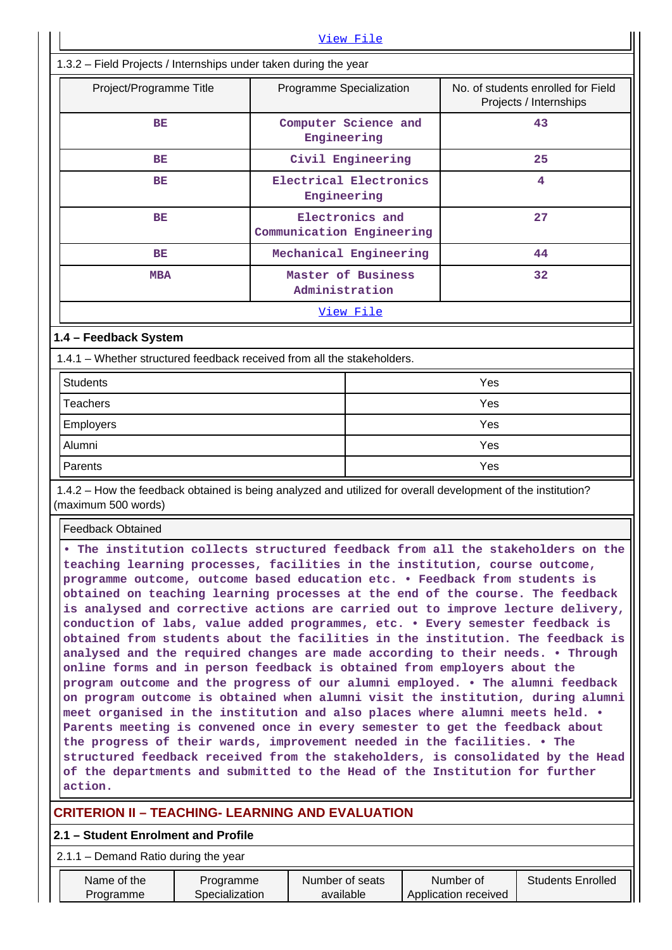| View File                                                                                                                                                                                                                                                                                                                                                                                                                                                                                                                                                                                                                                                                                                                                                                                                                                                                                                                                                                                                                                                                                                                                                                                                                                                                                                                                          |                                                     |                                       |                   |  |                                   |                                                              |
|----------------------------------------------------------------------------------------------------------------------------------------------------------------------------------------------------------------------------------------------------------------------------------------------------------------------------------------------------------------------------------------------------------------------------------------------------------------------------------------------------------------------------------------------------------------------------------------------------------------------------------------------------------------------------------------------------------------------------------------------------------------------------------------------------------------------------------------------------------------------------------------------------------------------------------------------------------------------------------------------------------------------------------------------------------------------------------------------------------------------------------------------------------------------------------------------------------------------------------------------------------------------------------------------------------------------------------------------------|-----------------------------------------------------|---------------------------------------|-------------------|--|-----------------------------------|--------------------------------------------------------------|
| 1.3.2 - Field Projects / Internships under taken during the year                                                                                                                                                                                                                                                                                                                                                                                                                                                                                                                                                                                                                                                                                                                                                                                                                                                                                                                                                                                                                                                                                                                                                                                                                                                                                   |                                                     |                                       |                   |  |                                   |                                                              |
|                                                                                                                                                                                                                                                                                                                                                                                                                                                                                                                                                                                                                                                                                                                                                                                                                                                                                                                                                                                                                                                                                                                                                                                                                                                                                                                                                    | Project/Programme Title<br>Programme Specialization |                                       |                   |  |                                   | No. of students enrolled for Field<br>Projects / Internships |
| BЕ                                                                                                                                                                                                                                                                                                                                                                                                                                                                                                                                                                                                                                                                                                                                                                                                                                                                                                                                                                                                                                                                                                                                                                                                                                                                                                                                                 |                                                     | Computer Science and<br>Engineering   |                   |  |                                   | 43                                                           |
| BE                                                                                                                                                                                                                                                                                                                                                                                                                                                                                                                                                                                                                                                                                                                                                                                                                                                                                                                                                                                                                                                                                                                                                                                                                                                                                                                                                 |                                                     |                                       | Civil Engineering |  |                                   | 25                                                           |
| BE                                                                                                                                                                                                                                                                                                                                                                                                                                                                                                                                                                                                                                                                                                                                                                                                                                                                                                                                                                                                                                                                                                                                                                                                                                                                                                                                                 |                                                     | Electrical Electronics<br>Engineering |                   |  |                                   | 4                                                            |
| ВE                                                                                                                                                                                                                                                                                                                                                                                                                                                                                                                                                                                                                                                                                                                                                                                                                                                                                                                                                                                                                                                                                                                                                                                                                                                                                                                                                 |                                                     | Communication Engineering             | Electronics and   |  |                                   | 27                                                           |
| BE                                                                                                                                                                                                                                                                                                                                                                                                                                                                                                                                                                                                                                                                                                                                                                                                                                                                                                                                                                                                                                                                                                                                                                                                                                                                                                                                                 |                                                     | Mechanical Engineering                |                   |  |                                   | 44                                                           |
| <b>MBA</b>                                                                                                                                                                                                                                                                                                                                                                                                                                                                                                                                                                                                                                                                                                                                                                                                                                                                                                                                                                                                                                                                                                                                                                                                                                                                                                                                         |                                                     | Master of Business<br>Administration  |                   |  |                                   | 32                                                           |
|                                                                                                                                                                                                                                                                                                                                                                                                                                                                                                                                                                                                                                                                                                                                                                                                                                                                                                                                                                                                                                                                                                                                                                                                                                                                                                                                                    |                                                     |                                       | <u>View File</u>  |  |                                   |                                                              |
| 1.4 - Feedback System                                                                                                                                                                                                                                                                                                                                                                                                                                                                                                                                                                                                                                                                                                                                                                                                                                                                                                                                                                                                                                                                                                                                                                                                                                                                                                                              |                                                     |                                       |                   |  |                                   |                                                              |
| 1.4.1 - Whether structured feedback received from all the stakeholders.                                                                                                                                                                                                                                                                                                                                                                                                                                                                                                                                                                                                                                                                                                                                                                                                                                                                                                                                                                                                                                                                                                                                                                                                                                                                            |                                                     |                                       |                   |  |                                   |                                                              |
| <b>Students</b>                                                                                                                                                                                                                                                                                                                                                                                                                                                                                                                                                                                                                                                                                                                                                                                                                                                                                                                                                                                                                                                                                                                                                                                                                                                                                                                                    |                                                     |                                       |                   |  | Yes                               |                                                              |
| <b>Teachers</b>                                                                                                                                                                                                                                                                                                                                                                                                                                                                                                                                                                                                                                                                                                                                                                                                                                                                                                                                                                                                                                                                                                                                                                                                                                                                                                                                    |                                                     |                                       | Yes               |  |                                   |                                                              |
| <b>Employers</b>                                                                                                                                                                                                                                                                                                                                                                                                                                                                                                                                                                                                                                                                                                                                                                                                                                                                                                                                                                                                                                                                                                                                                                                                                                                                                                                                   |                                                     |                                       | Yes               |  |                                   |                                                              |
| Alumni                                                                                                                                                                                                                                                                                                                                                                                                                                                                                                                                                                                                                                                                                                                                                                                                                                                                                                                                                                                                                                                                                                                                                                                                                                                                                                                                             |                                                     |                                       | Yes               |  |                                   |                                                              |
| Parents                                                                                                                                                                                                                                                                                                                                                                                                                                                                                                                                                                                                                                                                                                                                                                                                                                                                                                                                                                                                                                                                                                                                                                                                                                                                                                                                            |                                                     |                                       | Yes               |  |                                   |                                                              |
| 1.4.2 – How the feedback obtained is being analyzed and utilized for overall development of the institution?<br>(maximum 500 words)                                                                                                                                                                                                                                                                                                                                                                                                                                                                                                                                                                                                                                                                                                                                                                                                                                                                                                                                                                                                                                                                                                                                                                                                                |                                                     |                                       |                   |  |                                   |                                                              |
| <b>Feedback Obtained</b>                                                                                                                                                                                                                                                                                                                                                                                                                                                                                                                                                                                                                                                                                                                                                                                                                                                                                                                                                                                                                                                                                                                                                                                                                                                                                                                           |                                                     |                                       |                   |  |                                   |                                                              |
| . The institution collects structured feedback from all the stakeholders on the<br>teaching learning processes, facilities in the institution, course outcome,<br>programme outcome, outcome based education etc. . Feedback from students is<br>obtained on teaching learning processes at the end of the course. The feedback<br>is analysed and corrective actions are carried out to improve lecture delivery,<br>conduction of labs, value added programmes, etc. . Every semester feedback is<br>obtained from students about the facilities in the institution. The feedback is<br>analysed and the required changes are made according to their needs. . Through<br>online forms and in person feedback is obtained from employers about the<br>program outcome and the progress of our alumni employed. . The alumni feedback<br>on program outcome is obtained when alumni visit the institution, during alumni<br>meet organised in the institution and also places where alumni meets held. .<br>Parents meeting is convened once in every semester to get the feedback about<br>the progress of their wards, improvement needed in the facilities. . The<br>structured feedback received from the stakeholders, is consolidated by the Head<br>of the departments and submitted to the Head of the Institution for further<br>action. |                                                     |                                       |                   |  |                                   |                                                              |
| <b>CRITERION II – TEACHING- LEARNING AND EVALUATION</b>                                                                                                                                                                                                                                                                                                                                                                                                                                                                                                                                                                                                                                                                                                                                                                                                                                                                                                                                                                                                                                                                                                                                                                                                                                                                                            |                                                     |                                       |                   |  |                                   |                                                              |
| 2.1 - Student Enrolment and Profile                                                                                                                                                                                                                                                                                                                                                                                                                                                                                                                                                                                                                                                                                                                                                                                                                                                                                                                                                                                                                                                                                                                                                                                                                                                                                                                |                                                     |                                       |                   |  |                                   |                                                              |
| 2.1.1 - Demand Ratio during the year                                                                                                                                                                                                                                                                                                                                                                                                                                                                                                                                                                                                                                                                                                                                                                                                                                                                                                                                                                                                                                                                                                                                                                                                                                                                                                               |                                                     |                                       |                   |  |                                   |                                                              |
| Name of the<br>Programme                                                                                                                                                                                                                                                                                                                                                                                                                                                                                                                                                                                                                                                                                                                                                                                                                                                                                                                                                                                                                                                                                                                                                                                                                                                                                                                           | Programme<br>Specialization                         | Number of seats<br>available          |                   |  | Number of<br>Application received | <b>Students Enrolled</b>                                     |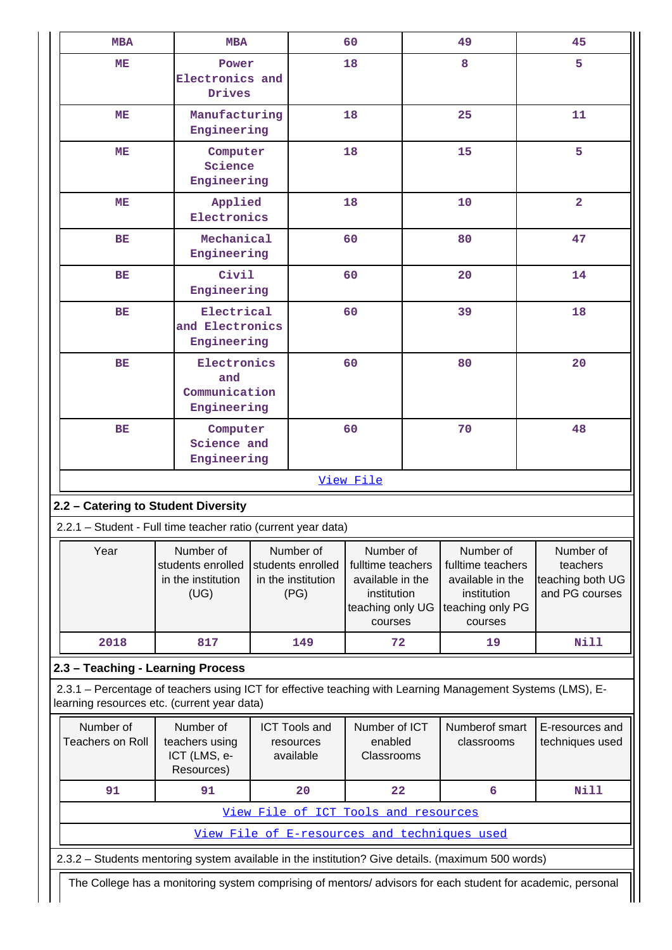| <b>MBA</b>                                                                                                  | <b>MBA</b>                                                                                                                                                |                                                              |                                      | 60                                                                                               |  | 49                                                                                               | 45                                                          |
|-------------------------------------------------------------------------------------------------------------|-----------------------------------------------------------------------------------------------------------------------------------------------------------|--------------------------------------------------------------|--------------------------------------|--------------------------------------------------------------------------------------------------|--|--------------------------------------------------------------------------------------------------|-------------------------------------------------------------|
| MЕ                                                                                                          | Power<br>Electronics and<br>Drives                                                                                                                        |                                                              |                                      | 18                                                                                               |  | 8                                                                                                | 5                                                           |
| MЕ                                                                                                          | Manufacturing<br>Engineering                                                                                                                              |                                                              |                                      | 18                                                                                               |  | 25                                                                                               | 11                                                          |
| MЕ                                                                                                          | Computer<br>Science<br>Engineering                                                                                                                        |                                                              |                                      | 18                                                                                               |  | 15                                                                                               | 5                                                           |
| MЕ                                                                                                          | Applied<br>Electronics                                                                                                                                    |                                                              |                                      | 18                                                                                               |  | 10                                                                                               | $\overline{a}$                                              |
| <b>BE</b>                                                                                                   | Mechanical<br>Engineering                                                                                                                                 |                                                              |                                      | 60                                                                                               |  | 80                                                                                               | 47                                                          |
| BE                                                                                                          | Civil<br>Engineering                                                                                                                                      |                                                              |                                      | 60                                                                                               |  | 20                                                                                               | 14                                                          |
| <b>BE</b>                                                                                                   | Electrical<br>and Electronics<br>Engineering                                                                                                              |                                                              |                                      | 60                                                                                               |  | 39                                                                                               | 18                                                          |
| BE                                                                                                          | Electronics<br>and<br>Communication<br>Engineering                                                                                                        |                                                              |                                      | 60                                                                                               |  | 80                                                                                               | 20                                                          |
| <b>BE</b>                                                                                                   | Computer<br>Science and<br>Engineering                                                                                                                    |                                                              |                                      | 60                                                                                               |  | 70                                                                                               | 48                                                          |
|                                                                                                             |                                                                                                                                                           |                                                              |                                      | View File                                                                                        |  |                                                                                                  |                                                             |
| 2.2 - Catering to Student Diversity                                                                         |                                                                                                                                                           |                                                              |                                      |                                                                                                  |  |                                                                                                  |                                                             |
| 2.2.1 - Student - Full time teacher ratio (current year data)                                               |                                                                                                                                                           |                                                              |                                      |                                                                                                  |  |                                                                                                  |                                                             |
| Year                                                                                                        | Number of<br>students enrolled<br>in the institution<br>(UG)                                                                                              | Number of<br>students enrolled<br>in the institution<br>(PG) |                                      | Number of<br>fulltime teachers<br>available in the<br>institution<br>teaching only UG<br>courses |  | Number of<br>fulltime teachers<br>available in the<br>institution<br>teaching only PG<br>courses | Number of<br>teachers<br>teaching both UG<br>and PG courses |
| 2018                                                                                                        | 817                                                                                                                                                       |                                                              | 149                                  | 72                                                                                               |  | 19                                                                                               | <b>Nill</b>                                                 |
| 2.3 - Teaching - Learning Process                                                                           |                                                                                                                                                           |                                                              |                                      |                                                                                                  |  |                                                                                                  |                                                             |
|                                                                                                             | 2.3.1 - Percentage of teachers using ICT for effective teaching with Learning Management Systems (LMS), E-<br>learning resources etc. (current year data) |                                                              |                                      |                                                                                                  |  |                                                                                                  |                                                             |
| Number of<br><b>Teachers on Roll</b>                                                                        | Number of<br>teachers using<br>ICT (LMS, e-<br>Resources)                                                                                                 | <b>ICT Tools and</b><br>resources<br>available               |                                      | Number of ICT<br>enabled<br>Classrooms                                                           |  | Numberof smart<br>classrooms                                                                     | E-resources and<br>techniques used                          |
| 91                                                                                                          | 91                                                                                                                                                        |                                                              | 20                                   | 22                                                                                               |  | 6                                                                                                | Nill                                                        |
|                                                                                                             |                                                                                                                                                           |                                                              | View File of ICT Tools and resources |                                                                                                  |  |                                                                                                  |                                                             |
|                                                                                                             |                                                                                                                                                           |                                                              |                                      |                                                                                                  |  | View File of E-resources and techniques used                                                     |                                                             |
| 2.3.2 - Students mentoring system available in the institution? Give details. (maximum 500 words)           |                                                                                                                                                           |                                                              |                                      |                                                                                                  |  |                                                                                                  |                                                             |
| The College has a monitoring system comprising of mentors/ advisors for each student for academic, personal |                                                                                                                                                           |                                                              |                                      |                                                                                                  |  |                                                                                                  |                                                             |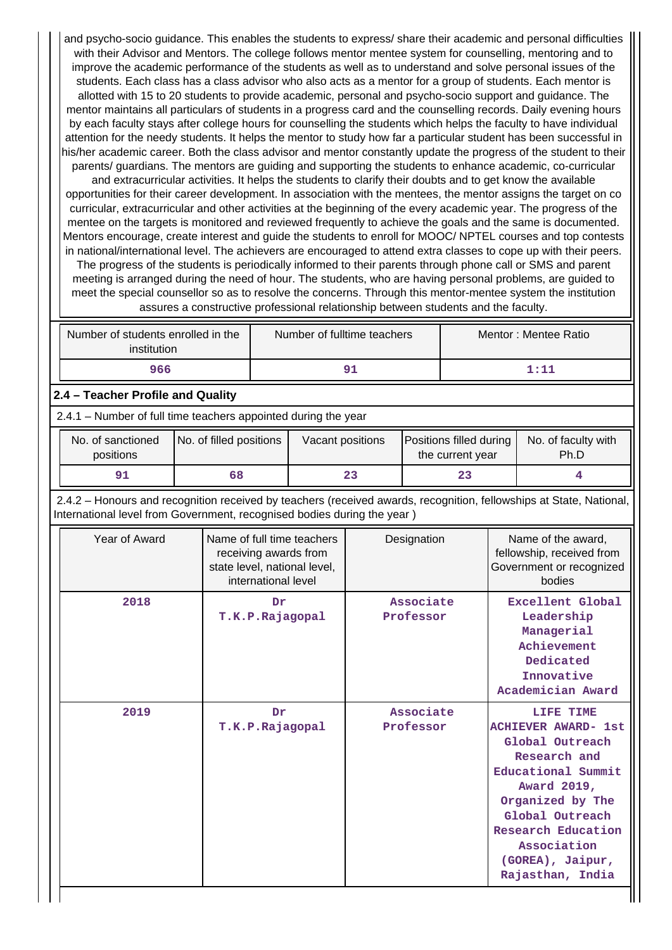and psycho-socio guidance. This enables the students to express/ share their academic and personal difficulties with their Advisor and Mentors. The college follows mentor mentee system for counselling, mentoring and to improve the academic performance of the students as well as to understand and solve personal issues of the students. Each class has a class advisor who also acts as a mentor for a group of students. Each mentor is allotted with 15 to 20 students to provide academic, personal and psycho-socio support and guidance. The mentor maintains all particulars of students in a progress card and the counselling records. Daily evening hours by each faculty stays after college hours for counselling the students which helps the faculty to have individual attention for the needy students. It helps the mentor to study how far a particular student has been successful in his/her academic career. Both the class advisor and mentor constantly update the progress of the student to their parents/ guardians. The mentors are guiding and supporting the students to enhance academic, co-curricular and extracurricular activities. It helps the students to clarify their doubts and to get know the available opportunities for their career development. In association with the mentees, the mentor assigns the target on co

curricular, extracurricular and other activities at the beginning of the every academic year. The progress of the mentee on the targets is monitored and reviewed frequently to achieve the goals and the same is documented. Mentors encourage, create interest and guide the students to enroll for MOOC/ NPTEL courses and top contests in national/international level. The achievers are encouraged to attend extra classes to cope up with their peers.

The progress of the students is periodically informed to their parents through phone call or SMS and parent meeting is arranged during the need of hour. The students, who are having personal problems, are guided to meet the special counsellor so as to resolve the concerns. Through this mentor-mentee system the institution assures a constructive professional relationship between students and the faculty.

| Number of students enrolled in the<br>institution | Number of fulltime teachers | Mentor: Mentee Ratio |
|---------------------------------------------------|-----------------------------|----------------------|
| 966                                               | 91                          | 1:11                 |

## **2.4 – Teacher Profile and Quality**

2.4.1 – Number of full time teachers appointed during the year

| No. of sanctioned | No. of filled positions |    | Positions filled during | No. of faculty with |
|-------------------|-------------------------|----|-------------------------|---------------------|
| positions         | Vacant positions        |    | the current year        | Ph.D                |
|                   | 68                      | 23 |                         |                     |

 2.4.2 – Honours and recognition received by teachers (received awards, recognition, fellowships at State, National, International level from Government, recognised bodies during the year )

| Year of Award | Name of full time teachers<br>receiving awards from<br>state level, national level,<br>international level | Designation            | Name of the award,<br>fellowship, received from<br>Government or recognized<br>bodies                                                                                                                                               |
|---------------|------------------------------------------------------------------------------------------------------------|------------------------|-------------------------------------------------------------------------------------------------------------------------------------------------------------------------------------------------------------------------------------|
| 2018          | Dr<br>T.K.P.Rajagopal                                                                                      | Associate<br>Professor | Excellent Global<br>Leadership<br>Managerial<br>Achievement<br>Dedicated<br>Innovative<br>Academician Award                                                                                                                         |
| 2019          | Dr<br>T.K.P.Rajagopal                                                                                      | Associate<br>Professor | LIFE TIME<br><b>ACHIEVER AWARD- 1st</b><br>Global Outreach<br>Research and<br>Educational Summit<br>Award 2019,<br>Organized by The<br>Global Outreach<br>Research Education<br>Association<br>(GOREA), Jaipur,<br>Rajasthan, India |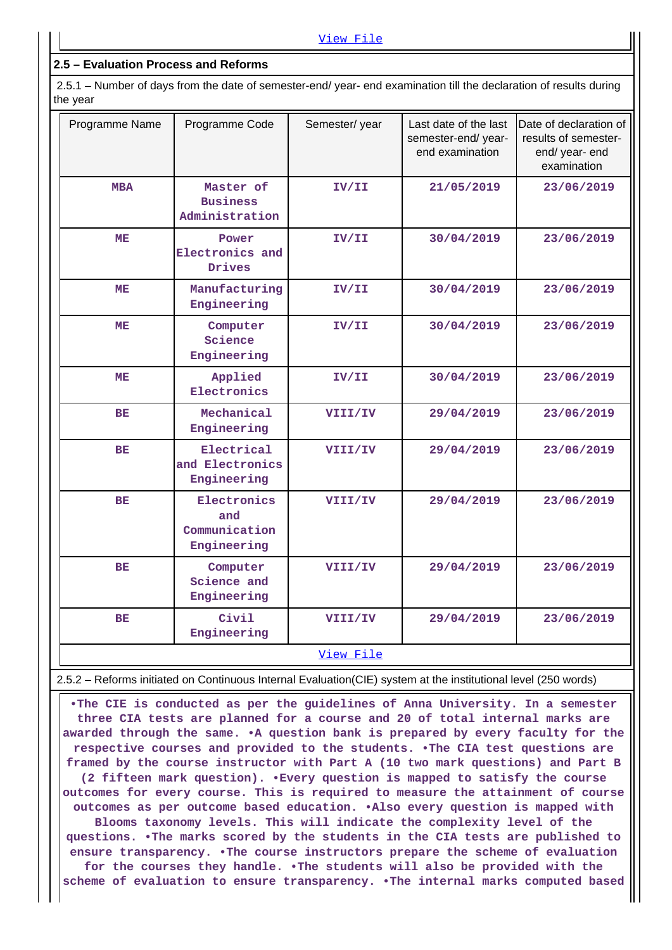### **2.5 – Evaluation Process and Reforms**

 2.5.1 – Number of days from the date of semester-end/ year- end examination till the declaration of results during the year

| Programme Name | Programme Code                                     | Semester/year | Last date of the last<br>semester-end/year-<br>end examination | Date of declaration of<br>results of semester-<br>end/ year- end<br>examination |
|----------------|----------------------------------------------------|---------------|----------------------------------------------------------------|---------------------------------------------------------------------------------|
| <b>MBA</b>     | Master of<br><b>Business</b><br>Administration     | IV/II         | 21/05/2019                                                     | 23/06/2019                                                                      |
| <b>ME</b>      | Power<br>Electronics and<br>Drives                 | IV/II         | 30/04/2019                                                     | 23/06/2019                                                                      |
| MЕ             | Manufacturing<br>Engineering                       | IV/II         | 30/04/2019                                                     | 23/06/2019                                                                      |
| MЕ             | Computer<br>Science<br>Engineering                 | IV/II         | 30/04/2019                                                     | 23/06/2019                                                                      |
| ME             | Applied<br>Electronics                             | IV/II         | 30/04/2019                                                     | 23/06/2019                                                                      |
| BE             | Mechanical<br>Engineering                          | VIII/IV       | 29/04/2019                                                     | 23/06/2019                                                                      |
| <b>BE</b>      | Electrical<br>and Electronics<br>Engineering       | VIII/IV       | 29/04/2019                                                     | 23/06/2019                                                                      |
| <b>BE</b>      | Electronics<br>and<br>Communication<br>Engineering | VIII/IV       | 29/04/2019                                                     | 23/06/2019                                                                      |
| <b>BE</b>      | Computer<br>Science and<br>Engineering             | VIII/IV       | 29/04/2019                                                     | 23/06/2019                                                                      |
| <b>BE</b>      | Civil<br>Engineering                               | VIII/IV       | 29/04/2019                                                     | 23/06/2019                                                                      |
|                |                                                    | View File     |                                                                |                                                                                 |

2.5.2 – Reforms initiated on Continuous Internal Evaluation(CIE) system at the institutional level (250 words)

 **•The CIE is conducted as per the guidelines of Anna University. In a semester three CIA tests are planned for a course and 20 of total internal marks are awarded through the same. •A question bank is prepared by every faculty for the respective courses and provided to the students. •The CIA test questions are framed by the course instructor with Part A (10 two mark questions) and Part B (2 fifteen mark question). •Every question is mapped to satisfy the course outcomes for every course. This is required to measure the attainment of course outcomes as per outcome based education. •Also every question is mapped with Blooms taxonomy levels. This will indicate the complexity level of the questions. •The marks scored by the students in the CIA tests are published to ensure transparency. •The course instructors prepare the scheme of evaluation for the courses they handle. •The students will also be provided with the scheme of evaluation to ensure transparency. •The internal marks computed based**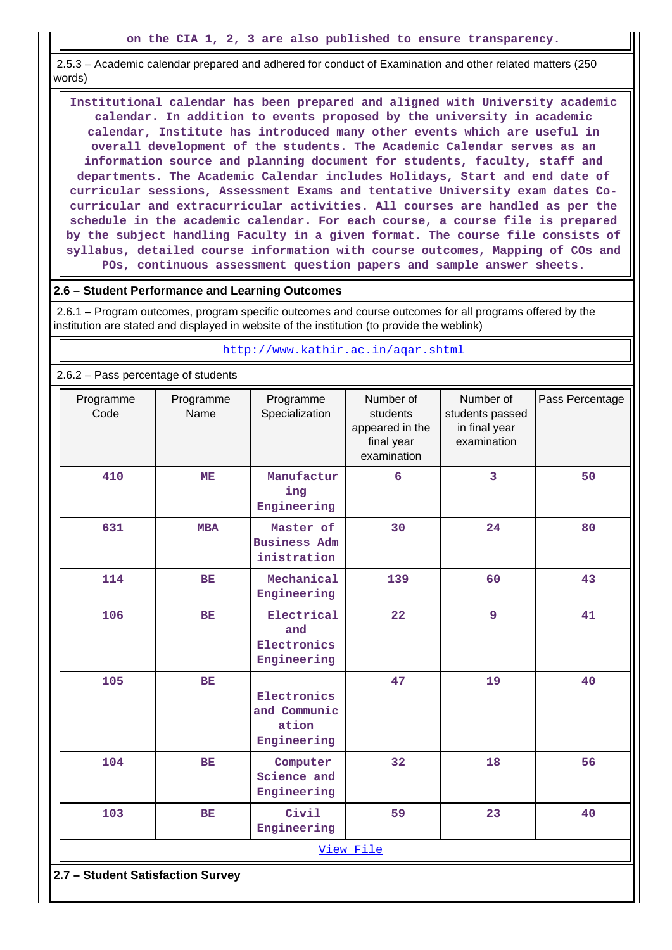2.5.3 – Academic calendar prepared and adhered for conduct of Examination and other related matters (250 words)

 **Institutional calendar has been prepared and aligned with University academic calendar. In addition to events proposed by the university in academic calendar, Institute has introduced many other events which are useful in overall development of the students. The Academic Calendar serves as an information source and planning document for students, faculty, staff and departments. The Academic Calendar includes Holidays, Start and end date of curricular sessions, Assessment Exams and tentative University exam dates Cocurricular and extracurricular activities. All courses are handled as per the schedule in the academic calendar. For each course, a course file is prepared by the subject handling Faculty in a given format. The course file consists of syllabus, detailed course information with course outcomes, Mapping of COs and POs, continuous assessment question papers and sample answer sheets.**

#### **2.6 – Student Performance and Learning Outcomes**

 2.6.1 – Program outcomes, program specific outcomes and course outcomes for all programs offered by the institution are stated and displayed in website of the institution (to provide the weblink)

|                                     | http://www.kathir.ac.in/agar.shtml |                                                     |                                                                       |                                                              |                 |  |  |  |  |  |  |
|-------------------------------------|------------------------------------|-----------------------------------------------------|-----------------------------------------------------------------------|--------------------------------------------------------------|-----------------|--|--|--|--|--|--|
| 2.6.2 - Pass percentage of students |                                    |                                                     |                                                                       |                                                              |                 |  |  |  |  |  |  |
| Programme<br>Code                   | Programme<br>Name                  | Programme<br>Specialization                         | Number of<br>students<br>appeared in the<br>final year<br>examination | Number of<br>students passed<br>in final year<br>examination | Pass Percentage |  |  |  |  |  |  |
| 410                                 | ME                                 | Manufactur<br>ing<br>Engineering                    | $6\phantom{1}6$                                                       | $\overline{3}$                                               | 50              |  |  |  |  |  |  |
| 631                                 | <b>MBA</b>                         | Master of<br><b>Business Adm</b><br>inistration     | 30                                                                    | 24                                                           | 80              |  |  |  |  |  |  |
| 114                                 | <b>BE</b>                          | Mechanical<br>Engineering                           | 139                                                                   | 60                                                           | 43              |  |  |  |  |  |  |
| 106                                 | <b>BE</b>                          | Electrical<br>and<br>Electronics<br>Engineering     | 22                                                                    | $\overline{9}$                                               | 41              |  |  |  |  |  |  |
| 105                                 | <b>BE</b>                          | Electronics<br>and Communic<br>ation<br>Engineering | 47                                                                    | 19                                                           | 40              |  |  |  |  |  |  |
| 104                                 | <b>BE</b>                          | Computer<br>Science and<br>Engineering              | 32                                                                    | 18                                                           | 56              |  |  |  |  |  |  |
| 103                                 | <b>BE</b>                          | Civil<br>Engineering                                | 59                                                                    | 23                                                           | 40              |  |  |  |  |  |  |
|                                     |                                    |                                                     | View File                                                             |                                                              |                 |  |  |  |  |  |  |
| 2.7 - Student Satisfaction Survey   |                                    |                                                     |                                                                       |                                                              |                 |  |  |  |  |  |  |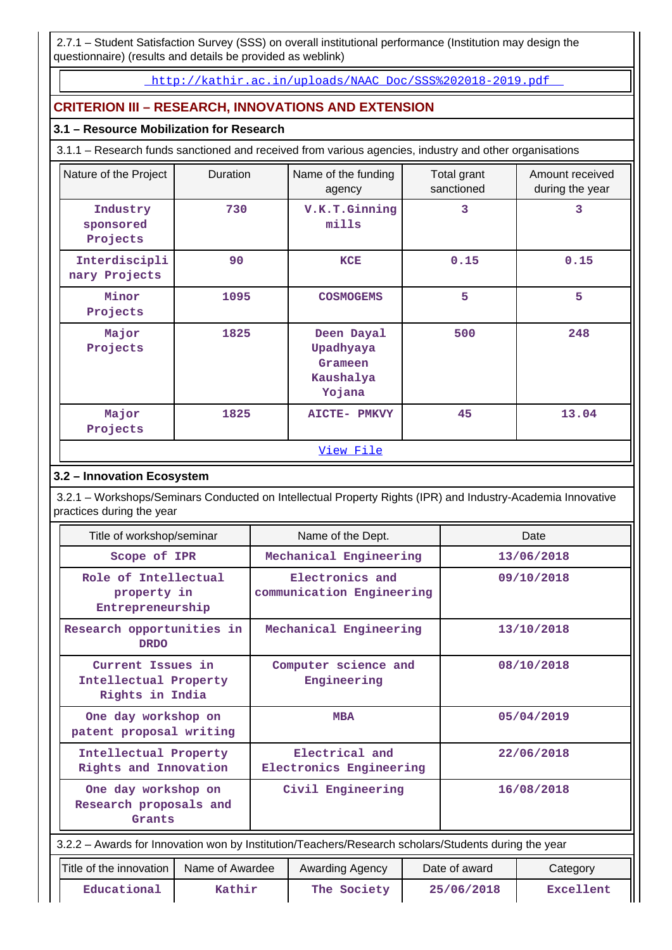2.7.1 – Student Satisfaction Survey (SSS) on overall institutional performance (Institution may design the questionnaire) (results and details be provided as weblink)

[http://kathir.ac.in/uploads/NAAC\\_Doc/SSS%202018-2019.pdf](http://kathir.ac.in/uploads/NAAC_Doc/SSS%202018-2019.pdf) 

# **CRITERION III – RESEARCH, INNOVATIONS AND EXTENSION**

### **3.1 – Resource Mobilization for Research**

3.1.1 – Research funds sanctioned and received from various agencies, industry and other organisations

| Nature of the Project             | Duration                      | Name of the funding<br>agency                             | Total grant<br>sanctioned | Amount received<br>during the year |  |  |  |  |
|-----------------------------------|-------------------------------|-----------------------------------------------------------|---------------------------|------------------------------------|--|--|--|--|
| Industry<br>sponsored<br>Projects | V.K.T.Ginning<br>730<br>mills |                                                           | 3                         | 3                                  |  |  |  |  |
| Interdiscipli<br>nary Projects    | 90                            | <b>KCE</b>                                                | 0.15                      | 0.15                               |  |  |  |  |
| Minor<br>Projects                 | 1095                          | <b>COSMOGEMS</b>                                          | 5                         | 5                                  |  |  |  |  |
| Major<br>Projects                 | 1825                          | Deen Dayal<br>Upadhyaya<br>Grameen<br>Kaushalya<br>Yojana | 500                       | 248                                |  |  |  |  |
| Major<br>Projects                 | 1825                          | <b>AICTE-</b><br><b>PMKVY</b>                             | 45                        | 13.04                              |  |  |  |  |
| View File                         |                               |                                                           |                           |                                    |  |  |  |  |

# **3.2 – Innovation Ecosystem**

 3.2.1 – Workshops/Seminars Conducted on Intellectual Property Rights (IPR) and Industry-Academia Innovative practices during the year

|                                                               | Title of workshop/seminar                      |                                              |                                           | Name of the Dept.                                                                                    |                                |                           | Date       |
|---------------------------------------------------------------|------------------------------------------------|----------------------------------------------|-------------------------------------------|------------------------------------------------------------------------------------------------------|--------------------------------|---------------------------|------------|
| Scope of IPR                                                  |                                                |                                              |                                           | Mechanical Engineering                                                                               |                                |                           | 13/06/2018 |
| Role of Intellectual<br>property in<br>Entrepreneurship       |                                                | Electronics and<br>communication Engineering |                                           | 09/10/2018                                                                                           |                                |                           |            |
| Research opportunities in<br><b>DRDO</b>                      |                                                |                                              |                                           | Mechanical Engineering                                                                               |                                |                           | 13/10/2018 |
| Current Issues in<br>Intellectual Property<br>Rights in India |                                                | Computer science and<br>Engineering          |                                           |                                                                                                      | 08/10/2018                     |                           |            |
|                                                               | One day workshop on<br>patent proposal writing |                                              |                                           | <b>MBA</b>                                                                                           |                                |                           | 05/04/2019 |
|                                                               | Intellectual Property<br>Rights and Innovation |                                              | Electrical and<br>Electronics Engineering |                                                                                                      |                                | 22/06/2018                |            |
| One day workshop on<br>Research proposals and<br>Grants       |                                                |                                              |                                           | Civil Engineering                                                                                    |                                |                           | 16/08/2018 |
|                                                               |                                                |                                              |                                           | 3.2.2 - Awards for Innovation won by Institution/Teachers/Research scholars/Students during the year |                                |                           |            |
| Title of the innovation                                       |                                                | Name of Awardee                              |                                           | Awarding Agency                                                                                      |                                | Date of award<br>Category |            |
| Educational<br>Kathir                                         |                                                |                                              | The Society                               |                                                                                                      | 25/06/2018<br><b>Excellent</b> |                           |            |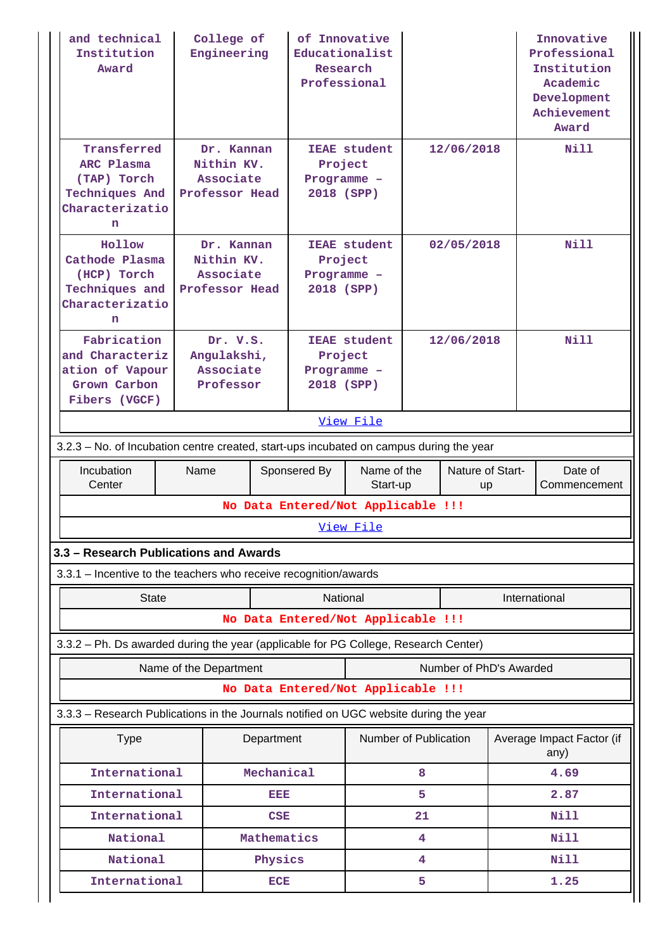| and technical<br>Institution<br>Award                                                     |                                                   | College of<br>Engineering                               |                                                    | of Innovative<br>Educationalist<br>Research<br>Professional |   |                         |              | Innovative<br>Professional<br>Institution<br>Academic<br>Development<br>Achievement<br>Award |  |  |  |
|-------------------------------------------------------------------------------------------|---------------------------------------------------|---------------------------------------------------------|----------------------------------------------------|-------------------------------------------------------------|---|-------------------------|--------------|----------------------------------------------------------------------------------------------|--|--|--|
| Transferred<br>ARC Plasma<br>(TAP) Torch<br><b>Techniques And</b><br>Characterizatio<br>n |                                                   | Dr. Kannan<br>Nithin KV.<br>Associate<br>Professor Head |                                                    | <b>IEAE</b> student<br>Project<br>Programme -<br>2018 (SPP) |   | 12/06/2018              |              | Nill                                                                                         |  |  |  |
| Hollow<br>Cathode Plasma<br>(HCP) Torch<br>Techniques and<br>Characterizatio<br>n         | Nithin KV.<br>Associate<br>Professor Head         | Dr. Kannan                                              |                                                    | <b>IEAE</b> student<br>Project<br>Programme -<br>2018 (SPP) |   | 02/05/2018              |              | Nill                                                                                         |  |  |  |
| Fabrication<br>and Characteriz<br>ation of Vapour<br>Grown Carbon<br>Fibers (VGCF)        | Dr. V.S.<br>Angulakshi,<br>Associate<br>Professor |                                                         | Project<br>Programme -<br>2018 (SPP)               | <b>IEAE</b> student                                         |   | 12/06/2018              |              | N11                                                                                          |  |  |  |
|                                                                                           | View File                                         |                                                         |                                                    |                                                             |   |                         |              |                                                                                              |  |  |  |
| 3.2.3 – No. of Incubation centre created, start-ups incubated on campus during the year   |                                                   |                                                         |                                                    |                                                             |   |                         |              |                                                                                              |  |  |  |
| Incubation<br>Center                                                                      | Name                                              |                                                         | Sponsered By<br>No Data Entered/Not Applicable !!! | Name of the<br>Start-up                                     |   | Nature of Start-<br>up  |              | Date of<br>Commencement                                                                      |  |  |  |
|                                                                                           |                                                   |                                                         |                                                    | View File                                                   |   |                         |              |                                                                                              |  |  |  |
| 3.3 - Research Publications and Awards                                                    |                                                   |                                                         |                                                    |                                                             |   |                         |              |                                                                                              |  |  |  |
| 3.3.1 - Incentive to the teachers who receive recognition/awards                          |                                                   |                                                         |                                                    |                                                             |   |                         |              |                                                                                              |  |  |  |
| <b>State</b>                                                                              |                                                   |                                                         | National                                           |                                                             |   |                         |              | International                                                                                |  |  |  |
|                                                                                           |                                                   |                                                         | No Data Entered/Not Applicable !!!                 |                                                             |   |                         |              |                                                                                              |  |  |  |
| 3.3.2 - Ph. Ds awarded during the year (applicable for PG College, Research Center)       |                                                   |                                                         |                                                    |                                                             |   |                         |              |                                                                                              |  |  |  |
|                                                                                           | Name of the Department                            |                                                         |                                                    |                                                             |   | Number of PhD's Awarded |              |                                                                                              |  |  |  |
|                                                                                           |                                                   |                                                         | No Data Entered/Not Applicable !!!                 |                                                             |   |                         |              |                                                                                              |  |  |  |
| 3.3.3 - Research Publications in the Journals notified on UGC website during the year     |                                                   |                                                         |                                                    |                                                             |   |                         |              |                                                                                              |  |  |  |
| <b>Type</b>                                                                               |                                                   | Department                                              |                                                    | Number of Publication                                       |   |                         |              | Average Impact Factor (if<br>any)                                                            |  |  |  |
|                                                                                           | International<br>Mechanical                       |                                                         |                                                    |                                                             | 8 |                         |              | 4.69                                                                                         |  |  |  |
| International                                                                             |                                                   | eisia                                                   |                                                    |                                                             | 5 |                         |              | 2.87                                                                                         |  |  |  |
| International<br>CSE<br>National<br>Mathematics                                           |                                                   |                                                         |                                                    | 21<br>4                                                     |   |                         | Nill<br>Nill |                                                                                              |  |  |  |
| National                                                                                  |                                                   | Physics                                                 |                                                    |                                                             | 4 |                         |              | Nill                                                                                         |  |  |  |
| International                                                                             |                                                   | <b>ECE</b>                                              |                                                    |                                                             | 5 |                         |              | 1.25                                                                                         |  |  |  |
|                                                                                           |                                                   |                                                         |                                                    |                                                             |   |                         |              |                                                                                              |  |  |  |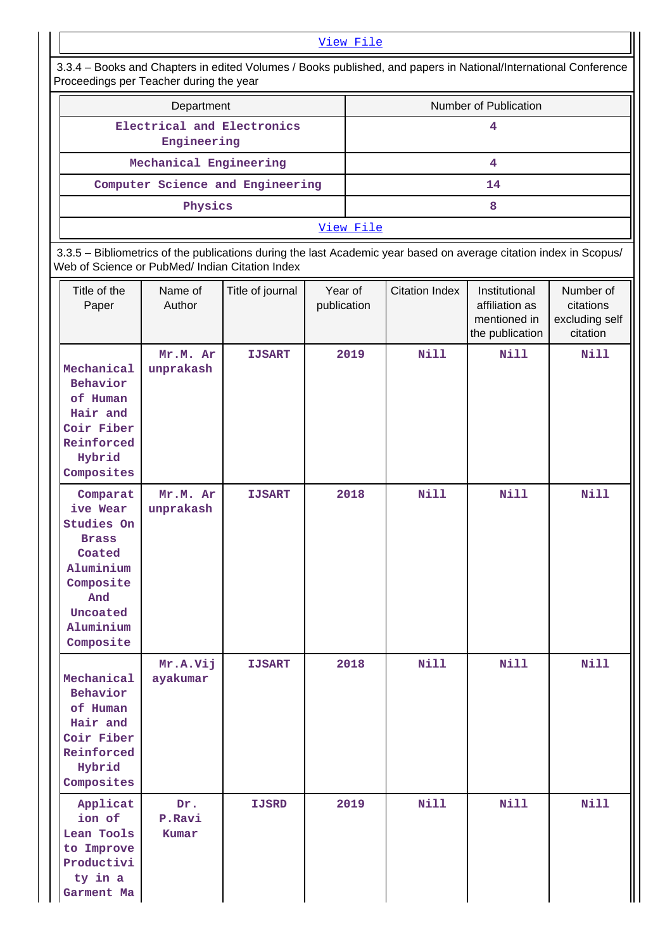### [View File](https://assessmentonline.naac.gov.in/public/Postacc/journals_notified_on_UGC/10683_journals_notified_on_UGC_1620795444.xlsx)

 3.3.4 – Books and Chapters in edited Volumes / Books published, and papers in National/International Conference Proceedings per Teacher during the year

| Department                                | Number of Publication |  |  |  |  |  |
|-------------------------------------------|-----------------------|--|--|--|--|--|
| Electrical and Electronics<br>Engineering |                       |  |  |  |  |  |
| Mechanical Engineering                    |                       |  |  |  |  |  |
| Computer Science and Engineering          | 14                    |  |  |  |  |  |
| Physics                                   |                       |  |  |  |  |  |
| View File                                 |                       |  |  |  |  |  |

 3.3.5 – Bibliometrics of the publications during the last Academic year based on average citation index in Scopus/ Web of Science or PubMed/ Indian Citation Index

| Title of the<br>Paper                                                                                                               | Name of<br>Author      | Title of journal | Year of<br>publication | <b>Citation Index</b> | Institutional<br>affiliation as<br>mentioned in<br>the publication | Number of<br>citations<br>excluding self<br>citation |
|-------------------------------------------------------------------------------------------------------------------------------------|------------------------|------------------|------------------------|-----------------------|--------------------------------------------------------------------|------------------------------------------------------|
| Mechanical<br>Behavior<br>of Human<br>Hair and<br>Coir Fiber<br>Reinforced<br>Hybrid<br>Composites                                  | Mr.M. Ar<br>unprakash  | <b>IJSART</b>    | 2019                   | Nill                  | Nill                                                               | <b>Nill</b>                                          |
| Comparat<br>ive Wear<br>Studies On<br><b>Brass</b><br>Coated<br>Aluminium<br>Composite<br>And<br>Uncoated<br>Aluminium<br>Composite | Mr.M. Ar<br>unprakash  | <b>IJSART</b>    | 2018                   | <b>Nill</b>           | <b>Nill</b>                                                        | <b>Nill</b>                                          |
| Mechanical<br>Behavior<br>of Human<br>Hair and<br>Coir Fiber<br>Reinforced<br>Hybrid<br>Composites                                  | Mr.A.Vij<br>ayakumar   | <b>IJSART</b>    | 2018                   | <b>Nill</b>           | <b>Nill</b>                                                        | Nill                                                 |
| Applicat<br>ion of<br>Lean Tools<br>to Improve<br>Productivi<br>ty in a<br>Garment Ma                                               | Dr.<br>P.Ravi<br>Kumar | <b>IJSRD</b>     | 2019                   | Nill                  | Nill                                                               | Nill                                                 |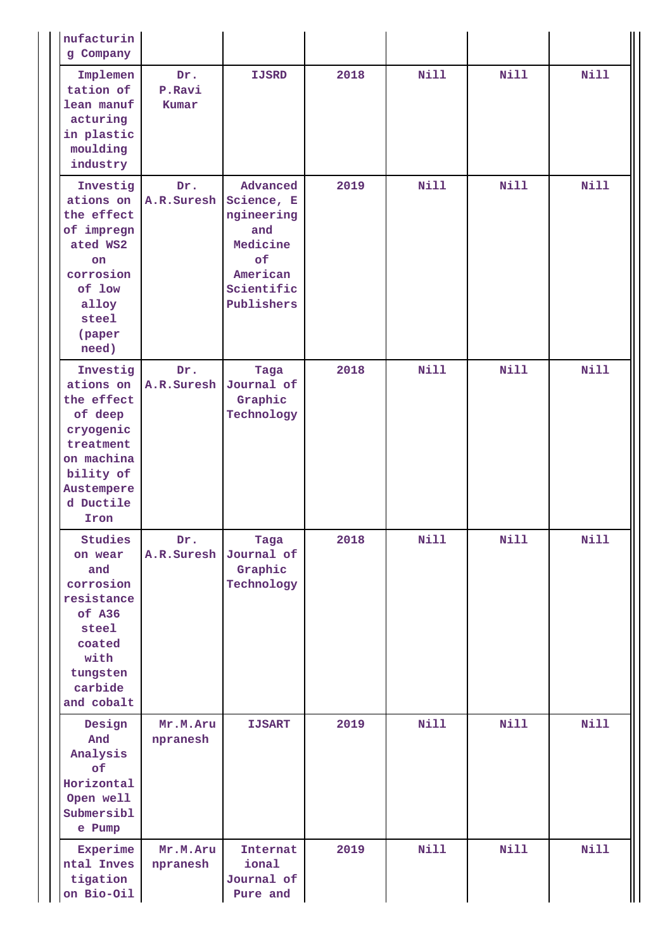| nufacturin<br>g Company                                                                                                                |                        |                                                                                                       |      |             |             |             |
|----------------------------------------------------------------------------------------------------------------------------------------|------------------------|-------------------------------------------------------------------------------------------------------|------|-------------|-------------|-------------|
| Implemen<br>tation of<br>lean manuf<br>acturing<br>in plastic<br>moulding<br>industry                                                  | Dr.<br>P.Ravi<br>Kumar | <b>IJSRD</b>                                                                                          | 2018 | Nill        | <b>Nill</b> | <b>Nill</b> |
| Investig<br>ations on<br>the effect<br>of impregn<br>ated WS2<br>on<br>corrosion<br>of low<br>alloy<br>steel<br>(paper<br>need)        | Dr.<br>A.R.Suresh      | Advanced<br>Science, E<br>ngineering<br>and<br>Medicine<br>of<br>American<br>Scientific<br>Publishers | 2019 | <b>Nill</b> | <b>Nill</b> | Nill        |
| Investig<br>ations on<br>the effect<br>of deep<br>cryogenic<br>treatment<br>on machina<br>bility of<br>Austempere<br>d Ductile<br>Iron | Dr.<br>A.R. Suresh     | Taga<br>Journal of<br>Graphic<br>Technology                                                           | 2018 | <b>Nill</b> | <b>Nill</b> | <b>Nill</b> |
| Studies<br>on wear<br>and<br>corrosion<br>resistance<br>of A36<br>steel<br>coated<br>with<br>tungsten<br>carbide<br>and cobalt         | Dr.<br>A.R.Suresh      | Taga<br>Journal of<br>Graphic<br>Technology                                                           | 2018 | Nill        | <b>Nill</b> | Nill        |
| Design<br>And<br>Analysis<br>of<br>Horizontal<br>Open well<br>Submersibl<br>e Pump                                                     | Mr.M.Aru<br>npranesh   | <b>IJSART</b>                                                                                         | 2019 | Nill        | <b>Nill</b> | <b>Nill</b> |
| Experime<br>ntal Inves<br>tigation<br>on Bio-Oil                                                                                       | Mr.M.Aru<br>npranesh   | Internat<br>ional<br>Journal of<br>Pure and                                                           | 2019 | Nill        | <b>Nill</b> | <b>Nill</b> |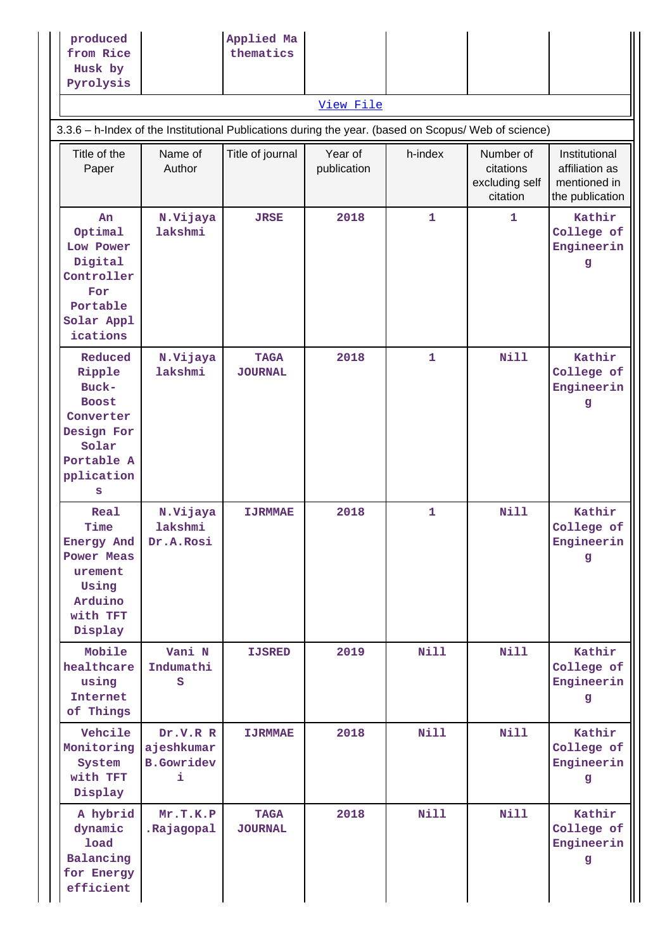## [View File](https://assessmentonline.naac.gov.in/public/Postacc/Bibliometrics/10683_Bibliometrics_1620472738.xlsx)

# 3.3.6 – h-Index of the Institutional Publications during the year. (based on Scopus/ Web of science)

| Title of the<br>Paper                                                                                           | Name of<br>Author                                 | Title of journal              | Year of<br>publication | h-index      | Number of<br>citations<br>excluding self<br>citation | Institutional<br>affiliation as<br>mentioned in<br>the publication |
|-----------------------------------------------------------------------------------------------------------------|---------------------------------------------------|-------------------------------|------------------------|--------------|------------------------------------------------------|--------------------------------------------------------------------|
| An<br>Optimal<br>Low Power<br>Digital<br>Controller<br>For<br>Portable<br>Solar Appl<br>ications                | N.Vijaya<br>lakshmi                               | <b>JRSE</b>                   | 2018                   | 1            | 1                                                    | Kathir<br>College of<br>Engineerin<br>g                            |
| Reduced<br>Ripple<br>Buck-<br><b>Boost</b><br>Converter<br>Design For<br>Solar<br>Portable A<br>pplication<br>s | N.Vijaya<br>lakshmi                               | <b>TAGA</b><br><b>JOURNAL</b> | 2018                   | $\mathbf 1$  | <b>Nill</b>                                          | Kathir<br>College of<br>Engineerin<br>$\mathbf{g}$                 |
| Real<br>Time<br>Energy And<br><b>Power Meas</b><br>urement<br>Using<br>Arduino<br>with TFT<br>Display           | N.Vijaya<br>lakshmi<br>Dr.A.Rosi                  | <b>IJRMMAE</b>                | 2018                   | $\mathbf{1}$ | <b>Nill</b>                                          | Kathir<br>College of<br>Engineerin<br>g                            |
| Mobile<br>healthcare<br>using<br>Internet<br>of Things                                                          | Vani N<br>Indumathi<br>S                          | <b>IJSRED</b>                 | 2019                   | <b>Nill</b>  | <b>Nill</b>                                          | Kathir<br>College of<br>Engineerin<br>g                            |
| Vehcile<br>Monitoring<br>System<br>with TFT<br>Display                                                          | Dr.V.R R<br>ajeshkumar<br><b>B.Gowridev</b><br>i. | <b>IJRMMAE</b>                | 2018                   | <b>Nill</b>  | <b>Nill</b>                                          | Kathir<br>College of<br>Engineerin<br>g                            |
| A hybrid<br>dynamic<br>load<br>Balancing<br>for Energy<br>efficient                                             | Mr.T.K.P<br>.Rajagopal                            | <b>TAGA</b><br><b>JOURNAL</b> | 2018                   | <b>Nill</b>  | <b>Nill</b>                                          | Kathir<br>College of<br>Engineerin<br>g                            |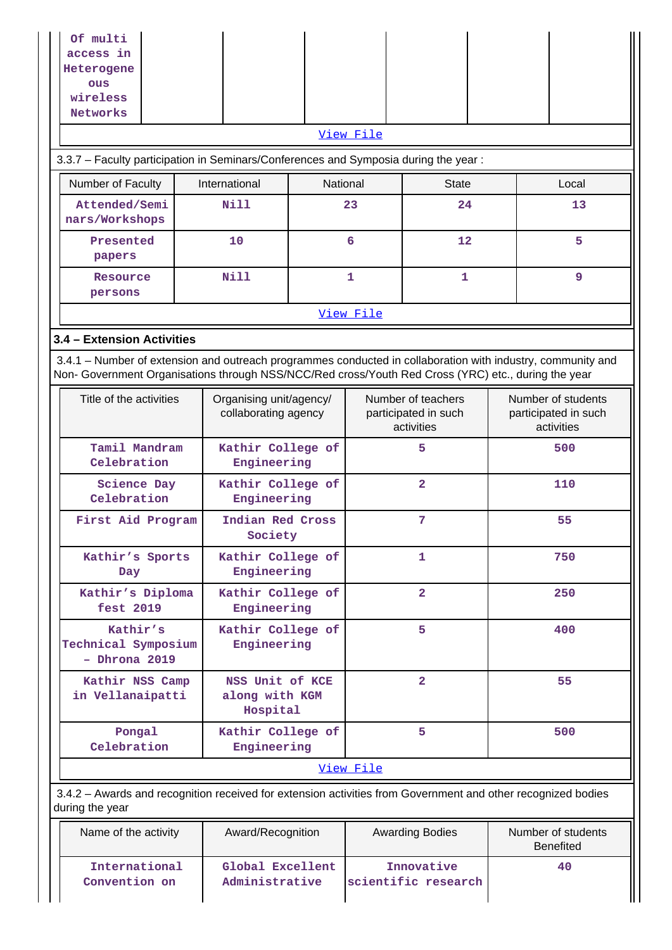| Of multi<br>access in                                                                                                                                                                                              |                                                   |                                                 |                                   |                                                          |    |                                                          |                                        |  |  |  |  |  |  |
|--------------------------------------------------------------------------------------------------------------------------------------------------------------------------------------------------------------------|---------------------------------------------------|-------------------------------------------------|-----------------------------------|----------------------------------------------------------|----|----------------------------------------------------------|----------------------------------------|--|--|--|--|--|--|
| Heterogene                                                                                                                                                                                                         |                                                   |                                                 |                                   |                                                          |    |                                                          |                                        |  |  |  |  |  |  |
| ous<br>wireless                                                                                                                                                                                                    |                                                   |                                                 |                                   |                                                          |    |                                                          |                                        |  |  |  |  |  |  |
| Networks                                                                                                                                                                                                           |                                                   |                                                 |                                   |                                                          |    |                                                          |                                        |  |  |  |  |  |  |
|                                                                                                                                                                                                                    | View File                                         |                                                 |                                   |                                                          |    |                                                          |                                        |  |  |  |  |  |  |
| 3.3.7 - Faculty participation in Seminars/Conferences and Symposia during the year:                                                                                                                                |                                                   |                                                 |                                   |                                                          |    |                                                          |                                        |  |  |  |  |  |  |
| Number of Faculty                                                                                                                                                                                                  | International                                     | National                                        |                                   | <b>State</b>                                             |    |                                                          | Local                                  |  |  |  |  |  |  |
| Attended/Semi<br>nars/Workshops                                                                                                                                                                                    | <b>Nill</b>                                       |                                                 | 23                                | 24                                                       |    | 13                                                       |                                        |  |  |  |  |  |  |
| Presented<br>papers                                                                                                                                                                                                | 10                                                |                                                 | 6                                 | 12                                                       |    |                                                          | 5                                      |  |  |  |  |  |  |
| Resource<br>persons                                                                                                                                                                                                | <b>Nill</b>                                       |                                                 | $\mathbf{1}$                      | 1                                                        |    |                                                          | 9                                      |  |  |  |  |  |  |
|                                                                                                                                                                                                                    |                                                   |                                                 | View File                         |                                                          |    |                                                          |                                        |  |  |  |  |  |  |
| 3.4 - Extension Activities                                                                                                                                                                                         |                                                   |                                                 |                                   |                                                          |    |                                                          |                                        |  |  |  |  |  |  |
| 3.4.1 – Number of extension and outreach programmes conducted in collaboration with industry, community and<br>Non- Government Organisations through NSS/NCC/Red cross/Youth Red Cross (YRC) etc., during the year |                                                   |                                                 |                                   |                                                          |    |                                                          |                                        |  |  |  |  |  |  |
| Title of the activities                                                                                                                                                                                            |                                                   | Organising unit/agency/<br>collaborating agency |                                   | Number of teachers<br>participated in such<br>activities |    | Number of students<br>participated in such<br>activities |                                        |  |  |  |  |  |  |
| Celebration                                                                                                                                                                                                        | Tamil Mandram<br>Kathir College of<br>Engineering |                                                 | 5                                 |                                                          |    | 500                                                      |                                        |  |  |  |  |  |  |
| <b>Science Day</b><br>Celebration                                                                                                                                                                                  | Kathir College of<br>Engineering                  |                                                 | $\overline{2}$                    |                                                          |    | 110                                                      |                                        |  |  |  |  |  |  |
| First Aid Program                                                                                                                                                                                                  | Indian Red Cross<br>Society                       | 7                                               |                                   |                                                          | 55 |                                                          |                                        |  |  |  |  |  |  |
| Kathir's Sports<br>Day                                                                                                                                                                                             | Kathir College of<br>Engineering                  |                                                 |                                   | $\mathbf{1}$                                             |    | 750                                                      |                                        |  |  |  |  |  |  |
| Kathir's Diploma<br>fest 2019                                                                                                                                                                                      | Kathir College of<br>Engineering                  |                                                 |                                   | $\overline{\mathbf{2}}$                                  |    |                                                          | 250                                    |  |  |  |  |  |  |
| Kathir's<br>Technical Symposium<br>- Dhrona 2019                                                                                                                                                                   | Kathir College of<br>Engineering                  |                                                 |                                   | 5                                                        |    |                                                          | 400                                    |  |  |  |  |  |  |
| Kathir NSS Camp<br>in Vellanaipatti                                                                                                                                                                                | NSS Unit of KCE<br>along with KGM<br>Hospital     |                                                 |                                   | $\overline{2}$                                           |    | 55                                                       |                                        |  |  |  |  |  |  |
| Pongal<br>Celebration                                                                                                                                                                                              | Kathir College of<br>Engineering                  |                                                 |                                   | 5                                                        |    |                                                          | 500                                    |  |  |  |  |  |  |
|                                                                                                                                                                                                                    |                                                   |                                                 | View File                         |                                                          |    |                                                          |                                        |  |  |  |  |  |  |
| 3.4.2 - Awards and recognition received for extension activities from Government and other recognized bodies<br>during the year                                                                                    |                                                   |                                                 |                                   |                                                          |    |                                                          |                                        |  |  |  |  |  |  |
| Name of the activity                                                                                                                                                                                               | Award/Recognition                                 |                                                 |                                   | <b>Awarding Bodies</b>                                   |    |                                                          | Number of students<br><b>Benefited</b> |  |  |  |  |  |  |
| International<br>Convention on                                                                                                                                                                                     | Global Excellent<br>Administrative                |                                                 | Innovative<br>scientific research |                                                          |    |                                                          | 40                                     |  |  |  |  |  |  |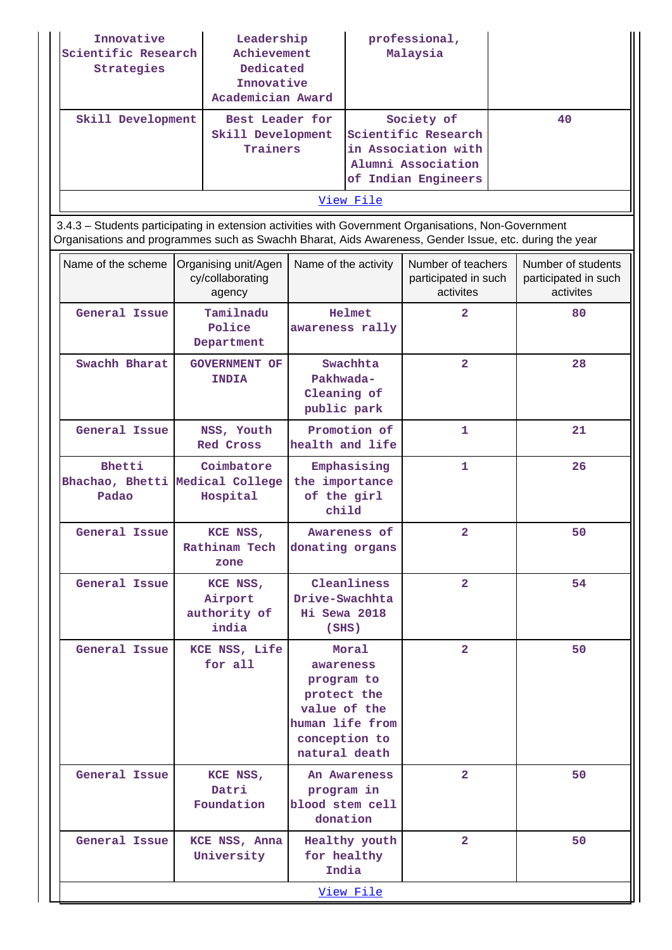| Innovative<br>Scientific Research<br>Strategies                                                                                                                                                                |                                                    | Leadership<br>professional,<br>Achievement<br>Malaysia<br>Dedicated<br>Innovative<br>Academician Award                                                    |                                                        |                                                         |    |                                                         |
|----------------------------------------------------------------------------------------------------------------------------------------------------------------------------------------------------------------|----------------------------------------------------|-----------------------------------------------------------------------------------------------------------------------------------------------------------|--------------------------------------------------------|---------------------------------------------------------|----|---------------------------------------------------------|
| Skill Development                                                                                                                                                                                              |                                                    | Best Leader for<br>Society of<br>Skill Development<br>Scientific Research<br>Trainers<br>in Association with<br>Alumni Association<br>of Indian Engineers |                                                        |                                                         | 40 |                                                         |
|                                                                                                                                                                                                                |                                                    |                                                                                                                                                           | View File                                              |                                                         |    |                                                         |
| 3.4.3 - Students participating in extension activities with Government Organisations, Non-Government<br>Organisations and programmes such as Swachh Bharat, Aids Awareness, Gender Issue, etc. during the year |                                                    |                                                                                                                                                           |                                                        |                                                         |    |                                                         |
| Name of the scheme                                                                                                                                                                                             | Organising unit/Agen<br>cy/collaborating<br>agency |                                                                                                                                                           | Name of the activity                                   | Number of teachers<br>participated in such<br>activites |    | Number of students<br>participated in such<br>activites |
| General Issue                                                                                                                                                                                                  | Tamilnadu<br>Police<br>Department                  |                                                                                                                                                           | Helmet<br>awareness rally                              | $\overline{2}$                                          |    | 80                                                      |
| Swachh Bharat                                                                                                                                                                                                  | <b>GOVERNMENT OF</b><br><b>INDIA</b>               |                                                                                                                                                           | Swachhta<br>Pakhwada-<br>Cleaning of<br>public park    | $\overline{2}$                                          |    | 28                                                      |
| General Issue                                                                                                                                                                                                  | NSS, Youth<br>Red Cross                            |                                                                                                                                                           | Promotion of<br>health and life                        | $\mathbf{1}$                                            |    | 21                                                      |
| Bhetti<br>Bhachao, Bhetti Medical College<br>Padao                                                                                                                                                             | Coimbatore<br>Hospital                             |                                                                                                                                                           | Emphasising<br>the importance<br>of the girl<br>child  | 1                                                       |    | 26                                                      |
| General Issue                                                                                                                                                                                                  | KCE NSS,<br>Rathinam Tech<br>zone                  |                                                                                                                                                           | Awareness of<br>donating organs                        | 2                                                       |    | 50                                                      |
| General Issue                                                                                                                                                                                                  | KCE NSS,<br>Airport<br>authority of<br>india       |                                                                                                                                                           | Cleanliness<br>Drive-Swachhta<br>Hi Sewa 2018<br>(SHS) | $\overline{2}$                                          |    | 54                                                      |
| General Issue                                                                                                                                                                                                  | KCE NSS, Life                                      |                                                                                                                                                           | Moral                                                  | $\overline{a}$                                          |    | 50                                                      |

**awareness program to protect the value of the human life from conception to natural death**

 **An Awareness program in blood stem cell donation**

> **Healthy youth for healthy India**

> > [View File](https://assessmentonline.naac.gov.in/public/Postacc/Students_in_extension/10683_Students_in_extension_1620476924.xlsx)

 **2 50**

 **2 50**

**for all**

**Datri Foundation**

**University**

General Issue KCE NSS,

 **General Issue KCE NSS, Anna**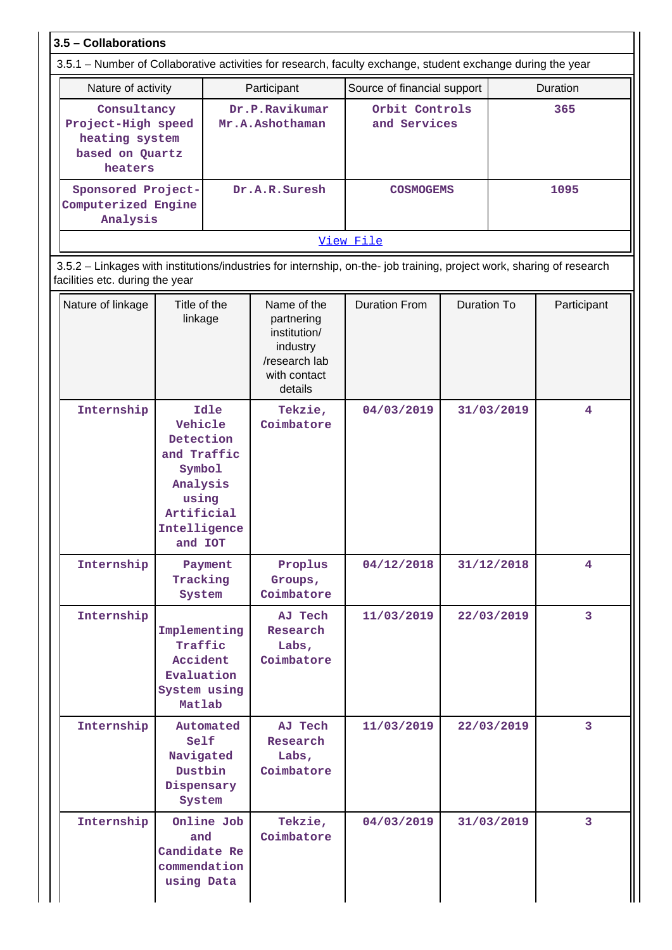**3.5 – Collaborations**

| 3.5.1 – Number of Collaborative activities for research, faculty exchange, student exchange during the year |                                   |                                |                 |  |  |  |  |
|-------------------------------------------------------------------------------------------------------------|-----------------------------------|--------------------------------|-----------------|--|--|--|--|
| Nature of activity                                                                                          | Participant                       | Source of financial support    | <b>Duration</b> |  |  |  |  |
| Consultancy<br>Project-High speed<br>heating system<br>based on Quartz<br>heaters                           | Dr.P.Ravikumar<br>Mr.A.Ashothaman | Orbit Controls<br>and Services | 365             |  |  |  |  |
| Sponsored Project-<br>Computerized Engine<br>Analysis                                                       | Dr.A.R.Suresh                     | <b>COSMOGEMS</b>               | 1095            |  |  |  |  |
|                                                                                                             |                                   | View File                      |                 |  |  |  |  |

 3.5.2 – Linkages with institutions/industries for internship, on-the- job training, project work, sharing of research facilities etc. during the year

| Nature of linkage | Title of the<br>linkage                                                                                             | Name of the<br>partnering<br>institution/<br>industry<br>/research lab<br>with contact<br>details | <b>Duration From</b> | Duration To | Participant             |
|-------------------|---------------------------------------------------------------------------------------------------------------------|---------------------------------------------------------------------------------------------------|----------------------|-------------|-------------------------|
| Internship        | Idle<br>Vehicle<br>Detection<br>and Traffic<br>Symbol<br>Analysis<br>using<br>Artificial<br>Intelligence<br>and IOT | Tekzie,<br>Coimbatore                                                                             | 04/03/2019           | 31/03/2019  | $\overline{\mathbf{4}}$ |
| Internship        | Payment<br>Tracking<br>System                                                                                       | Proplus<br>Groups,<br>Coimbatore                                                                  | 04/12/2018           | 31/12/2018  | 4                       |
| Internship        | Implementing<br>Traffic<br>Accident<br>Evaluation<br>System using<br>Matlab                                         | AJ Tech<br>Research<br>Labs,<br>Coimbatore                                                        | 11/03/2019           | 22/03/2019  | 3                       |
| Internship        | Automated<br>Self<br>Navigated<br>Dustbin<br>Dispensary<br>System                                                   | AJ Tech<br>Research<br>Labs,<br>Coimbatore                                                        | 11/03/2019           | 22/03/2019  | 3                       |
| Internship        | Online Job<br>and<br>Candidate Re<br>commendation<br>using Data                                                     | Tekzie,<br>Coimbatore                                                                             | 04/03/2019           | 31/03/2019  | 3                       |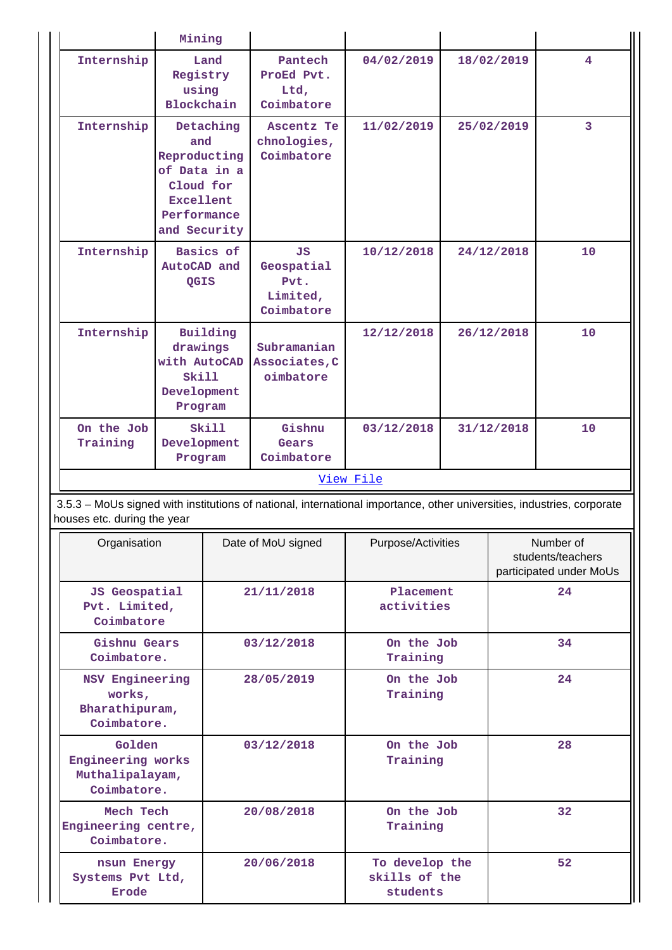|           |                                                            | Mining                                                                                              |            |                                                           |                                                                                                                        |  |            |                                                           |
|-----------|------------------------------------------------------------|-----------------------------------------------------------------------------------------------------|------------|-----------------------------------------------------------|------------------------------------------------------------------------------------------------------------------------|--|------------|-----------------------------------------------------------|
|           | Internship                                                 | Registry<br>using<br>Blockchain                                                                     | Land       | Pantech<br>ProEd Pvt.<br>Ltd,<br>Coimbatore               | 04/02/2019                                                                                                             |  | 18/02/2019 | $\overline{4}$                                            |
|           | Internship                                                 | and<br>Reproducting<br>of Data in a<br>Cloud for<br><b>Excellent</b><br>Performance<br>and Security | Detaching  | Ascentz Te<br>chnologies,<br>Coimbatore                   | 11/02/2019                                                                                                             |  | 25/02/2019 | 3                                                         |
|           | Internship                                                 | AutoCAD and<br>QGIS                                                                                 | Basics of  | <b>JS</b><br>Geospatial<br>Pvt.<br>Limited,<br>Coimbatore | 10/12/2018                                                                                                             |  | 24/12/2018 | 10                                                        |
|           | Internship                                                 | drawings<br>with AutoCAD<br>Skill<br>Development<br>Program                                         | Building   | Subramanian<br>Associates, C<br>oimbatore                 | 12/12/2018                                                                                                             |  | 26/12/2018 | 10                                                        |
|           | On the Job<br>Training                                     | Development<br>Program                                                                              | Skill      | Gishnu<br>Gears<br>Coimbatore                             | 03/12/2018                                                                                                             |  | 31/12/2018 | 10                                                        |
| View File |                                                            |                                                                                                     |            |                                                           |                                                                                                                        |  |            |                                                           |
|           | houses etc. during the year                                |                                                                                                     |            |                                                           | 3.5.3 - MoUs signed with institutions of national, international importance, other universities, industries, corporate |  |            |                                                           |
|           | Organisation                                               |                                                                                                     |            | Date of MoU signed                                        | Purpose/Activities                                                                                                     |  |            | Number of<br>students/teachers<br>participated under MoUs |
|           | <b>JS Geospatial</b><br>Pvt. Limited,<br>Coimbatore        |                                                                                                     |            | 21/11/2018                                                | Placement<br>activities                                                                                                |  |            | 24                                                        |
|           | Gishnu Gears<br>Coimbatore.                                |                                                                                                     |            | 03/12/2018                                                | On the Job<br>Training                                                                                                 |  | 34         |                                                           |
|           | NSV Engineering<br>works,<br>Bharathipuram,<br>Coimbatore. |                                                                                                     | 28/05/2019 |                                                           | On the Job<br>Training                                                                                                 |  |            | 24                                                        |
|           |                                                            | Golden<br>Engineering works<br>Muthalipalayam,<br>Coimbatore.                                       |            | 03/12/2018                                                | On the Job<br>Training                                                                                                 |  |            | 28                                                        |
|           |                                                            |                                                                                                     |            |                                                           |                                                                                                                        |  |            |                                                           |
|           | Mech Tech<br>Engineering centre,<br>Coimbatore.            |                                                                                                     |            | 20/08/2018                                                | On the Job<br>Training                                                                                                 |  |            | 32                                                        |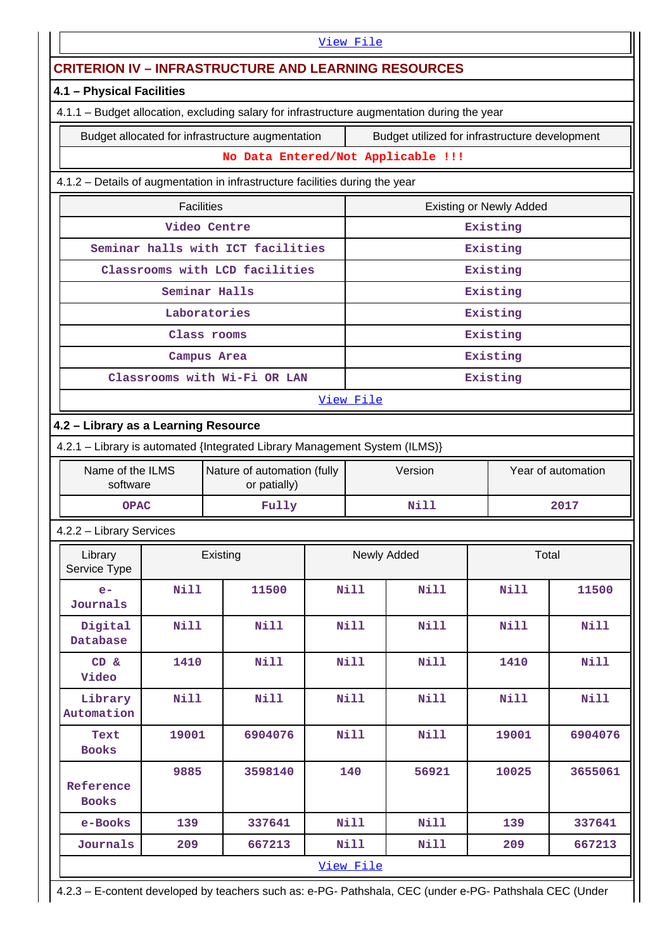| View File                                                                                                          |                                                                                                    |               |                                             |  |             |                                    |                                |                    |  |
|--------------------------------------------------------------------------------------------------------------------|----------------------------------------------------------------------------------------------------|---------------|---------------------------------------------|--|-------------|------------------------------------|--------------------------------|--------------------|--|
| <b>CRITERION IV - INFRASTRUCTURE AND LEARNING RESOURCES</b>                                                        |                                                                                                    |               |                                             |  |             |                                    |                                |                    |  |
| 4.1 - Physical Facilities                                                                                          |                                                                                                    |               |                                             |  |             |                                    |                                |                    |  |
| 4.1.1 - Budget allocation, excluding salary for infrastructure augmentation during the year                        |                                                                                                    |               |                                             |  |             |                                    |                                |                    |  |
|                                                                                                                    | Budget allocated for infrastructure augmentation<br>Budget utilized for infrastructure development |               |                                             |  |             |                                    |                                |                    |  |
|                                                                                                                    |                                                                                                    |               |                                             |  |             | No Data Entered/Not Applicable !!! |                                |                    |  |
|                                                                                                                    | 4.1.2 - Details of augmentation in infrastructure facilities during the year                       |               |                                             |  |             |                                    |                                |                    |  |
|                                                                                                                    | <b>Facilities</b>                                                                                  |               |                                             |  |             |                                    | <b>Existing or Newly Added</b> |                    |  |
|                                                                                                                    |                                                                                                    | Video Centre  |                                             |  |             |                                    | Existing                       |                    |  |
|                                                                                                                    | Seminar halls with ICT facilities                                                                  |               |                                             |  |             |                                    | Existing                       |                    |  |
|                                                                                                                    | Classrooms with LCD facilities                                                                     |               |                                             |  |             |                                    | Existing                       |                    |  |
|                                                                                                                    |                                                                                                    | Seminar Halls |                                             |  |             |                                    | Existing                       |                    |  |
|                                                                                                                    |                                                                                                    | Laboratories  |                                             |  |             |                                    | Existing                       |                    |  |
|                                                                                                                    |                                                                                                    | Class rooms   |                                             |  |             |                                    | Existing                       |                    |  |
|                                                                                                                    |                                                                                                    | Campus Area   |                                             |  |             |                                    | Existing                       |                    |  |
|                                                                                                                    | Classrooms with Wi-Fi OR LAN                                                                       |               |                                             |  |             |                                    | Existing                       |                    |  |
|                                                                                                                    |                                                                                                    |               |                                             |  | View File   |                                    |                                |                    |  |
| 4.2 - Library as a Learning Resource<br>4.2.1 - Library is automated {Integrated Library Management System (ILMS)} |                                                                                                    |               |                                             |  |             |                                    |                                |                    |  |
| Name of the ILMS                                                                                                   |                                                                                                    |               |                                             |  |             | Version                            |                                | Year of automation |  |
| software                                                                                                           |                                                                                                    |               | Nature of automation (fully<br>or patially) |  |             |                                    |                                |                    |  |
| <b>OPAC</b>                                                                                                        |                                                                                                    |               | Fully                                       |  | Nill        |                                    |                                | 2017               |  |
| 4.2.2 - Library Services                                                                                           |                                                                                                    |               |                                             |  |             |                                    |                                |                    |  |
| Library<br>Service Type                                                                                            |                                                                                                    | Existing      |                                             |  | Newly Added |                                    | Total                          |                    |  |
| $e-$<br>Journals                                                                                                   | <b>Nill</b>                                                                                        |               | 11500                                       |  | Nill        | Nill                               | Nill                           | 11500              |  |
| Digital<br>Database                                                                                                | <b>Nill</b>                                                                                        |               | <b>Nill</b>                                 |  | <b>Nill</b> | <b>Nill</b>                        | <b>Nill</b>                    | <b>Nill</b>        |  |
| CD &<br>Video                                                                                                      | 1410                                                                                               |               | <b>Nill</b>                                 |  | Nill        | Nill                               | 1410                           | <b>Nill</b>        |  |
| Library<br>Automation                                                                                              | Nill                                                                                               |               | Nill                                        |  | Nill        | Nill                               | <b>Nill</b>                    | <b>Nill</b>        |  |
| Text<br><b>Books</b>                                                                                               | 19001                                                                                              |               | 6904076                                     |  | <b>Nill</b> | <b>Nill</b>                        | 19001                          | 6904076            |  |
| Reference<br><b>Books</b>                                                                                          | 9885                                                                                               |               | 3598140                                     |  | 140         | 56921                              | 10025                          | 3655061            |  |
| e-Books                                                                                                            | 139                                                                                                |               | 337641                                      |  | Nill        | <b>Nill</b>                        | 139                            | 337641             |  |
| Journals                                                                                                           | 209                                                                                                |               | 667213                                      |  | Nill        | Nill                               | 209                            | 667213             |  |
|                                                                                                                    |                                                                                                    |               |                                             |  | View File   |                                    |                                |                    |  |

4.2.3 – E-content developed by teachers such as: e-PG- Pathshala, CEC (under e-PG- Pathshala CEC (Under

 $\mathop{\text{||}}$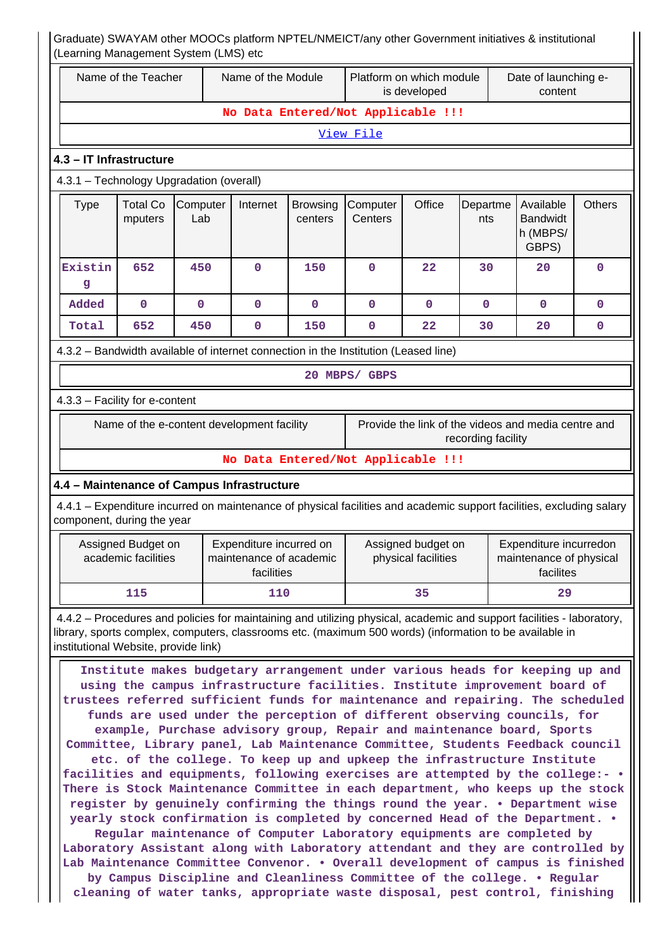| Name of the Teacher<br>Name of the Module<br>Platform on which module |                                                                          |                                            | is developed                                                     |                            | Date of launching e-<br>content                                                                                                                                                                                                                                                                                                                                                                                                                                                                                                                                                                                                                                                                                                                                                                                                                                                                                                                                                                                                                                                                                                                          |                                           |                                                                           |                                                                |               |
|-----------------------------------------------------------------------|--------------------------------------------------------------------------|--------------------------------------------|------------------------------------------------------------------|----------------------------|----------------------------------------------------------------------------------------------------------------------------------------------------------------------------------------------------------------------------------------------------------------------------------------------------------------------------------------------------------------------------------------------------------------------------------------------------------------------------------------------------------------------------------------------------------------------------------------------------------------------------------------------------------------------------------------------------------------------------------------------------------------------------------------------------------------------------------------------------------------------------------------------------------------------------------------------------------------------------------------------------------------------------------------------------------------------------------------------------------------------------------------------------------|-------------------------------------------|---------------------------------------------------------------------------|----------------------------------------------------------------|---------------|
| No Data Entered/Not Applicable !!!                                    |                                                                          |                                            |                                                                  |                            |                                                                                                                                                                                                                                                                                                                                                                                                                                                                                                                                                                                                                                                                                                                                                                                                                                                                                                                                                                                                                                                                                                                                                          |                                           |                                                                           |                                                                |               |
|                                                                       |                                                                          |                                            |                                                                  |                            | View File                                                                                                                                                                                                                                                                                                                                                                                                                                                                                                                                                                                                                                                                                                                                                                                                                                                                                                                                                                                                                                                                                                                                                |                                           |                                                                           |                                                                |               |
|                                                                       | 4.3 - IT Infrastructure                                                  |                                            |                                                                  |                            |                                                                                                                                                                                                                                                                                                                                                                                                                                                                                                                                                                                                                                                                                                                                                                                                                                                                                                                                                                                                                                                                                                                                                          |                                           |                                                                           |                                                                |               |
|                                                                       |                                                                          | 4.3.1 - Technology Upgradation (overall)   |                                                                  |                            |                                                                                                                                                                                                                                                                                                                                                                                                                                                                                                                                                                                                                                                                                                                                                                                                                                                                                                                                                                                                                                                                                                                                                          |                                           |                                                                           |                                                                |               |
| <b>Type</b>                                                           | <b>Total Co</b><br>mputers                                               | Computer<br>Lab                            | Internet                                                         | <b>Browsing</b><br>centers | Computer<br>Centers                                                                                                                                                                                                                                                                                                                                                                                                                                                                                                                                                                                                                                                                                                                                                                                                                                                                                                                                                                                                                                                                                                                                      | Office                                    | Departme<br>nts                                                           | Available<br><b>Bandwidt</b><br>h (MBPS/<br>GBPS)              | <b>Others</b> |
| Existin<br>g                                                          | 652                                                                      | 450                                        | $\Omega$                                                         | 150                        | $\mathbf 0$                                                                                                                                                                                                                                                                                                                                                                                                                                                                                                                                                                                                                                                                                                                                                                                                                                                                                                                                                                                                                                                                                                                                              | 22                                        | 30                                                                        | 20                                                             | $\mathbf 0$   |
| Added                                                                 | $\mathbf 0$                                                              | $\mathbf 0$                                | $\mathbf{0}$                                                     | $\mathbf 0$                | $\mathbf 0$                                                                                                                                                                                                                                                                                                                                                                                                                                                                                                                                                                                                                                                                                                                                                                                                                                                                                                                                                                                                                                                                                                                                              | 0                                         | $\mathbf{0}$                                                              | $\mathbf{0}$                                                   | $\mathbf{0}$  |
| Total                                                                 | 652                                                                      | 450                                        | $\mathbf 0$                                                      | 150                        | $\mathbf 0$                                                                                                                                                                                                                                                                                                                                                                                                                                                                                                                                                                                                                                                                                                                                                                                                                                                                                                                                                                                                                                                                                                                                              | 22                                        | 30                                                                        | 20                                                             | $\mathbf 0$   |
|                                                                       |                                                                          |                                            |                                                                  |                            | 4.3.2 - Bandwidth available of internet connection in the Institution (Leased line)                                                                                                                                                                                                                                                                                                                                                                                                                                                                                                                                                                                                                                                                                                                                                                                                                                                                                                                                                                                                                                                                      |                                           |                                                                           |                                                                |               |
|                                                                       |                                                                          |                                            |                                                                  |                            | 20 MBPS/ GBPS                                                                                                                                                                                                                                                                                                                                                                                                                                                                                                                                                                                                                                                                                                                                                                                                                                                                                                                                                                                                                                                                                                                                            |                                           |                                                                           |                                                                |               |
|                                                                       | 4.3.3 - Facility for e-content                                           |                                            |                                                                  |                            |                                                                                                                                                                                                                                                                                                                                                                                                                                                                                                                                                                                                                                                                                                                                                                                                                                                                                                                                                                                                                                                                                                                                                          |                                           |                                                                           |                                                                |               |
|                                                                       |                                                                          | Name of the e-content development facility |                                                                  |                            |                                                                                                                                                                                                                                                                                                                                                                                                                                                                                                                                                                                                                                                                                                                                                                                                                                                                                                                                                                                                                                                                                                                                                          |                                           | Provide the link of the videos and media centre and<br>recording facility |                                                                |               |
|                                                                       |                                                                          |                                            |                                                                  |                            | No Data Entered/Not Applicable !!!                                                                                                                                                                                                                                                                                                                                                                                                                                                                                                                                                                                                                                                                                                                                                                                                                                                                                                                                                                                                                                                                                                                       |                                           |                                                                           |                                                                |               |
|                                                                       |                                                                          | 4.4 - Maintenance of Campus Infrastructure |                                                                  |                            |                                                                                                                                                                                                                                                                                                                                                                                                                                                                                                                                                                                                                                                                                                                                                                                                                                                                                                                                                                                                                                                                                                                                                          |                                           |                                                                           |                                                                |               |
| component, during the year                                            |                                                                          |                                            |                                                                  |                            | 4.4.1 – Expenditure incurred on maintenance of physical facilities and academic support facilities, excluding salary                                                                                                                                                                                                                                                                                                                                                                                                                                                                                                                                                                                                                                                                                                                                                                                                                                                                                                                                                                                                                                     |                                           |                                                                           |                                                                |               |
|                                                                       | Assigned Budget on<br>academic facilities                                |                                            | Expenditure incurred on<br>maintenance of academic<br>facilities |                            |                                                                                                                                                                                                                                                                                                                                                                                                                                                                                                                                                                                                                                                                                                                                                                                                                                                                                                                                                                                                                                                                                                                                                          | Assigned budget on<br>physical facilities |                                                                           | Expenditure incurredon<br>maintenance of physical<br>facilites |               |
|                                                                       | 115                                                                      |                                            | 110                                                              |                            |                                                                                                                                                                                                                                                                                                                                                                                                                                                                                                                                                                                                                                                                                                                                                                                                                                                                                                                                                                                                                                                                                                                                                          | 35                                        |                                                                           | 29                                                             |               |
| institutional Website, provide link)                                  |                                                                          |                                            |                                                                  |                            | 4.4.2 – Procedures and policies for maintaining and utilizing physical, academic and support facilities - laboratory,<br>library, sports complex, computers, classrooms etc. (maximum 500 words) (information to be available in                                                                                                                                                                                                                                                                                                                                                                                                                                                                                                                                                                                                                                                                                                                                                                                                                                                                                                                         |                                           |                                                                           |                                                                |               |
|                                                                       | by Campus Discipline and Cleanliness Committee of the college. • Regular |                                            |                                                                  |                            | Institute makes budgetary arrangement under various heads for keeping up and<br>using the campus infrastructure facilities. Institute improvement board of<br>trustees referred sufficient funds for maintenance and repairing. The scheduled<br>funds are used under the perception of different observing councils, for<br>example, Purchase advisory group, Repair and maintenance board, Sports<br>Committee, Library panel, Lab Maintenance Committee, Students Feedback council<br>etc. of the college. To keep up and upkeep the infrastructure Institute<br>facilities and equipments, following exercises are attempted by the college:- •<br>There is Stock Maintenance Committee in each department, who keeps up the stock<br>register by genuinely confirming the things round the year. . Department wise<br>yearly stock confirmation is completed by concerned Head of the Department. .<br>Regular maintenance of Computer Laboratory equipments are completed by<br>Laboratory Assistant along with Laboratory attendant and they are controlled by<br>Lab Maintenance Committee Convenor. . Overall development of campus is finished |                                           |                                                                           |                                                                |               |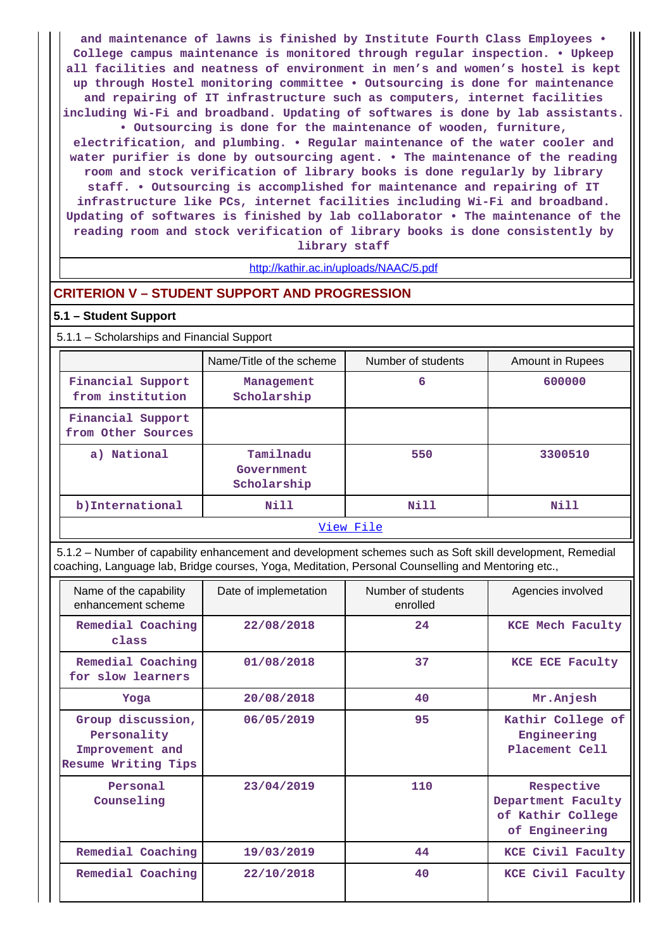**and maintenance of lawns is finished by Institute Fourth Class Employees • College campus maintenance is monitored through regular inspection. • Upkeep all facilities and neatness of environment in men's and women's hostel is kept up through Hostel monitoring committee • Outsourcing is done for maintenance and repairing of IT infrastructure such as computers, internet facilities including Wi-Fi and broadband. Updating of softwares is done by lab assistants. • Outsourcing is done for the maintenance of wooden, furniture,**

**electrification, and plumbing. • Regular maintenance of the water cooler and water purifier is done by outsourcing agent. • The maintenance of the reading room and stock verification of library books is done regularly by library staff. • Outsourcing is accomplished for maintenance and repairing of IT infrastructure like PCs, internet facilities including Wi-Fi and broadband. Updating of softwares is finished by lab collaborator • The maintenance of the reading room and stock verification of library books is done consistently by library staff**

# <http://kathir.ac.in/uploads/NAAC/5.pdf>

#### **CRITERION V – STUDENT SUPPORT AND PROGRESSION**

#### **5.1 – Student Support**

5.1.1 – Scholarships and Financial Support

|                                         | Name/Title of the scheme               | Number of students | Amount in Rupees |  |  |  |
|-----------------------------------------|----------------------------------------|--------------------|------------------|--|--|--|
| Financial Support<br>from institution   | Management<br>Scholarship              | 6                  | 600000           |  |  |  |
| Financial Support<br>from Other Sources |                                        |                    |                  |  |  |  |
| a) National                             | Tamilnadu<br>Government<br>Scholarship | 550                | 3300510          |  |  |  |
| b) International                        | Nill                                   | Nill               | Nill             |  |  |  |
|                                         | View File                              |                    |                  |  |  |  |

 5.1.2 – Number of capability enhancement and development schemes such as Soft skill development, Remedial coaching, Language lab, Bridge courses, Yoga, Meditation, Personal Counselling and Mentoring etc.,

| Name of the capability<br>enhancement scheme                               | Date of implemetation | Number of students<br>enrolled | Agencies involved                                                       |
|----------------------------------------------------------------------------|-----------------------|--------------------------------|-------------------------------------------------------------------------|
| Remedial Coaching<br>class                                                 | 22/08/2018            | 24                             | KCE Mech Faculty                                                        |
| Remedial Coaching<br>for slow learners                                     | 01/08/2018            | 37                             | KCE ECE Faculty                                                         |
| Yoga                                                                       | 20/08/2018            | 40                             | Mr.Anjesh                                                               |
| Group discussion,<br>Personality<br>Improvement and<br>Resume Writing Tips | 06/05/2019            | 95                             | Kathir College of<br>Engineering<br>Placement Cell                      |
| Personal<br>Counseling                                                     | 23/04/2019            | 110                            | Respective<br>Department Faculty<br>of Kathir College<br>of Engineering |
| Remedial Coaching                                                          | 19/03/2019            | 44                             | KCE Civil Faculty                                                       |
| Remedial Coaching                                                          | 22/10/2018            | 40                             | KCE Civil Faculty                                                       |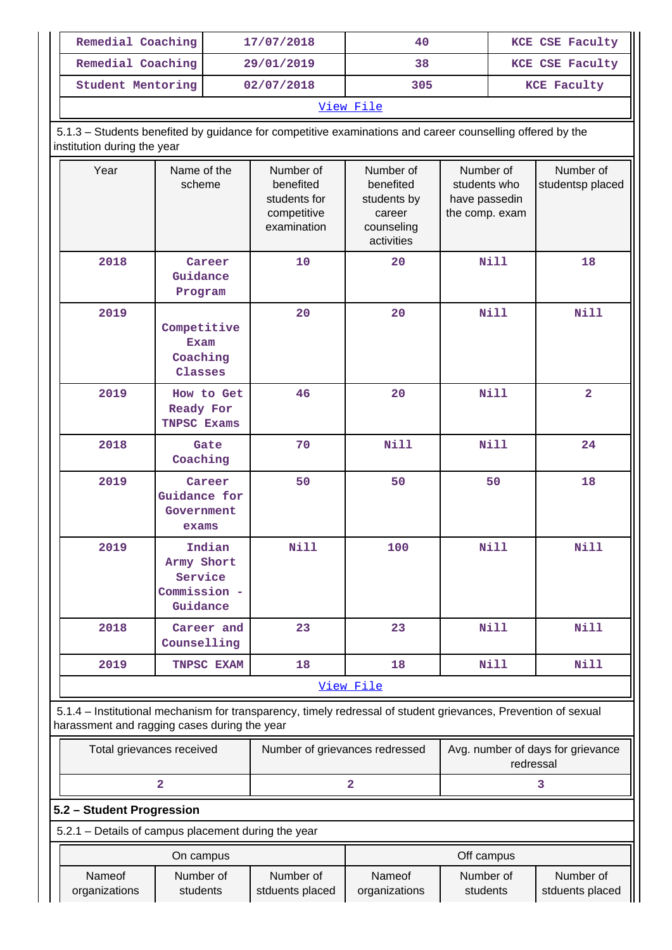| Remedial Coaching | 17/07/2018 | 40  | KCE CSE Faculty    |  |  |
|-------------------|------------|-----|--------------------|--|--|
| Remedial Coaching | 29/01/2019 | 38  | KCE CSE Faculty    |  |  |
| Student Mentoring | 02/07/2018 | 305 | <b>KCE Faculty</b> |  |  |
| View File         |            |     |                    |  |  |

 5.1.3 – Students benefited by guidance for competitive examinations and career counselling offered by the institution during the year

| institution during the year                                                                                                                                    |                                                             |                                                                      |                                                                             |                                                              |                               |
|----------------------------------------------------------------------------------------------------------------------------------------------------------------|-------------------------------------------------------------|----------------------------------------------------------------------|-----------------------------------------------------------------------------|--------------------------------------------------------------|-------------------------------|
| Year                                                                                                                                                           | Name of the<br>scheme                                       | Number of<br>benefited<br>students for<br>competitive<br>examination | Number of<br>benefited<br>students by<br>career<br>counseling<br>activities | Number of<br>students who<br>have passedin<br>the comp. exam | Number of<br>studentsp placed |
| 2018                                                                                                                                                           | Career<br>Guidance<br>Program                               | 10                                                                   | 20                                                                          | <b>Nill</b>                                                  | 18                            |
| 2019                                                                                                                                                           | Competitive<br><b>Exam</b><br>Coaching<br>Classes           | 20                                                                   | 20                                                                          | <b>Nill</b>                                                  | <b>Nill</b>                   |
| 2019                                                                                                                                                           | How to Get<br>Ready For<br><b>TNPSC Exams</b>               | 46                                                                   | 20                                                                          | <b>Nill</b>                                                  | $\overline{2}$                |
| 2018                                                                                                                                                           | Gate<br>Coaching                                            | 70                                                                   | <b>Nill</b>                                                                 | <b>Nill</b>                                                  | 24                            |
| 2019                                                                                                                                                           | Career<br>Guidance for<br>Government<br>exams               | 50                                                                   | 50                                                                          | 50                                                           | 18                            |
| 2019                                                                                                                                                           | Indian<br>Army Short<br>Service<br>Commission -<br>Guidance | <b>Nill</b>                                                          | 100                                                                         | <b>Nill</b>                                                  | <b>Nill</b>                   |
| 2018                                                                                                                                                           | Career and<br>Counselling                                   | 23                                                                   | 23                                                                          | <b>Nill</b>                                                  | <b>Nill</b>                   |
| 2019                                                                                                                                                           | TNPSC EXAM                                                  | 18                                                                   | 18                                                                          | Nill                                                         | <b>Nill</b>                   |
|                                                                                                                                                                |                                                             |                                                                      | View File                                                                   |                                                              |                               |
| 5.1.4 – Institutional mechanism for transparency, timely redressal of student grievances, Prevention of sexual<br>harassment and ragging cases during the year |                                                             |                                                                      |                                                                             |                                                              |                               |
| Total grievances received                                                                                                                                      |                                                             | Number of grievances redressed                                       |                                                                             | Avg. number of days for grievance<br>redressal               |                               |
|                                                                                                                                                                | $\overline{\mathbf{2}}$                                     |                                                                      | 2                                                                           |                                                              | 3                             |
| 5.2 - Student Progression                                                                                                                                      |                                                             |                                                                      |                                                                             |                                                              |                               |
| 5.2.1 - Details of campus placement during the year                                                                                                            |                                                             |                                                                      |                                                                             |                                                              |                               |
|                                                                                                                                                                | On campus                                                   |                                                                      |                                                                             | Off campus                                                   |                               |
| Nameof<br>organizations                                                                                                                                        | Number of<br>students                                       | Number of<br>stduents placed                                         | Nameof<br>organizations                                                     | Number of<br>students                                        | Number of<br>stduents placed  |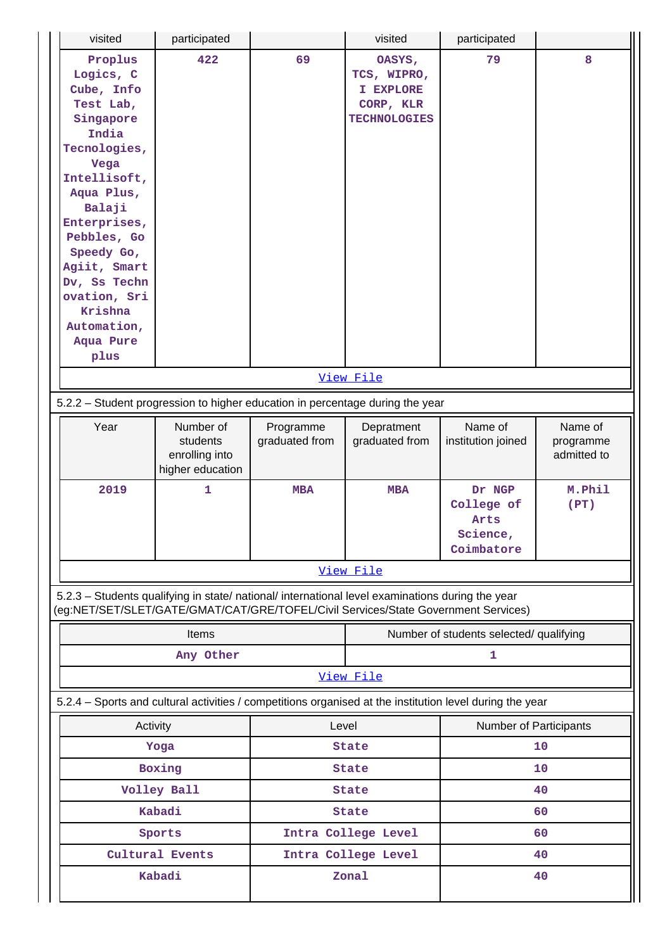| visited                                                                                                                                                                                                                                                                           | participated                                                |                             | visited                                                                | participated                                           |                                     |  |
|-----------------------------------------------------------------------------------------------------------------------------------------------------------------------------------------------------------------------------------------------------------------------------------|-------------------------------------------------------------|-----------------------------|------------------------------------------------------------------------|--------------------------------------------------------|-------------------------------------|--|
| Proplus<br>Logics, C<br>Cube, Info<br>Test Lab,<br>Singapore<br>India<br>Tecnologies,<br>Vega<br>Intellisoft,<br>Aqua Plus,<br>Balaji<br>Enterprises,<br>Pebbles, Go<br>Speedy Go,<br>Agiit, Smart<br>Dv, Ss Techn<br>ovation, Sri<br>Krishna<br>Automation,<br>Aqua Pure<br>plus | 422                                                         | 69                          | OASYS,<br>TCS, WIPRO,<br>I EXPLORE<br>CORP, KLR<br><b>TECHNOLOGIES</b> | 79                                                     | 8                                   |  |
|                                                                                                                                                                                                                                                                                   |                                                             |                             | View File                                                              |                                                        |                                     |  |
| 5.2.2 - Student progression to higher education in percentage during the year                                                                                                                                                                                                     |                                                             |                             |                                                                        |                                                        |                                     |  |
| Year                                                                                                                                                                                                                                                                              | Number of<br>students<br>enrolling into<br>higher education | Programme<br>graduated from | Depratment<br>graduated from                                           | Name of<br>institution joined                          | Name of<br>programme<br>admitted to |  |
| 2019                                                                                                                                                                                                                                                                              | 1                                                           | <b>MBA</b>                  | <b>MBA</b>                                                             | Dr NGP<br>College of<br>Arts<br>Science,<br>Coimbatore | M.Phil<br>(PT)                      |  |
|                                                                                                                                                                                                                                                                                   |                                                             |                             | View File                                                              |                                                        |                                     |  |
| 5.2.3 - Students qualifying in state/ national/ international level examinations during the year<br>(eg:NET/SET/SLET/GATE/GMAT/CAT/GRE/TOFEL/Civil Services/State Government Services)                                                                                            |                                                             |                             |                                                                        |                                                        |                                     |  |
|                                                                                                                                                                                                                                                                                   | Items                                                       |                             |                                                                        | Number of students selected/ qualifying                |                                     |  |
|                                                                                                                                                                                                                                                                                   | Any Other                                                   |                             |                                                                        | 1                                                      |                                     |  |
|                                                                                                                                                                                                                                                                                   |                                                             |                             | View File                                                              |                                                        |                                     |  |
| 5.2.4 - Sports and cultural activities / competitions organised at the institution level during the year                                                                                                                                                                          |                                                             |                             |                                                                        |                                                        |                                     |  |
| Activity                                                                                                                                                                                                                                                                          |                                                             | Level                       |                                                                        | Number of Participants                                 |                                     |  |
|                                                                                                                                                                                                                                                                                   | Yoga                                                        |                             | <b>State</b>                                                           |                                                        | 10                                  |  |
|                                                                                                                                                                                                                                                                                   | Boxing                                                      |                             | <b>State</b>                                                           |                                                        | 10                                  |  |
|                                                                                                                                                                                                                                                                                   | Volley Ball                                                 |                             | <b>State</b>                                                           |                                                        | 40                                  |  |
|                                                                                                                                                                                                                                                                                   | Kabadi                                                      |                             | <b>State</b>                                                           |                                                        | 60                                  |  |
|                                                                                                                                                                                                                                                                                   | Sports                                                      |                             | Intra College Level                                                    |                                                        | 60                                  |  |
|                                                                                                                                                                                                                                                                                   | Cultural Events                                             |                             | Intra College Level                                                    |                                                        | 40                                  |  |
|                                                                                                                                                                                                                                                                                   |                                                             |                             |                                                                        |                                                        |                                     |  |
|                                                                                                                                                                                                                                                                                   | Kabadi<br>Zonal<br>40                                       |                             |                                                                        |                                                        |                                     |  |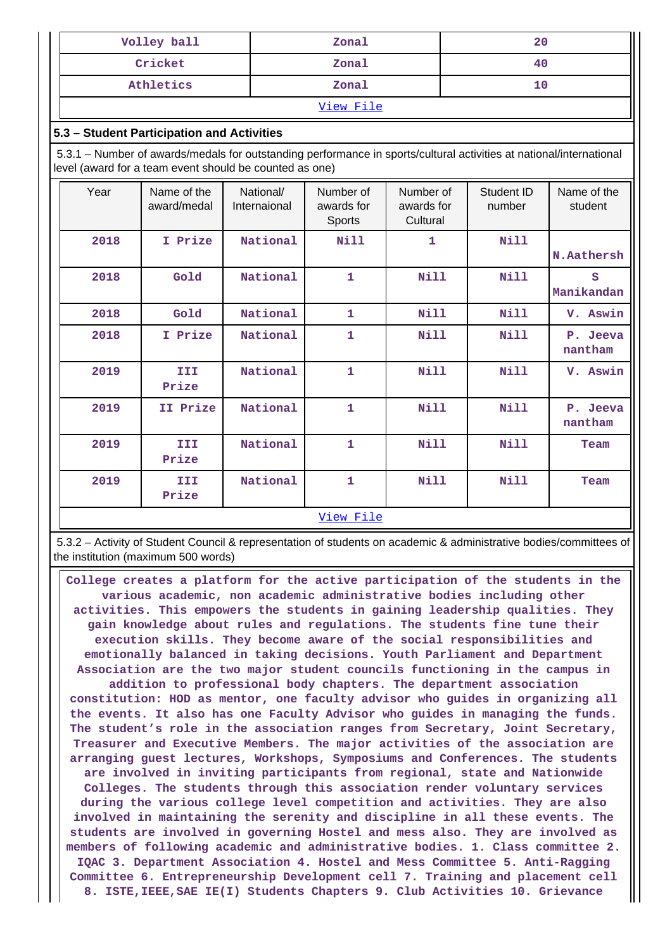| Volley ball | Zonal | 20 |  |  |  |
|-------------|-------|----|--|--|--|
| Cricket     | Zonal | 40 |  |  |  |
| Athletics   | Zonal |    |  |  |  |
| View File   |       |    |  |  |  |

## **5.3 – Student Participation and Activities**

 5.3.1 – Number of awards/medals for outstanding performance in sports/cultural activities at national/international level (award for a team event should be counted as one)

| Year | Name of the<br>award/medal | National/<br>Internaional | Number of<br>awards for<br>Sports | Number of<br>awards for<br>Cultural | Student ID<br>number | Name of the<br>student |
|------|----------------------------|---------------------------|-----------------------------------|-------------------------------------|----------------------|------------------------|
| 2018 | I Prize                    | National                  | <b>Nill</b>                       | 1                                   | Nill                 | N.Aathersh             |
| 2018 | Gold                       | National                  | 1                                 | Nill                                | Nill                 | S<br>Manikandan        |
| 2018 | Gold                       | National                  | 1                                 | Nill                                | Nill                 | V. Aswin               |
| 2018 | I Prize                    | National                  | 1                                 | Nill                                | Nill                 | P. Jeeva<br>nantham    |
| 2019 | III<br>Prize               | National                  | $\mathbf{1}$                      | <b>Nill</b>                         | Nill                 | V. Aswin               |
| 2019 | II Prize                   | National                  | 1                                 | Nill                                | Nill                 | P. Jeeva<br>nantham    |
| 2019 | III<br>Prize               | National                  | 1                                 | Nill                                | Nill                 | Team                   |
| 2019 | III<br>Prize               | National                  | $\mathbf{1}$                      | Nill                                | Nill                 | Team                   |
|      |                            |                           | View File                         |                                     |                      |                        |

 5.3.2 – Activity of Student Council & representation of students on academic & administrative bodies/committees of the institution (maximum 500 words)

 **College creates a platform for the active participation of the students in the various academic, non academic administrative bodies including other activities. This empowers the students in gaining leadership qualities. They gain knowledge about rules and regulations. The students fine tune their execution skills. They become aware of the social responsibilities and emotionally balanced in taking decisions. Youth Parliament and Department Association are the two major student councils functioning in the campus in addition to professional body chapters. The department association constitution: HOD as mentor, one faculty advisor who guides in organizing all the events. It also has one Faculty Advisor who guides in managing the funds. The student's role in the association ranges from Secretary, Joint Secretary, Treasurer and Executive Members. The major activities of the association are arranging guest lectures, Workshops, Symposiums and Conferences. The students are involved in inviting participants from regional, state and Nationwide Colleges. The students through this association render voluntary services during the various college level competition and activities. They are also involved in maintaining the serenity and discipline in all these events. The students are involved in governing Hostel and mess also. They are involved as members of following academic and administrative bodies. 1. Class committee 2. IQAC 3. Department Association 4. Hostel and Mess Committee 5. Anti-Ragging Committee 6. Entrepreneurship Development cell 7. Training and placement cell 8. ISTE,IEEE,SAE IE(I) Students Chapters 9. Club Activities 10. Grievance**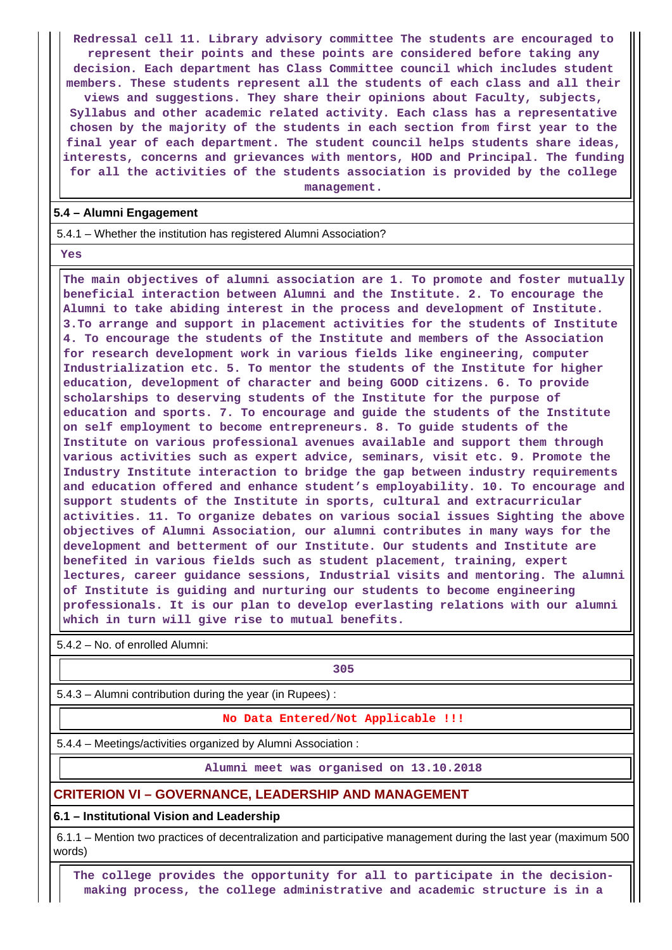**Redressal cell 11. Library advisory committee The students are encouraged to represent their points and these points are considered before taking any decision. Each department has Class Committee council which includes student members. These students represent all the students of each class and all their views and suggestions. They share their opinions about Faculty, subjects, Syllabus and other academic related activity. Each class has a representative chosen by the majority of the students in each section from first year to the final year of each department. The student council helps students share ideas, interests, concerns and grievances with mentors, HOD and Principal. The funding for all the activities of the students association is provided by the college management.**

### **5.4 – Alumni Engagement**

5.4.1 – Whether the institution has registered Alumni Association?

 **Yes**

 **The main objectives of alumni association are 1. To promote and foster mutually beneficial interaction between Alumni and the Institute. 2. To encourage the Alumni to take abiding interest in the process and development of Institute. 3.To arrange and support in placement activities for the students of Institute 4. To encourage the students of the Institute and members of the Association for research development work in various fields like engineering, computer Industrialization etc. 5. To mentor the students of the Institute for higher education, development of character and being GOOD citizens. 6. To provide scholarships to deserving students of the Institute for the purpose of education and sports. 7. To encourage and guide the students of the Institute on self employment to become entrepreneurs. 8. To guide students of the Institute on various professional avenues available and support them through various activities such as expert advice, seminars, visit etc. 9. Promote the Industry Institute interaction to bridge the gap between industry requirements and education offered and enhance student's employability. 10. To encourage and support students of the Institute in sports, cultural and extracurricular activities. 11. To organize debates on various social issues Sighting the above objectives of Alumni Association, our alumni contributes in many ways for the development and betterment of our Institute. Our students and Institute are benefited in various fields such as student placement, training, expert lectures, career guidance sessions, Industrial visits and mentoring. The alumni of Institute is guiding and nurturing our students to become engineering professionals. It is our plan to develop everlasting relations with our alumni which in turn will give rise to mutual benefits.**

5.4.2 – No. of enrolled Alumni:

**305**

5.4.3 – Alumni contribution during the year (in Rupees) :

#### **No Data Entered/Not Applicable !!!**

5.4.4 – Meetings/activities organized by Alumni Association :

**Alumni meet was organised on 13.10.2018**

# **CRITERION VI – GOVERNANCE, LEADERSHIP AND MANAGEMENT**

**6.1 – Institutional Vision and Leadership**

 6.1.1 – Mention two practices of decentralization and participative management during the last year (maximum 500 words)

 **The college provides the opportunity for all to participate in the decisionmaking process, the college administrative and academic structure is in a**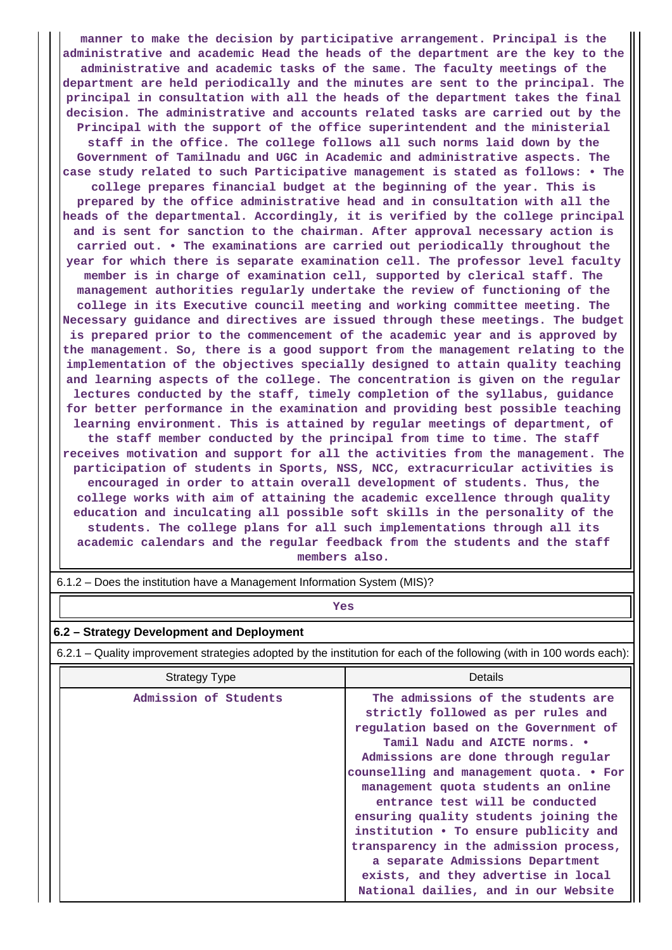**manner to make the decision by participative arrangement. Principal is the administrative and academic Head the heads of the department are the key to the administrative and academic tasks of the same. The faculty meetings of the department are held periodically and the minutes are sent to the principal. The principal in consultation with all the heads of the department takes the final decision. The administrative and accounts related tasks are carried out by the Principal with the support of the office superintendent and the ministerial staff in the office. The college follows all such norms laid down by the Government of Tamilnadu and UGC in Academic and administrative aspects. The case study related to such Participative management is stated as follows: • The college prepares financial budget at the beginning of the year. This is prepared by the office administrative head and in consultation with all the heads of the departmental. Accordingly, it is verified by the college principal and is sent for sanction to the chairman. After approval necessary action is carried out. • The examinations are carried out periodically throughout the year for which there is separate examination cell. The professor level faculty member is in charge of examination cell, supported by clerical staff. The management authorities regularly undertake the review of functioning of the college in its Executive council meeting and working committee meeting. The Necessary guidance and directives are issued through these meetings. The budget is prepared prior to the commencement of the academic year and is approved by the management. So, there is a good support from the management relating to the implementation of the objectives specially designed to attain quality teaching and learning aspects of the college. The concentration is given on the regular lectures conducted by the staff, timely completion of the syllabus, guidance for better performance in the examination and providing best possible teaching learning environment. This is attained by regular meetings of department, of the staff member conducted by the principal from time to time. The staff receives motivation and support for all the activities from the management. The participation of students in Sports, NSS, NCC, extracurricular activities is encouraged in order to attain overall development of students. Thus, the college works with aim of attaining the academic excellence through quality education and inculcating all possible soft skills in the personality of the students. The college plans for all such implementations through all its academic calendars and the regular feedback from the students and the staff members also.**

| 6.1.2 – Does the institution have a Management Information System (MIS)? |  |
|--------------------------------------------------------------------------|--|
|                                                                          |  |
|                                                                          |  |

# *Yes*

### **6.2 – Strategy Development and Deployment**

6.2.1 – Quality improvement strategies adopted by the institution for each of the following (with in 100 words each):

| <b>Strategy Type</b>  | Details                                                                                                                                                                                                                                                                                                                                                                                                                                                                        |
|-----------------------|--------------------------------------------------------------------------------------------------------------------------------------------------------------------------------------------------------------------------------------------------------------------------------------------------------------------------------------------------------------------------------------------------------------------------------------------------------------------------------|
| Admission of Students | The admissions of the students are<br>strictly followed as per rules and<br>regulation based on the Government of<br>Tamil Nadu and AICTE norms. .<br>Admissions are done through regular<br>counselling and management quota. • For<br>management quota students an online<br>entrance test will be conducted<br>ensuring quality students joining the<br>institution . To ensure publicity and<br>transparency in the admission process,<br>a separate Admissions Department |
|                       | exists, and they advertise in local<br>National dailies, and in our Website                                                                                                                                                                                                                                                                                                                                                                                                    |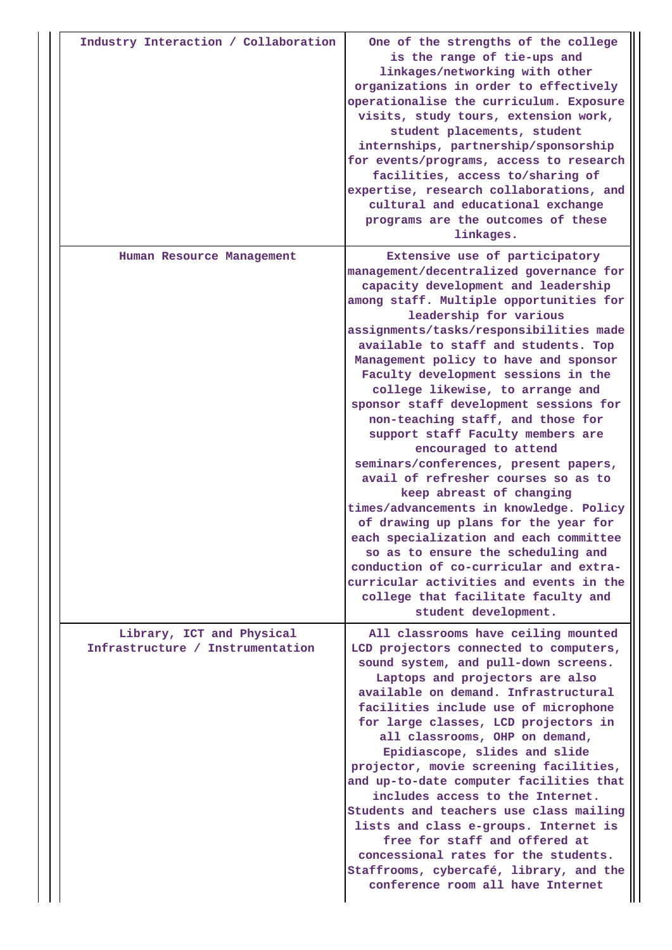| Industry Interaction / Collaboration                          | One of the strengths of the college<br>is the range of tie-ups and<br>linkages/networking with other<br>organizations in order to effectively<br>operationalise the curriculum. Exposure<br>visits, study tours, extension work,<br>student placements, student<br>internships, partnership/sponsorship<br>for events/programs, access to research<br>facilities, access to/sharing of<br>expertise, research collaborations, and<br>cultural and educational exchange<br>programs are the outcomes of these<br>linkages.                                                                                                                                                                                                                                                                                                                                                                                                                           |
|---------------------------------------------------------------|-----------------------------------------------------------------------------------------------------------------------------------------------------------------------------------------------------------------------------------------------------------------------------------------------------------------------------------------------------------------------------------------------------------------------------------------------------------------------------------------------------------------------------------------------------------------------------------------------------------------------------------------------------------------------------------------------------------------------------------------------------------------------------------------------------------------------------------------------------------------------------------------------------------------------------------------------------|
| Human Resource Management                                     | Extensive use of participatory<br>management/decentralized governance for<br>capacity development and leadership<br>among staff. Multiple opportunities for<br>leadership for various<br>assignments/tasks/responsibilities made<br>available to staff and students. Top<br>Management policy to have and sponsor<br>Faculty development sessions in the<br>college likewise, to arrange and<br>sponsor staff development sessions for<br>non-teaching staff, and those for<br>support staff Faculty members are<br>encouraged to attend<br>seminars/conferences, present papers,<br>avail of refresher courses so as to<br>keep abreast of changing<br>times/advancements in knowledge. Policy<br>of drawing up plans for the year for<br>each specialization and each committee<br>so as to ensure the scheduling and<br>conduction of co-curricular and extra-<br>curricular activities and events in the<br>college that facilitate faculty and |
|                                                               | student development.                                                                                                                                                                                                                                                                                                                                                                                                                                                                                                                                                                                                                                                                                                                                                                                                                                                                                                                                |
| Library, ICT and Physical<br>Infrastructure / Instrumentation | All classrooms have ceiling mounted<br>LCD projectors connected to computers,<br>sound system, and pull-down screens.<br>Laptops and projectors are also<br>available on demand. Infrastructural<br>facilities include use of microphone<br>for large classes, LCD projectors in<br>all classrooms, OHP on demand,<br>Epidiascope, slides and slide<br>projector, movie screening facilities,<br>and up-to-date computer facilities that<br>includes access to the Internet.<br>Students and teachers use class mailing<br>lists and class e-groups. Internet is<br>free for staff and offered at<br>concessional rates for the students.<br>Staffrooms, cybercafé, library, and the<br>conference room all have Internet                                                                                                                                                                                                                           |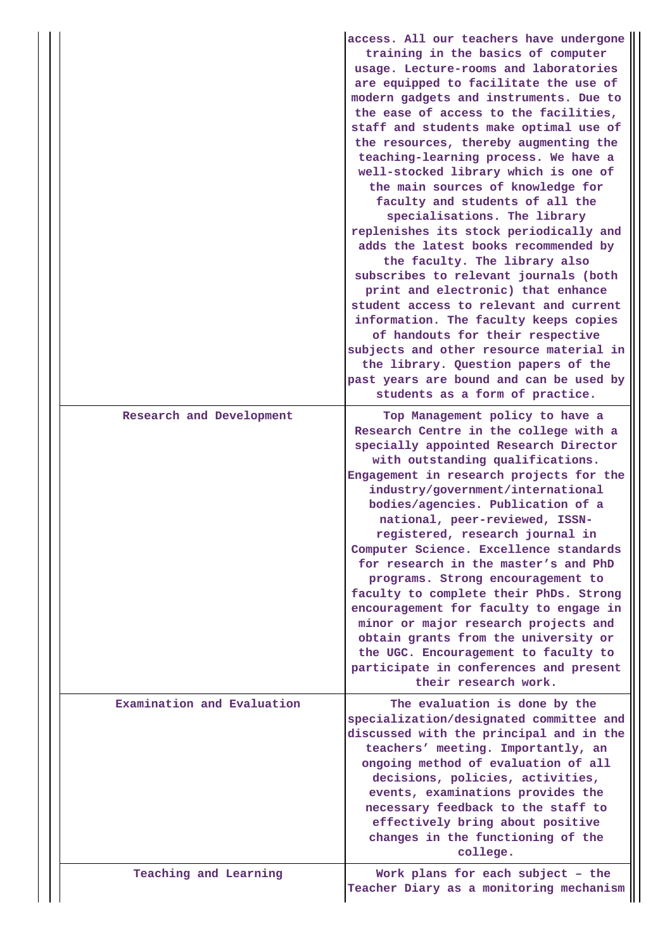|                            | access. All our teachers have undergone<br>training in the basics of computer<br>usage. Lecture-rooms and laboratories<br>are equipped to facilitate the use of<br>modern gadgets and instruments. Due to<br>the ease of access to the facilities,<br>staff and students make optimal use of<br>the resources, thereby augmenting the<br>teaching-learning process. We have a<br>well-stocked library which is one of<br>the main sources of knowledge for<br>faculty and students of all the<br>specialisations. The library<br>replenishes its stock periodically and<br>adds the latest books recommended by<br>the faculty. The library also<br>subscribes to relevant journals (both<br>print and electronic) that enhance<br>student access to relevant and current<br>information. The faculty keeps copies<br>of handouts for their respective<br>subjects and other resource material in<br>the library. Question papers of the<br>past years are bound and can be used by<br>students as a form of practice. |
|----------------------------|------------------------------------------------------------------------------------------------------------------------------------------------------------------------------------------------------------------------------------------------------------------------------------------------------------------------------------------------------------------------------------------------------------------------------------------------------------------------------------------------------------------------------------------------------------------------------------------------------------------------------------------------------------------------------------------------------------------------------------------------------------------------------------------------------------------------------------------------------------------------------------------------------------------------------------------------------------------------------------------------------------------------|
| Research and Development   | Top Management policy to have a<br>Research Centre in the college with a<br>specially appointed Research Director<br>with outstanding qualifications.<br>Engagement in research projects for the<br>industry/government/international<br>bodies/agencies. Publication of a<br>national, peer-reviewed, ISSN-<br>registered, research journal in<br>Computer Science. Excellence standards<br>for research in the master's and PhD<br>programs. Strong encouragement to<br>faculty to complete their PhDs. Strong<br>encouragement for faculty to engage in<br>minor or major research projects and<br>obtain grants from the university or<br>the UGC. Encouragement to faculty to<br>participate in conferences and present<br>their research work.                                                                                                                                                                                                                                                                   |
| Examination and Evaluation | The evaluation is done by the<br>specialization/designated committee and<br>discussed with the principal and in the<br>teachers' meeting. Importantly, an<br>ongoing method of evaluation of all<br>decisions, policies, activities,<br>events, examinations provides the<br>necessary feedback to the staff to<br>effectively bring about positive<br>changes in the functioning of the<br>college.                                                                                                                                                                                                                                                                                                                                                                                                                                                                                                                                                                                                                   |
| Teaching and Learning      | Work plans for each subject - the<br>Teacher Diary as a monitoring mechanism                                                                                                                                                                                                                                                                                                                                                                                                                                                                                                                                                                                                                                                                                                                                                                                                                                                                                                                                           |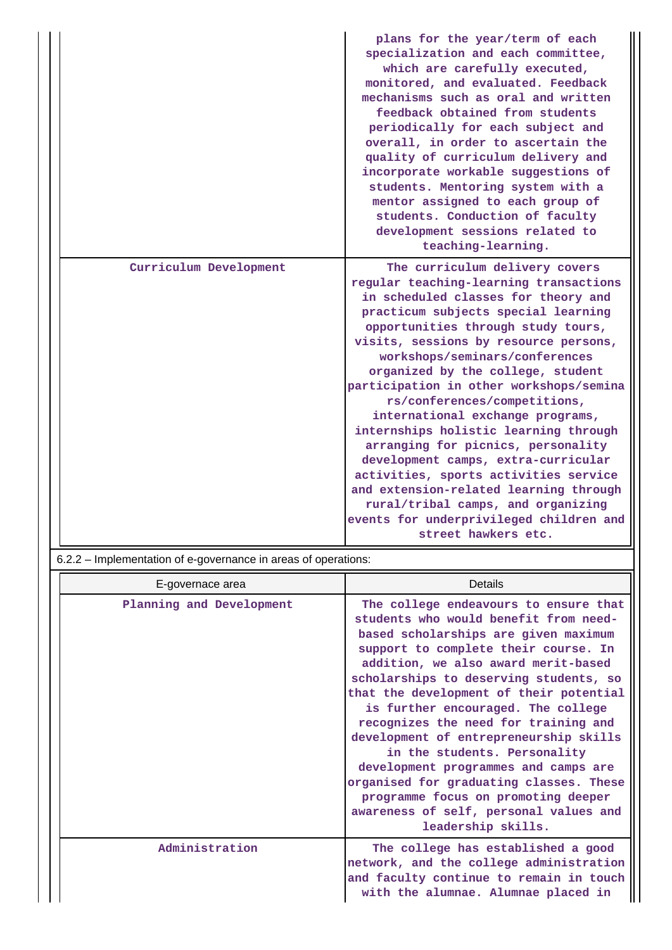|                        | plans for the year/term of each<br>specialization and each committee,<br>which are carefully executed,<br>monitored, and evaluated. Feedback<br>mechanisms such as oral and written<br>feedback obtained from students<br>periodically for each subject and<br>overall, in order to ascertain the<br>quality of curriculum delivery and<br>incorporate workable suggestions of<br>students. Mentoring system with a<br>mentor assigned to each group of<br>students. Conduction of faculty<br>development sessions related to<br>teaching-learning.                                                                                                                                                                                          |
|------------------------|----------------------------------------------------------------------------------------------------------------------------------------------------------------------------------------------------------------------------------------------------------------------------------------------------------------------------------------------------------------------------------------------------------------------------------------------------------------------------------------------------------------------------------------------------------------------------------------------------------------------------------------------------------------------------------------------------------------------------------------------|
| Curriculum Development | The curriculum delivery covers<br>regular teaching-learning transactions<br>in scheduled classes for theory and<br>practicum subjects special learning<br>opportunities through study tours,<br>visits, sessions by resource persons,<br>workshops/seminars/conferences<br>organized by the college, student<br>participation in other workshops/semina<br>rs/conferences/competitions,<br>international exchange programs,<br>internships holistic learning through<br>arranging for picnics, personality<br>development camps, extra-curricular<br>activities, sports activities service<br>and extension-related learning through<br>rural/tribal camps, and organizing<br>events for underprivileged children and<br>street hawkers etc. |

6.2.2 – Implementation of e-governance in areas of operations:

| E-governace area         | Details                                                                                                                                                                                                                                                                                                                                                                                                                                                                                                                                                                                                                                      |
|--------------------------|----------------------------------------------------------------------------------------------------------------------------------------------------------------------------------------------------------------------------------------------------------------------------------------------------------------------------------------------------------------------------------------------------------------------------------------------------------------------------------------------------------------------------------------------------------------------------------------------------------------------------------------------|
| Planning and Development | The college endeavours to ensure that<br>students who would benefit from need-<br>based scholarships are given maximum<br>support to complete their course. In<br>addition, we also award merit-based<br>scholarships to deserving students, so<br>that the development of their potential<br>is further encouraged. The college<br>recognizes the need for training and<br>development of entrepreneurship skills<br>in the students. Personality<br>development programmes and camps are<br>organised for graduating classes. These<br>programme focus on promoting deeper<br>awareness of self, personal values and<br>leadership skills. |
| Administration           | The college has established a good<br>network, and the college administration<br>and faculty continue to remain in touch<br>with the alumnae. Alumnae placed in                                                                                                                                                                                                                                                                                                                                                                                                                                                                              |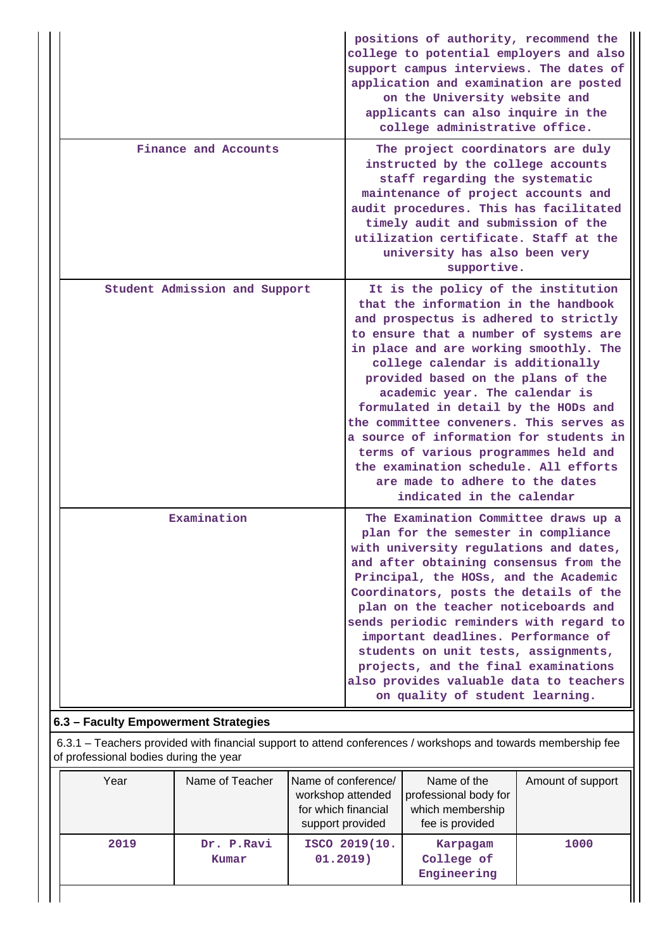|                               | positions of authority, recommend the<br>college to potential employers and also<br>support campus interviews. The dates of<br>application and examination are posted<br>on the University website and<br>applicants can also inquire in the<br>college administrative office.                                                                                                                                                                                                                                                                                                                      |
|-------------------------------|-----------------------------------------------------------------------------------------------------------------------------------------------------------------------------------------------------------------------------------------------------------------------------------------------------------------------------------------------------------------------------------------------------------------------------------------------------------------------------------------------------------------------------------------------------------------------------------------------------|
| Finance and Accounts          | The project coordinators are duly<br>instructed by the college accounts<br>staff regarding the systematic<br>maintenance of project accounts and<br>audit procedures. This has facilitated<br>timely audit and submission of the<br>utilization certificate. Staff at the<br>university has also been very<br>supportive.                                                                                                                                                                                                                                                                           |
| Student Admission and Support | It is the policy of the institution<br>that the information in the handbook<br>and prospectus is adhered to strictly<br>to ensure that a number of systems are<br>in place and are working smoothly. The<br>college calendar is additionally<br>provided based on the plans of the<br>academic year. The calendar is<br>formulated in detail by the HODs and<br>the committee conveners. This serves as<br>a source of information for students in<br>terms of various programmes held and<br>the examination schedule. All efforts<br>are made to adhere to the dates<br>indicated in the calendar |
| Examination                   | The Examination Committee draws up a<br>plan for the semester in compliance<br>with university regulations and dates,<br>and after obtaining consensus from the<br>Principal, the HOSs, and the Academic<br>Coordinators, posts the details of the<br>plan on the teacher noticeboards and<br>sends periodic reminders with regard to<br>important deadlines. Performance of<br>students on unit tests, assignments,<br>projects, and the final examinations<br>also provides valuable data to teachers<br>on quality of student learning.                                                          |

# **6.3 – Faculty Empowerment Strategies**

 6.3.1 – Teachers provided with financial support to attend conferences / workshops and towards membership fee of professional bodies during the year

| Year | Name of Teacher     | Name of conference/<br>workshop attended<br>for which financial<br>support provided | Name of the<br>professional body for<br>which membership<br>fee is provided | Amount of support |
|------|---------------------|-------------------------------------------------------------------------------------|-----------------------------------------------------------------------------|-------------------|
| 2019 | Dr. P.Ravi<br>Kumar | ISCO 2019(10.<br>01.2019)                                                           | Karpagam<br>College of<br>Engineering                                       | 1000              |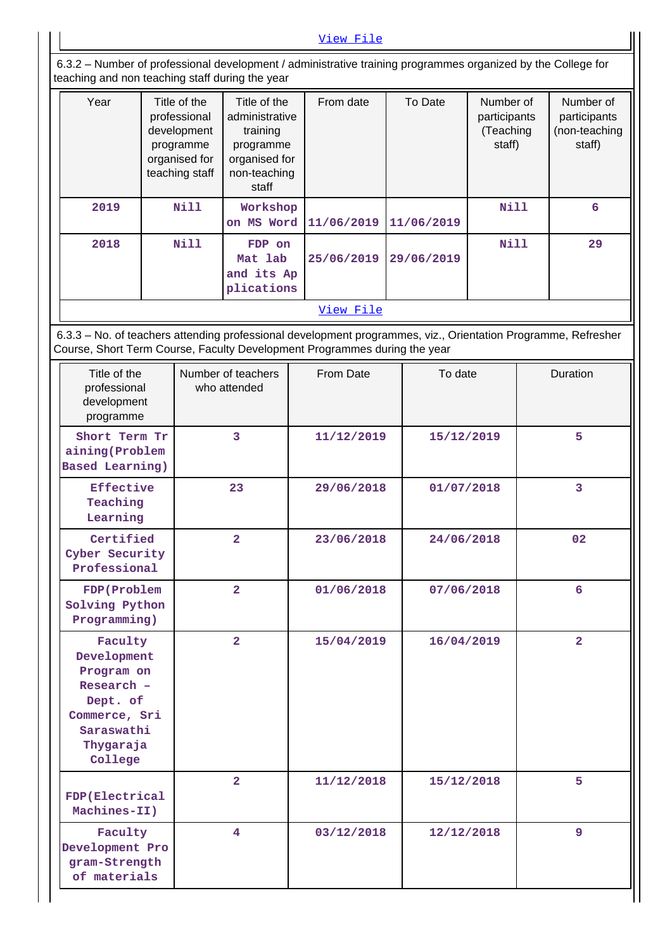[View File](https://assessmentonline.naac.gov.in/public/Postacc/Faculty_Emp/10683_Faculty_Emp_1620608698.xls) 6.3.2 – Number of professional development / administrative training programmes organized by the College for teaching and non teaching staff during the year Year | Title of the professional development programme organised for teaching staff Title of the administrative training programme organised for non-teaching staff From date | To Date | Number of participants (Teaching staff) Number of participants (non-teaching staff)  **2019 Nill Workshop on MS Word 11/06/2019 11/06/2019 Nill 6 2018 Nill FDP on Mat lab and its Ap plications 25/06/2019 29/06/2019 Nill 29** [View File](https://assessmentonline.naac.gov.in/public/Postacc/Development_training_programmes/10683_Development_training_programmes_1620616681.xls) 6.3.3 – No. of teachers attending professional development programmes, viz., Orientation Programme, Refresher Course, Short Term Course, Faculty Development Programmes during the year Title of the professional development programme Number of teachers who attended From Date  $\overline{a}$  To date  $\overline{a}$  Duration  **Short Term Tr aining(Problem Based Learning) 3 11/12/2019 15/12/2019 5 Effective Teaching Learning 23 29/06/2018 01/07/2018 3 Certified Cyber Security Professional 2 23/06/2018 24/06/2018 02 FDP(Problem Solving Python Programming) 2 01/06/2018 07/06/2018 6 Faculty Development Program on Research – Dept. of Commerce, Sri Saraswathi Thygaraja College 2 15/04/2019 16/04/2019 2**

**FDP(Electrical Machines-II) 2 11/12/2018 15/12/2018 5 Faculty Development Pro gram-Strength of materials 4 03/12/2018 12/12/2018 9**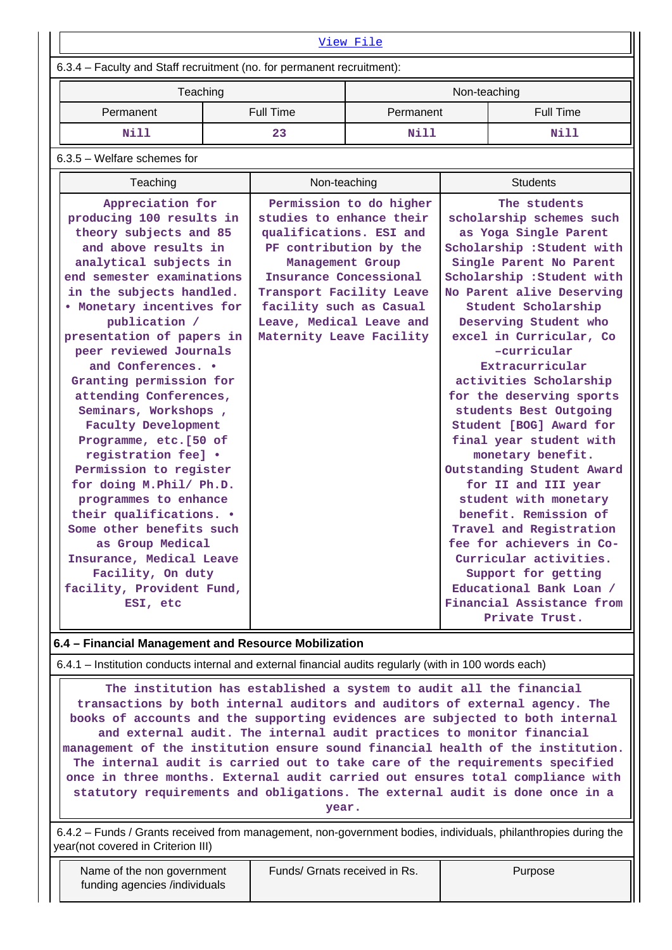| View File                                                                                                                                                                                                                                                                                                                                                                                                                                                                                                                                                                                                                                                                                                                   |  |                                                                                                                                                                                                                                            |                         |              |                                                                                                                                                                                                                                                                                                                                                                                                                                                                                                                                                                                                                                                                                                                                                       |  |
|-----------------------------------------------------------------------------------------------------------------------------------------------------------------------------------------------------------------------------------------------------------------------------------------------------------------------------------------------------------------------------------------------------------------------------------------------------------------------------------------------------------------------------------------------------------------------------------------------------------------------------------------------------------------------------------------------------------------------------|--|--------------------------------------------------------------------------------------------------------------------------------------------------------------------------------------------------------------------------------------------|-------------------------|--------------|-------------------------------------------------------------------------------------------------------------------------------------------------------------------------------------------------------------------------------------------------------------------------------------------------------------------------------------------------------------------------------------------------------------------------------------------------------------------------------------------------------------------------------------------------------------------------------------------------------------------------------------------------------------------------------------------------------------------------------------------------------|--|
| 6.3.4 - Faculty and Staff recruitment (no. for permanent recruitment):                                                                                                                                                                                                                                                                                                                                                                                                                                                                                                                                                                                                                                                      |  |                                                                                                                                                                                                                                            |                         |              |                                                                                                                                                                                                                                                                                                                                                                                                                                                                                                                                                                                                                                                                                                                                                       |  |
| Teaching                                                                                                                                                                                                                                                                                                                                                                                                                                                                                                                                                                                                                                                                                                                    |  |                                                                                                                                                                                                                                            |                         | Non-teaching |                                                                                                                                                                                                                                                                                                                                                                                                                                                                                                                                                                                                                                                                                                                                                       |  |
| Permanent                                                                                                                                                                                                                                                                                                                                                                                                                                                                                                                                                                                                                                                                                                                   |  | <b>Full Time</b>                                                                                                                                                                                                                           | Permanent               |              | <b>Full Time</b>                                                                                                                                                                                                                                                                                                                                                                                                                                                                                                                                                                                                                                                                                                                                      |  |
| <b>Nill</b>                                                                                                                                                                                                                                                                                                                                                                                                                                                                                                                                                                                                                                                                                                                 |  | 23                                                                                                                                                                                                                                         | Nill                    |              | Nill                                                                                                                                                                                                                                                                                                                                                                                                                                                                                                                                                                                                                                                                                                                                                  |  |
| $6.3.5$ – Welfare schemes for                                                                                                                                                                                                                                                                                                                                                                                                                                                                                                                                                                                                                                                                                               |  |                                                                                                                                                                                                                                            |                         |              |                                                                                                                                                                                                                                                                                                                                                                                                                                                                                                                                                                                                                                                                                                                                                       |  |
| Teaching                                                                                                                                                                                                                                                                                                                                                                                                                                                                                                                                                                                                                                                                                                                    |  | Non-teaching                                                                                                                                                                                                                               |                         |              | <b>Students</b>                                                                                                                                                                                                                                                                                                                                                                                                                                                                                                                                                                                                                                                                                                                                       |  |
| Appreciation for<br>producing 100 results in<br>theory subjects and 85<br>and above results in<br>analytical subjects in<br>end semester examinations<br>in the subjects handled.<br>. Monetary incentives for<br>publication /<br>presentation of papers in<br>peer reviewed Journals<br>and Conferences. .<br>Granting permission for<br>attending Conferences,<br>Seminars, Workshops,<br><b>Faculty Development</b><br>Programme, etc.[50 of<br>registration fee] .<br>Permission to register<br>for doing M. Phil/ Ph.D.<br>programmes to enhance<br>their qualifications. .<br>Some other benefits such<br>as Group Medical<br>Insurance, Medical Leave<br>Facility, On duty<br>facility, Provident Fund,<br>ESI, etc |  | studies to enhance their<br>qualifications. ESI and<br>PF contribution by the<br>Management Group<br>Insurance Concessional<br>Transport Facility Leave<br>facility such as Casual<br>Leave, Medical Leave and<br>Maternity Leave Facility | Permission to do higher |              | The students<br>scholarship schemes such<br>as Yoga Single Parent<br>Scholarship : Student with<br>Single Parent No Parent<br>Scholarship : Student with<br>No Parent alive Deserving<br>Student Scholarship<br>Deserving Student who<br>excel in Curricular, Co<br>-curricular<br>Extracurricular<br>activities Scholarship<br>for the deserving sports<br>students Best Outgoing<br>Student [BOG] Award for<br>final year student with<br>monetary benefit.<br>Outstanding Student Award<br>for II and III year<br>student with monetary<br>benefit. Remission of<br>Travel and Registration<br>fee for achievers in Co-<br>Curricular activities.<br>Support for getting<br>Educational Bank Loan /<br>Financial Assistance from<br>Private Trust. |  |

#### **6.4 – Financial Management and Resource Mobilization**

6.4.1 – Institution conducts internal and external financial audits regularly (with in 100 words each)

 **The institution has established a system to audit all the financial transactions by both internal auditors and auditors of external agency. The books of accounts and the supporting evidences are subjected to both internal and external audit. The internal audit practices to monitor financial management of the institution ensure sound financial health of the institution. The internal audit is carried out to take care of the requirements specified once in three months. External audit carried out ensures total compliance with statutory requirements and obligations. The external audit is done once in a**

**year.**

 6.4.2 – Funds / Grants received from management, non-government bodies, individuals, philanthropies during the year(not covered in Criterion III)

Funds/ Grnats received in Rs. | Purpose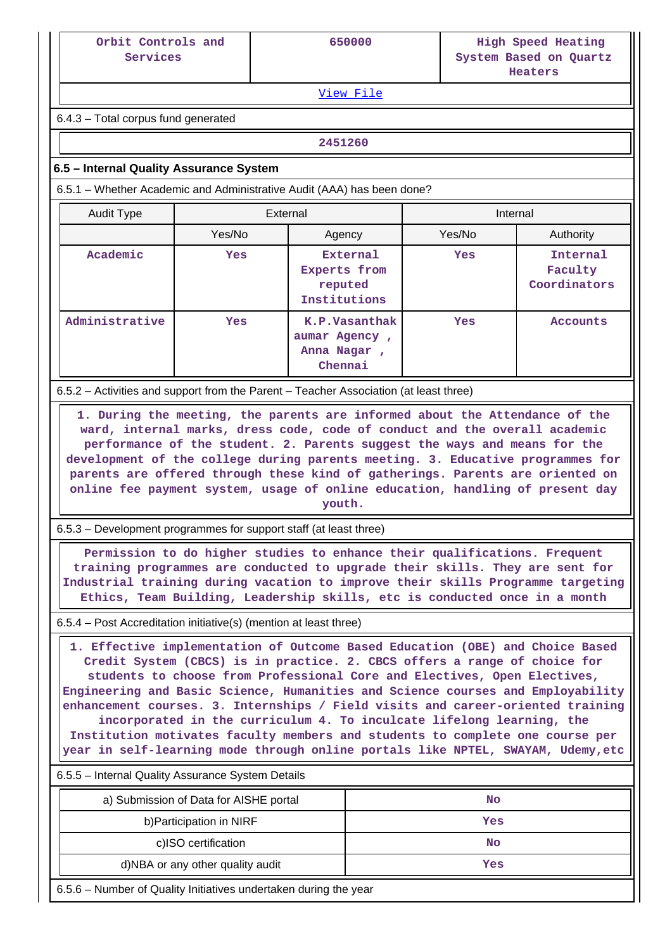| Orbit Controls and | 650000 | High Speed Heating     |
|--------------------|--------|------------------------|
| Services           |        | System Based on Quartz |
|                    |        | Heaters                |

[View File](https://assessmentonline.naac.gov.in/public/Postacc/Funds_or_Grants/10683_Funds_or_Grants_1620800495.xls)

6.4.3 – Total corpus fund generated

**2451260**

### **6.5 – Internal Quality Assurance System**

6.5.1 – Whether Academic and Administrative Audit (AAA) has been done?

| Audit Type     | External |                                                          | Internal |                                     |
|----------------|----------|----------------------------------------------------------|----------|-------------------------------------|
|                | Yes/No   | Agency                                                   |          | Authority                           |
| Academic       | Yes      | External<br>Experts from<br>reputed<br>Institutions      | Yes      | Internal<br>Faculty<br>Coordinators |
| Administrative | Yes      | K.P.Vasanthak<br>aumar Agency,<br>Anna Nagar,<br>Chennai | Yes      | Accounts                            |

6.5.2 – Activities and support from the Parent – Teacher Association (at least three)

 **1. During the meeting, the parents are informed about the Attendance of the ward, internal marks, dress code, code of conduct and the overall academic performance of the student. 2. Parents suggest the ways and means for the development of the college during parents meeting. 3. Educative programmes for parents are offered through these kind of gatherings. Parents are oriented on online fee payment system, usage of online education, handling of present day youth.**

6.5.3 – Development programmes for support staff (at least three)

 **Permission to do higher studies to enhance their qualifications. Frequent training programmes are conducted to upgrade their skills. They are sent for Industrial training during vacation to improve their skills Programme targeting Ethics, Team Building, Leadership skills, etc is conducted once in a month**

6.5.4 – Post Accreditation initiative(s) (mention at least three)

 **1. Effective implementation of Outcome Based Education (OBE) and Choice Based Credit System (CBCS) is in practice. 2. CBCS offers a range of choice for students to choose from Professional Core and Electives, Open Electives, Engineering and Basic Science, Humanities and Science courses and Employability enhancement courses. 3. Internships / Field visits and career-oriented training incorporated in the curriculum 4. To inculcate lifelong learning, the Institution motivates faculty members and students to complete one course per year in self-learning mode through online portals like NPTEL, SWAYAM, Udemy,etc**

6.5.5 – Internal Quality Assurance System Details

| a) Submission of Data for AISHE portal | No  |
|----------------------------------------|-----|
| b) Participation in NIRF               | Yes |
| c)ISO certification                    | No  |
| d)NBA or any other quality audit       | Yes |

6.5.6 – Number of Quality Initiatives undertaken during the year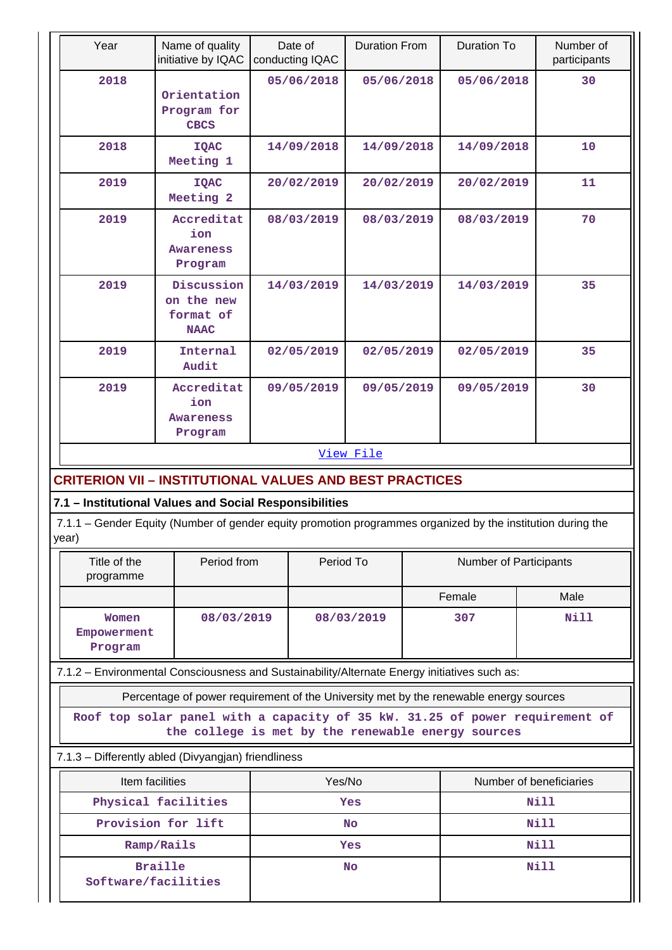|       | Year                                                                                                                                                                  | Name of quality<br>initiative by IQAC                                                        | Date of<br>conducting IQAC |            | <b>Duration From</b>                       |        | <b>Duration To</b> | Number of<br>participants |  |
|-------|-----------------------------------------------------------------------------------------------------------------------------------------------------------------------|----------------------------------------------------------------------------------------------|----------------------------|------------|--------------------------------------------|--------|--------------------|---------------------------|--|
|       | 2018                                                                                                                                                                  | Orientation<br>Program for<br><b>CBCS</b>                                                    |                            | 05/06/2018 | 05/06/2018                                 |        | 05/06/2018         | 30                        |  |
|       | 2018                                                                                                                                                                  | <b>IQAC</b><br>Meeting 1                                                                     |                            | 14/09/2018 | 14/09/2018                                 |        | 14/09/2018         | 10                        |  |
|       | 2019                                                                                                                                                                  | <b>IQAC</b><br>Meeting 2                                                                     |                            | 20/02/2019 | 20/02/2019                                 |        | 20/02/2019         | 11                        |  |
|       | 2019                                                                                                                                                                  | Accreditat<br>ion<br>Awareness<br>Program                                                    |                            | 08/03/2019 | 08/03/2019                                 |        | 08/03/2019         | 70                        |  |
|       | 2019                                                                                                                                                                  | Discussion<br>on the new<br>format of<br><b>NAAC</b>                                         |                            | 14/03/2019 | 14/03/2019                                 |        | 14/03/2019         | 35                        |  |
|       | 2019                                                                                                                                                                  | Internal<br>Audit                                                                            |                            | 02/05/2019 | 02/05/2019                                 |        | 02/05/2019         | 35                        |  |
|       | 2019                                                                                                                                                                  | Accreditat<br>ion<br><b>Awareness</b><br>Program                                             |                            | 09/05/2019 | 09/05/2019                                 |        | 09/05/2019         | 30                        |  |
|       |                                                                                                                                                                       |                                                                                              |                            |            | View File                                  |        |                    |                           |  |
|       |                                                                                                                                                                       |                                                                                              |                            |            |                                            |        |                    |                           |  |
|       |                                                                                                                                                                       | <b>CRITERION VII - INSTITUTIONAL VALUES AND BEST PRACTICES</b>                               |                            |            |                                            |        |                    |                           |  |
| year) | 7.1 - Institutional Values and Social Responsibilities<br>7.1.1 – Gender Equity (Number of gender equity promotion programmes organized by the institution during the |                                                                                              |                            |            |                                            |        |                    |                           |  |
|       | Title of the<br>Period from<br>programme                                                                                                                              |                                                                                              |                            |            | Period To<br><b>Number of Participants</b> |        |                    |                           |  |
|       |                                                                                                                                                                       |                                                                                              |                            |            |                                            | Female |                    | Male                      |  |
|       | Women<br>Empowerment<br>Program                                                                                                                                       | 08/03/2019                                                                                   |                            |            | 08/03/2019                                 |        | 307                | <b>Nill</b>               |  |
|       |                                                                                                                                                                       | 7.1.2 - Environmental Consciousness and Sustainability/Alternate Energy initiatives such as: |                            |            |                                            |        |                    |                           |  |
|       |                                                                                                                                                                       | Percentage of power requirement of the University met by the renewable energy sources        |                            |            |                                            |        |                    |                           |  |
|       | Roof top solar panel with a capacity of 35 kW. 31.25 of power requirement of<br>the college is met by the renewable energy sources                                    |                                                                                              |                            |            |                                            |        |                    |                           |  |
|       | 7.1.3 - Differently abled (Divyangjan) friendliness                                                                                                                   |                                                                                              |                            |            |                                            |        |                    |                           |  |
|       | Item facilities<br>Yes/No<br>Number of beneficiaries                                                                                                                  |                                                                                              |                            |            |                                            |        |                    |                           |  |
|       |                                                                                                                                                                       | Physical facilities                                                                          | Yes                        |            |                                            |        | Nill               |                           |  |
|       | Provision for lift                                                                                                                                                    |                                                                                              |                            | <b>No</b>  |                                            |        | Nill               |                           |  |
|       |                                                                                                                                                                       | Ramp/Rails                                                                                   | Yes                        |            |                                            |        | Nill               |                           |  |
|       | <b>Braille</b><br>Software/facilities                                                                                                                                 |                                                                                              |                            | No         |                                            |        |                    | <b>Nill</b>               |  |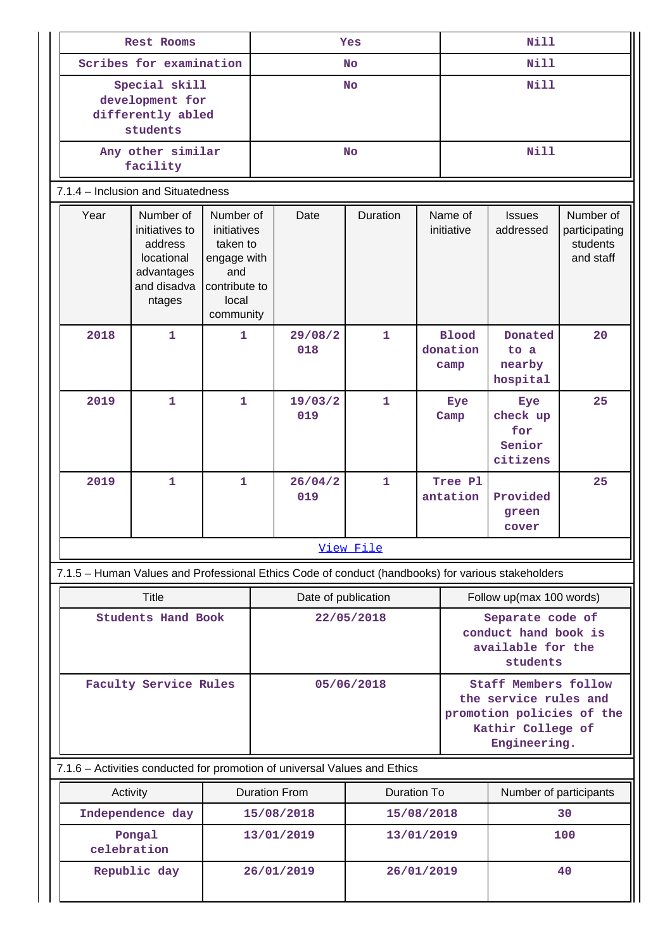| Rest Rooms                                                                                        |                                                                                                                                                                                                  |              | Yes       |                  |                                                                                                                        |  | <b>Nill</b>                      |                                                                           |                                                     |  |  |
|---------------------------------------------------------------------------------------------------|--------------------------------------------------------------------------------------------------------------------------------------------------------------------------------------------------|--------------|-----------|------------------|------------------------------------------------------------------------------------------------------------------------|--|----------------------------------|---------------------------------------------------------------------------|-----------------------------------------------------|--|--|
| Scribes for examination                                                                           |                                                                                                                                                                                                  |              | <b>No</b> |                  |                                                                                                                        |  |                                  | <b>Nill</b>                                                               |                                                     |  |  |
| Special skill<br>development for<br>differently abled<br>students                                 |                                                                                                                                                                                                  |              | <b>No</b> |                  |                                                                                                                        |  | <b>Nill</b>                      |                                                                           |                                                     |  |  |
|                                                                                                   | Any other similar<br>facility                                                                                                                                                                    |              |           |                  | <b>No</b>                                                                                                              |  |                                  |                                                                           | <b>Nill</b>                                         |  |  |
|                                                                                                   | 7.1.4 - Inclusion and Situatedness                                                                                                                                                               |              |           |                  |                                                                                                                        |  |                                  |                                                                           |                                                     |  |  |
| Year                                                                                              | Number of<br>Number of<br>initiatives to<br>initiatives<br>address<br>taken to<br>locational<br>engage with<br>advantages<br>and<br>and disadva<br>contribute to<br>local<br>ntages<br>community |              |           | Date             | Duration                                                                                                               |  | Name of<br>initiative            | <b>Issues</b><br>addressed                                                | Number of<br>participating<br>students<br>and staff |  |  |
| 2018                                                                                              | $\mathbf{1}$                                                                                                                                                                                     | $\mathbf{1}$ |           | 29/08/2<br>018   | $\mathbf{1}$                                                                                                           |  | <b>Blood</b><br>donation<br>camp | Donated<br>to a<br>nearby<br>hospital                                     | 20                                                  |  |  |
| 2019                                                                                              | $\mathbf{1}$                                                                                                                                                                                     | $\mathbf{1}$ |           | 19/03/2<br>019   | $\mathbf{1}$                                                                                                           |  | Eye<br>Camp                      | Eye<br>check up<br>for<br>Senior<br>citizens                              | 25                                                  |  |  |
| 2019                                                                                              | $\mathbf{1}$                                                                                                                                                                                     | $\mathbf{1}$ |           | 26/04/2<br>019   | $\mathbf{1}$                                                                                                           |  | Tree Pl<br>antation              | Provided<br>green<br>cover                                                | 25                                                  |  |  |
|                                                                                                   |                                                                                                                                                                                                  |              |           |                  | View File                                                                                                              |  |                                  |                                                                           |                                                     |  |  |
| 7.1.5 - Human Values and Professional Ethics Code of conduct (handbooks) for various stakeholders |                                                                                                                                                                                                  |              |           |                  |                                                                                                                        |  |                                  |                                                                           |                                                     |  |  |
|                                                                                                   | <b>Title</b><br>Date of publication                                                                                                                                                              |              |           |                  |                                                                                                                        |  |                                  |                                                                           | Follow up(max 100 words)                            |  |  |
| <b>Students Hand Book</b>                                                                         |                                                                                                                                                                                                  |              |           |                  | 22/05/2018                                                                                                             |  |                                  | Separate code of<br>conduct hand book is<br>available for the<br>students |                                                     |  |  |
| Faculty Service Rules                                                                             |                                                                                                                                                                                                  | 05/06/2018   |           |                  | <b>Staff Members follow</b><br>the service rules and<br>promotion policies of the<br>Kathir College of<br>Engineering. |  |                                  |                                                                           |                                                     |  |  |
| 7.1.6 - Activities conducted for promotion of universal Values and Ethics                         |                                                                                                                                                                                                  |              |           |                  |                                                                                                                        |  |                                  |                                                                           |                                                     |  |  |
|                                                                                                   | <b>Duration From</b><br>Activity                                                                                                                                                                 |              |           |                  | <b>Duration To</b>                                                                                                     |  |                                  | Number of participants                                                    |                                                     |  |  |
|                                                                                                   | Independence day<br>15/08/2018                                                                                                                                                                   |              |           | 15/08/2018       |                                                                                                                        |  | 30                               |                                                                           |                                                     |  |  |
|                                                                                                   | Pongal<br>13/01/2019<br>celebration                                                                                                                                                              |              |           |                  | 13/01/2019                                                                                                             |  |                                  | 100                                                                       |                                                     |  |  |
| 26/01/2019<br>Republic day                                                                        |                                                                                                                                                                                                  |              |           | 26/01/2019<br>40 |                                                                                                                        |  |                                  |                                                                           |                                                     |  |  |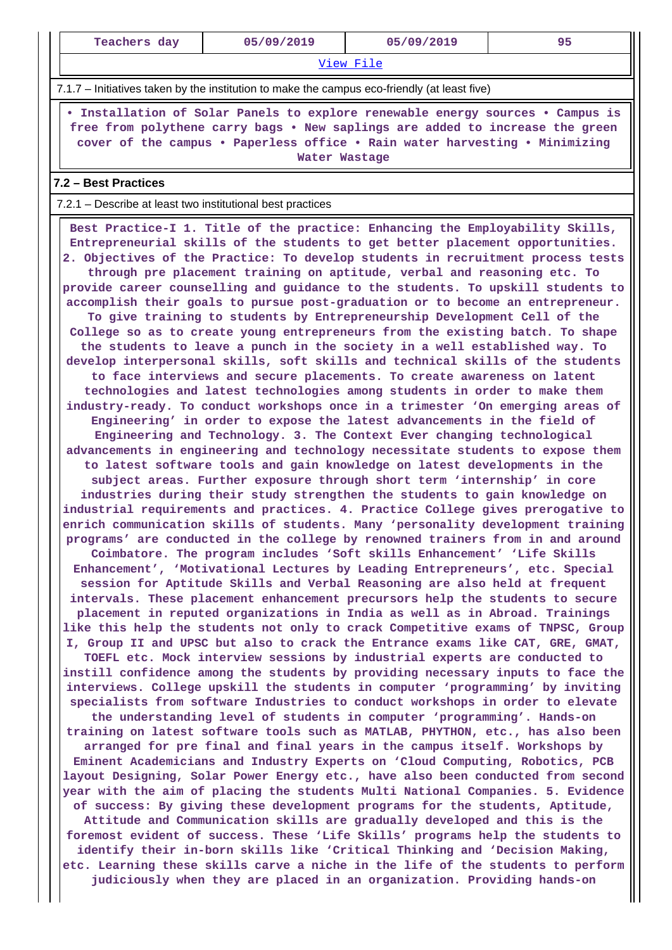| Teachers day                                                                                                                                                                                                                                                    | 05/09/2019                                                                                                                                                                                                                                                                                                                                                                                                                                                                                                                                                                                                                                                                                                                                                                                                                                                                                                                                                                                                                                                                                                                                                                                                                                                                                                                                                                                                                                                                                                                                                                                                                                                                                                                                                                                                                                                                                                                                                                                                                                                                                                                                                                                                                                                                                                                                                                                                                                                                                                                                                                                                                                                                                                                                                                                                                                                                                                                                                                                                                                                                                                                                                                                                                                                                                                                                                                                                                                                                                                                                                                                                                                                                                                                  | 05/09/2019 | 95 |  |  |  |  |  |
|-----------------------------------------------------------------------------------------------------------------------------------------------------------------------------------------------------------------------------------------------------------------|-----------------------------------------------------------------------------------------------------------------------------------------------------------------------------------------------------------------------------------------------------------------------------------------------------------------------------------------------------------------------------------------------------------------------------------------------------------------------------------------------------------------------------------------------------------------------------------------------------------------------------------------------------------------------------------------------------------------------------------------------------------------------------------------------------------------------------------------------------------------------------------------------------------------------------------------------------------------------------------------------------------------------------------------------------------------------------------------------------------------------------------------------------------------------------------------------------------------------------------------------------------------------------------------------------------------------------------------------------------------------------------------------------------------------------------------------------------------------------------------------------------------------------------------------------------------------------------------------------------------------------------------------------------------------------------------------------------------------------------------------------------------------------------------------------------------------------------------------------------------------------------------------------------------------------------------------------------------------------------------------------------------------------------------------------------------------------------------------------------------------------------------------------------------------------------------------------------------------------------------------------------------------------------------------------------------------------------------------------------------------------------------------------------------------------------------------------------------------------------------------------------------------------------------------------------------------------------------------------------------------------------------------------------------------------------------------------------------------------------------------------------------------------------------------------------------------------------------------------------------------------------------------------------------------------------------------------------------------------------------------------------------------------------------------------------------------------------------------------------------------------------------------------------------------------------------------------------------------------------------------------------------------------------------------------------------------------------------------------------------------------------------------------------------------------------------------------------------------------------------------------------------------------------------------------------------------------------------------------------------------------------------------------------------------------------------------------------------------------|------------|----|--|--|--|--|--|
| View File                                                                                                                                                                                                                                                       |                                                                                                                                                                                                                                                                                                                                                                                                                                                                                                                                                                                                                                                                                                                                                                                                                                                                                                                                                                                                                                                                                                                                                                                                                                                                                                                                                                                                                                                                                                                                                                                                                                                                                                                                                                                                                                                                                                                                                                                                                                                                                                                                                                                                                                                                                                                                                                                                                                                                                                                                                                                                                                                                                                                                                                                                                                                                                                                                                                                                                                                                                                                                                                                                                                                                                                                                                                                                                                                                                                                                                                                                                                                                                                                             |            |    |  |  |  |  |  |
| 7.1.7 – Initiatives taken by the institution to make the campus eco-friendly (at least five)                                                                                                                                                                    |                                                                                                                                                                                                                                                                                                                                                                                                                                                                                                                                                                                                                                                                                                                                                                                                                                                                                                                                                                                                                                                                                                                                                                                                                                                                                                                                                                                                                                                                                                                                                                                                                                                                                                                                                                                                                                                                                                                                                                                                                                                                                                                                                                                                                                                                                                                                                                                                                                                                                                                                                                                                                                                                                                                                                                                                                                                                                                                                                                                                                                                                                                                                                                                                                                                                                                                                                                                                                                                                                                                                                                                                                                                                                                                             |            |    |  |  |  |  |  |
| . Installation of Solar Panels to explore renewable energy sources . Campus is<br>free from polythene carry bags . New saplings are added to increase the green<br>cover of the campus . Paperless office . Rain water harvesting . Minimizing<br>Water Wastage |                                                                                                                                                                                                                                                                                                                                                                                                                                                                                                                                                                                                                                                                                                                                                                                                                                                                                                                                                                                                                                                                                                                                                                                                                                                                                                                                                                                                                                                                                                                                                                                                                                                                                                                                                                                                                                                                                                                                                                                                                                                                                                                                                                                                                                                                                                                                                                                                                                                                                                                                                                                                                                                                                                                                                                                                                                                                                                                                                                                                                                                                                                                                                                                                                                                                                                                                                                                                                                                                                                                                                                                                                                                                                                                             |            |    |  |  |  |  |  |
| 7.2 - Best Practices                                                                                                                                                                                                                                            |                                                                                                                                                                                                                                                                                                                                                                                                                                                                                                                                                                                                                                                                                                                                                                                                                                                                                                                                                                                                                                                                                                                                                                                                                                                                                                                                                                                                                                                                                                                                                                                                                                                                                                                                                                                                                                                                                                                                                                                                                                                                                                                                                                                                                                                                                                                                                                                                                                                                                                                                                                                                                                                                                                                                                                                                                                                                                                                                                                                                                                                                                                                                                                                                                                                                                                                                                                                                                                                                                                                                                                                                                                                                                                                             |            |    |  |  |  |  |  |
| 7.2.1 – Describe at least two institutional best practices                                                                                                                                                                                                      |                                                                                                                                                                                                                                                                                                                                                                                                                                                                                                                                                                                                                                                                                                                                                                                                                                                                                                                                                                                                                                                                                                                                                                                                                                                                                                                                                                                                                                                                                                                                                                                                                                                                                                                                                                                                                                                                                                                                                                                                                                                                                                                                                                                                                                                                                                                                                                                                                                                                                                                                                                                                                                                                                                                                                                                                                                                                                                                                                                                                                                                                                                                                                                                                                                                                                                                                                                                                                                                                                                                                                                                                                                                                                                                             |            |    |  |  |  |  |  |
|                                                                                                                                                                                                                                                                 | Best Practice-I 1. Title of the practice: Enhancing the Employability Skills,<br>Entrepreneurial skills of the students to get better placement opportunities.<br>2. Objectives of the Practice: To develop students in recruitment process tests<br>through pre placement training on aptitude, verbal and reasoning etc. To<br>provide career counselling and guidance to the students. To upskill students to<br>accomplish their goals to pursue post-graduation or to become an entrepreneur.<br>To give training to students by Entrepreneurship Development Cell of the<br>College so as to create young entrepreneurs from the existing batch. To shape<br>the students to leave a punch in the society in a well established way. To<br>develop interpersonal skills, soft skills and technical skills of the students<br>to face interviews and secure placements. To create awareness on latent<br>technologies and latest technologies among students in order to make them<br>industry-ready. To conduct workshops once in a trimester 'On emerging areas of<br>Engineering' in order to expose the latest advancements in the field of<br>Engineering and Technology. 3. The Context Ever changing technological<br>advancements in engineering and technology necessitate students to expose them<br>to latest software tools and gain knowledge on latest developments in the<br>subject areas. Further exposure through short term 'internship' in core<br>industries during their study strengthen the students to gain knowledge on<br>industrial requirements and practices. 4. Practice College gives prerogative to<br>enrich communication skills of students. Many 'personality development training<br>programs' are conducted in the college by renowned trainers from in and around<br>Coimbatore. The program includes 'Soft skills Enhancement' 'Life Skills<br>Enhancement', 'Motivational Lectures by Leading Entrepreneurs', etc. Special<br>session for Aptitude Skills and Verbal Reasoning are also held at frequent<br>intervals. These placement enhancement precursors help the students to secure<br>placement in reputed organizations in India as well as in Abroad. Trainings<br>like this help the students not only to crack Competitive exams of TNPSC, Group<br>I, Group II and UPSC but also to crack the Entrance exams like CAT, GRE, GMAT,<br>TOEFL etc. Mock interview sessions by industrial experts are conducted to<br>instill confidence among the students by providing necessary inputs to face the<br>interviews. College upskill the students in computer 'programming' by inviting<br>specialists from software Industries to conduct workshops in order to elevate<br>the understanding level of students in computer 'programming'. Hands-on<br>training on latest software tools such as MATLAB, PHYTHON, etc., has also been<br>arranged for pre final and final years in the campus itself. Workshops by<br>Eminent Academicians and Industry Experts on 'Cloud Computing, Robotics, PCB<br>layout Designing, Solar Power Energy etc., have also been conducted from second<br>year with the aim of placing the students Multi National Companies. 5. Evidence<br>of success: By giving these development programs for the students, Aptitude,<br>Attitude and Communication skills are gradually developed and this is the<br>foremost evident of success. These 'Life Skills' programs help the students to<br>identify their in-born skills like 'Critical Thinking and 'Decision Making,<br>etc. Learning these skills carve a niche in the life of the students to perform<br>judiciously when they are placed in an organization. Providing hands-on |            |    |  |  |  |  |  |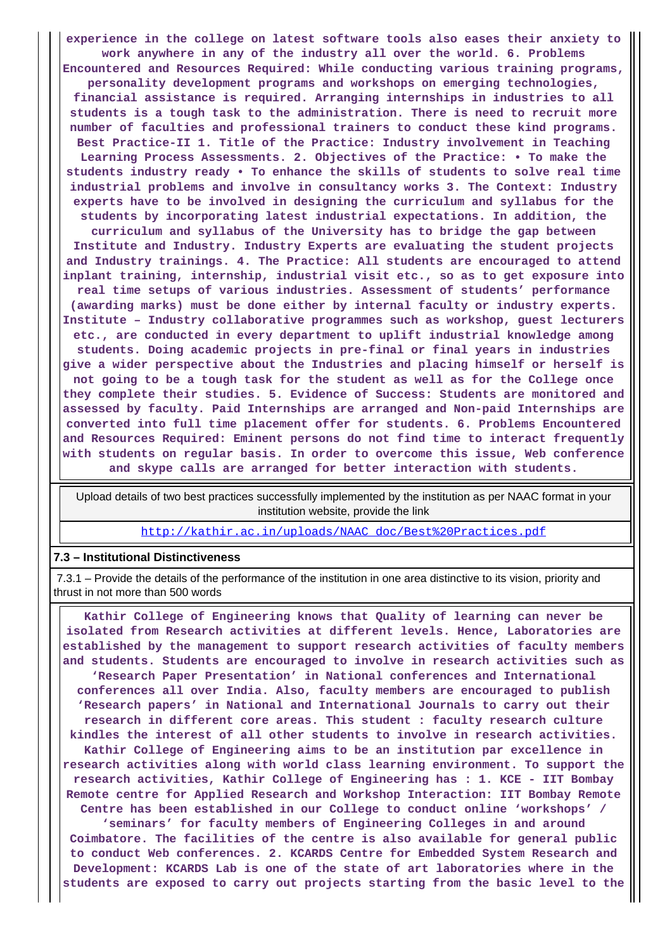**experience in the college on latest software tools also eases their anxiety to work anywhere in any of the industry all over the world. 6. Problems Encountered and Resources Required: While conducting various training programs, personality development programs and workshops on emerging technologies, financial assistance is required. Arranging internships in industries to all students is a tough task to the administration. There is need to recruit more number of faculties and professional trainers to conduct these kind programs. Best Practice-II 1. Title of the Practice: Industry involvement in Teaching Learning Process Assessments. 2. Objectives of the Practice: • To make the students industry ready • To enhance the skills of students to solve real time industrial problems and involve in consultancy works 3. The Context: Industry experts have to be involved in designing the curriculum and syllabus for the students by incorporating latest industrial expectations. In addition, the curriculum and syllabus of the University has to bridge the gap between Institute and Industry. Industry Experts are evaluating the student projects and Industry trainings. 4. The Practice: All students are encouraged to attend inplant training, internship, industrial visit etc., so as to get exposure into real time setups of various industries. Assessment of students' performance (awarding marks) must be done either by internal faculty or industry experts. Institute – Industry collaborative programmes such as workshop, guest lecturers etc., are conducted in every department to uplift industrial knowledge among students. Doing academic projects in pre-final or final years in industries give a wider perspective about the Industries and placing himself or herself is not going to be a tough task for the student as well as for the College once they complete their studies. 5. Evidence of Success: Students are monitored and assessed by faculty. Paid Internships are arranged and Non-paid Internships are converted into full time placement offer for students. 6. Problems Encountered and Resources Required: Eminent persons do not find time to interact frequently with students on regular basis. In order to overcome this issue, Web conference and skype calls are arranged for better interaction with students.**

 Upload details of two best practices successfully implemented by the institution as per NAAC format in your institution website, provide the link

[http://kathir.ac.in/uploads/NAAC\\_doc/Best%20Practices.pdf](http://kathir.ac.in/uploads/NAAC_doc/Best%20Practices.pdf)

#### **7.3 – Institutional Distinctiveness**

 7.3.1 – Provide the details of the performance of the institution in one area distinctive to its vision, priority and thrust in not more than 500 words

 **Kathir College of Engineering knows that Quality of learning can never be isolated from Research activities at different levels. Hence, Laboratories are established by the management to support research activities of faculty members and students. Students are encouraged to involve in research activities such as 'Research Paper Presentation' in National conferences and International conferences all over India. Also, faculty members are encouraged to publish 'Research papers' in National and International Journals to carry out their research in different core areas. This student : faculty research culture kindles the interest of all other students to involve in research activities. Kathir College of Engineering aims to be an institution par excellence in research activities along with world class learning environment. To support the research activities, Kathir College of Engineering has : 1. KCE - IIT Bombay Remote centre for Applied Research and Workshop Interaction: IIT Bombay Remote Centre has been established in our College to conduct online 'workshops' / 'seminars' for faculty members of Engineering Colleges in and around Coimbatore. The facilities of the centre is also available for general public to conduct Web conferences. 2. KCARDS Centre for Embedded System Research and Development: KCARDS Lab is one of the state of art laboratories where in the**

**students are exposed to carry out projects starting from the basic level to the**